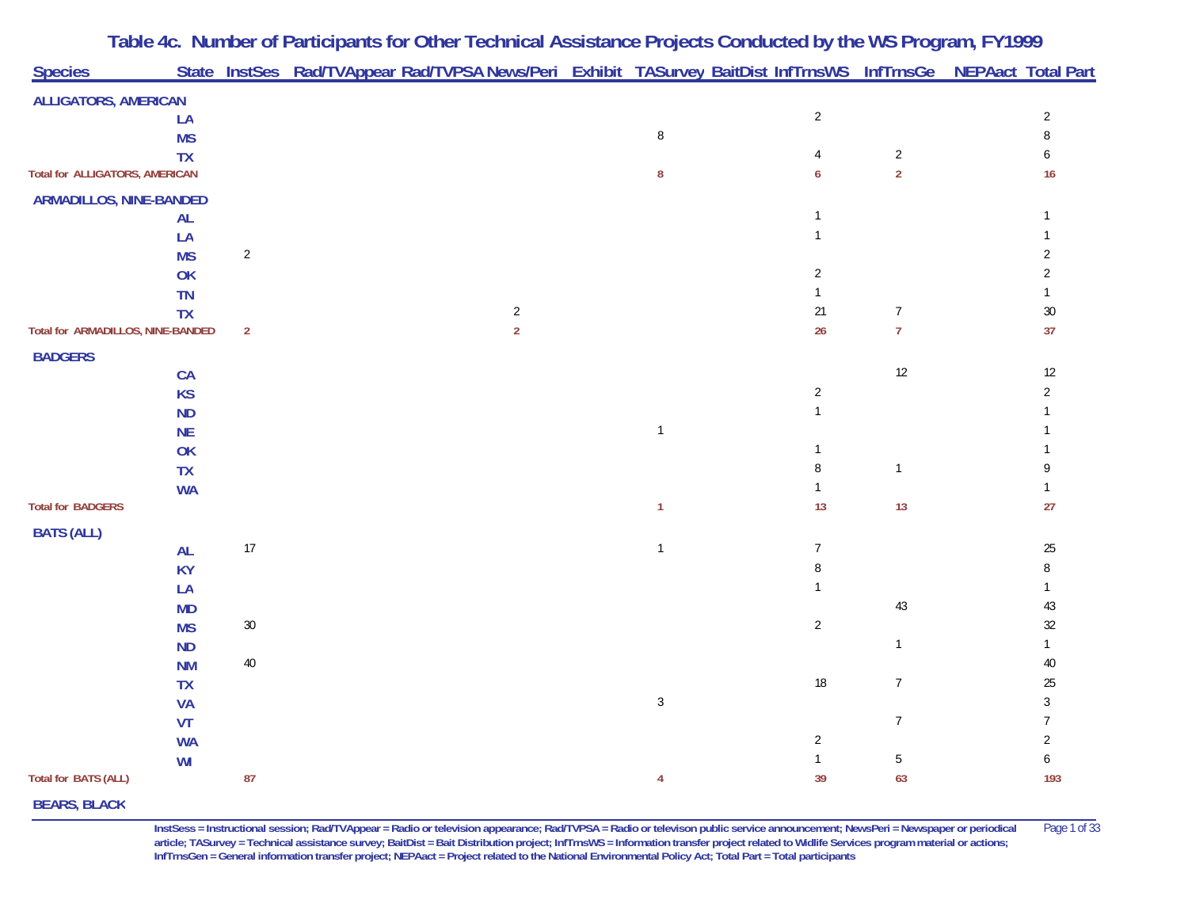|                                       |           |                | Table 4c. Number of Participants for Other Technical Assistance Projects Conducted by the WS Program, FY1999    |                |                            |                  |                                    |
|---------------------------------------|-----------|----------------|-----------------------------------------------------------------------------------------------------------------|----------------|----------------------------|------------------|------------------------------------|
| <b>Species</b>                        |           |                | State InstSes Rad/TVAppear Rad/TVPSA News/Peri Exhibit TASurvey BaitDist InfTrnsWS InfTrnsGe NEPAact Total Part |                |                            |                  |                                    |
| <b>ALLIGATORS, AMERICAN</b>           |           |                |                                                                                                                 |                |                            |                  |                                    |
|                                       | LA        |                |                                                                                                                 |                | $\sqrt{2}$                 |                  | $\sqrt{2}$                         |
|                                       | <b>MS</b> |                |                                                                                                                 | $\, 8$         |                            |                  | $\, 8$                             |
|                                       | <b>TX</b> |                |                                                                                                                 |                | 4                          | $\overline{2}$   | 6                                  |
| <b>Total for ALLIGATORS, AMERICAN</b> |           |                |                                                                                                                 | 8              | 6                          | $\overline{2}$   | 16                                 |
| <b>ARMADILLOS, NINE-BANDED</b>        |           |                |                                                                                                                 |                |                            |                  |                                    |
|                                       | <b>AL</b> |                |                                                                                                                 |                | $\mathbf{1}$               |                  |                                    |
|                                       | LA        |                |                                                                                                                 |                | $\mathbf{1}$               |                  |                                    |
|                                       | <b>MS</b> | $\overline{2}$ |                                                                                                                 |                |                            |                  | $\overline{2}$                     |
|                                       | OK        |                |                                                                                                                 |                | $\overline{2}$             |                  | $\overline{2}$                     |
|                                       | <b>TN</b> |                |                                                                                                                 |                | $\mathbf{1}$               |                  |                                    |
|                                       | <b>TX</b> |                | $\overline{2}$                                                                                                  |                | 21                         | $\boldsymbol{7}$ | $30\,$                             |
| Total for ARMADILLOS, NINE-BANDED     |           | $\overline{2}$ | $\overline{2}$                                                                                                  |                | 26                         | $\overline{7}$   | 37                                 |
| <b>BADGERS</b>                        |           |                |                                                                                                                 |                |                            |                  |                                    |
|                                       | CA        |                |                                                                                                                 |                |                            | 12               | $12\,$                             |
|                                       | <b>KS</b> |                |                                                                                                                 |                | $\sqrt{2}$                 |                  | $\overline{2}$                     |
|                                       | <b>ND</b> |                |                                                                                                                 |                | $\mathbf{1}$               |                  |                                    |
|                                       | <b>NE</b> |                |                                                                                                                 | $\mathbf{1}$   |                            |                  |                                    |
|                                       | OK        |                |                                                                                                                 |                | $\mathbf{1}$               |                  |                                    |
|                                       | <b>TX</b> |                |                                                                                                                 |                | $\, 8$                     | $\mathbf{1}$     | 9                                  |
|                                       | <b>WA</b> |                |                                                                                                                 |                | $\mathbf{1}$               |                  |                                    |
| <b>Total for BADGERS</b>              |           |                |                                                                                                                 | $\mathbf{1}$   | 13                         | 13               | 27                                 |
| <b>BATS (ALL)</b>                     |           |                |                                                                                                                 |                |                            |                  |                                    |
|                                       | <b>AL</b> | 17             |                                                                                                                 | $\mathbf{1}$   | $\overline{7}$             |                  | $25\,$                             |
|                                       | <b>KY</b> |                |                                                                                                                 |                | $\, 8$                     |                  | 8                                  |
|                                       | LA        |                |                                                                                                                 |                | $\mathbf{1}$               |                  |                                    |
|                                       | <b>MD</b> |                |                                                                                                                 |                |                            | $43\,$           | 43                                 |
|                                       | <b>MS</b> | $30\,$         |                                                                                                                 |                | $\sqrt{2}$                 |                  | $32\,$                             |
|                                       | <b>ND</b> |                |                                                                                                                 |                |                            | $\mathbf{1}$     |                                    |
|                                       | <b>NM</b> | $40\,$         |                                                                                                                 |                |                            |                  | $40\,$                             |
|                                       | <b>TX</b> |                |                                                                                                                 |                | $18\,$                     | $\overline{7}$   | $25\,$                             |
|                                       | <b>VA</b> |                |                                                                                                                 | $\mathfrak{Z}$ |                            |                  | $\sqrt{3}$                         |
|                                       | VT        |                |                                                                                                                 |                |                            | $\overline{7}$   | $\overline{7}$                     |
|                                       | <b>WA</b> |                |                                                                                                                 |                | $\sqrt{2}$<br>$\mathbf{1}$ | 5                | $\overline{2}$<br>$\boldsymbol{6}$ |
| Total for BATS (ALL)                  | WI        | 87             |                                                                                                                 | 4              | 39                         | 63               | 193                                |
|                                       |           |                |                                                                                                                 |                |                            |                  |                                    |
| <b>BEARS, BLACK</b>                   |           |                |                                                                                                                 |                |                            |                  |                                    |

**InstSess = Instructional session; Rad/TVAppear = Radio or television appearance; Rad/TVPSA = Radio or televison public service announcement; NewsPeri = Newspaper or periodical** Page 1 of 33 **article; TASurvey = Technical assistance survey; BaitDist = Bait Distribution project; InfTrnsWS = Information transfer project related to Widlife Services program material or actions; InfTrnsGen = General information transfer project; NEPAact = Project related to the National Environmental Policy Act; Total Part = Total participants**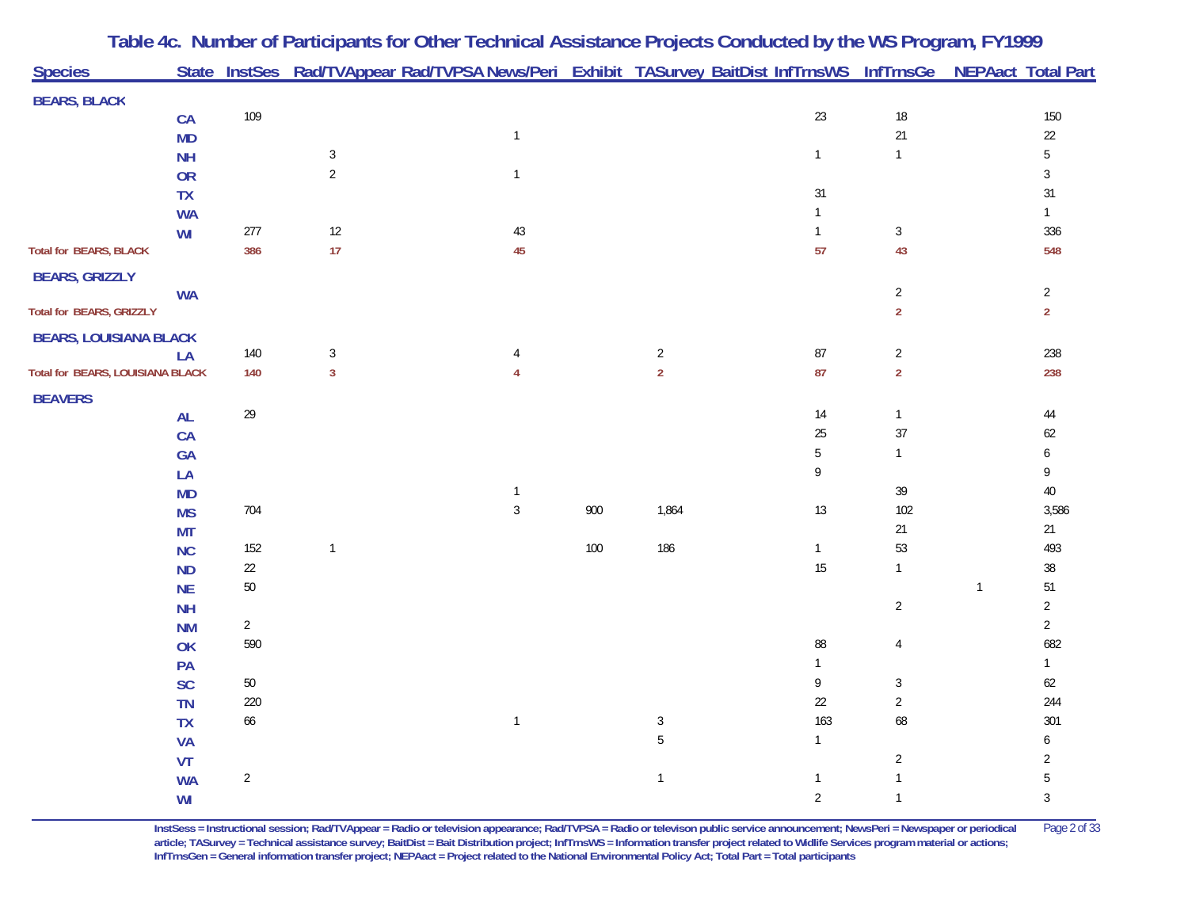|                                  |           |            |                | Table 4c. Number of Participants for Other Technical Assistance Projects Conducted by the WS Program, FY1999    |     |                |                |                |              |                |
|----------------------------------|-----------|------------|----------------|-----------------------------------------------------------------------------------------------------------------|-----|----------------|----------------|----------------|--------------|----------------|
| <b>Species</b>                   |           |            |                | State InstSes Rad/TVAppear Rad/TVPSA News/Peri Exhibit TASurvey BaitDist InfTrnsWS InfTrnsGe NEPAact Total Part |     |                |                |                |              |                |
| <b>BEARS, BLACK</b>              |           |            |                |                                                                                                                 |     |                |                |                |              |                |
|                                  | CA        | 109        |                |                                                                                                                 |     |                | $23\,$         | $18\,$         |              | 150            |
|                                  | <b>MD</b> |            |                | $\mathbf{1}$                                                                                                    |     |                |                | 21             |              | $22\,$         |
|                                  | <b>NH</b> |            | $\mathbf{3}$   |                                                                                                                 |     |                | $\mathbf{1}$   | $\mathbf{1}$   |              | $\sqrt{5}$     |
|                                  | <b>OR</b> |            | $\overline{2}$ | $\mathbf{1}$                                                                                                    |     |                |                |                |              | $\sqrt{3}$     |
|                                  | TX        |            |                |                                                                                                                 |     |                | 31             |                |              | $31\,$         |
|                                  | <b>WA</b> |            |                |                                                                                                                 |     |                | $\mathbf{1}$   |                |              | $\mathbf{1}$   |
|                                  | WI        | $277\,$    | 12             | $43\,$                                                                                                          |     |                | $\mathbf{1}$   | $\mathfrak{Z}$ |              | 336            |
| <b>Total for BEARS, BLACK</b>    |           | 386        | 17             | 45                                                                                                              |     |                | 57             | 43             |              | 548            |
| <b>BEARS, GRIZZLY</b>            |           |            |                |                                                                                                                 |     |                |                |                |              |                |
|                                  | <b>WA</b> |            |                |                                                                                                                 |     |                |                | $\overline{c}$ |              | $\overline{2}$ |
| Total for BEARS, GRIZZLY         |           |            |                |                                                                                                                 |     |                |                | $\overline{2}$ |              | $\overline{2}$ |
| <b>BEARS, LOUISIANA BLACK</b>    |           |            |                |                                                                                                                 |     |                |                |                |              |                |
|                                  | LA        | 140        | $\mathbf{3}$   | 4                                                                                                               |     | $\overline{c}$ | 87             | $\overline{2}$ |              | 238            |
| Total for BEARS, LOUISIANA BLACK |           | 140        | $\overline{3}$ | $\overline{4}$                                                                                                  |     | $\overline{2}$ | 87             | $\overline{2}$ |              | 238            |
| <b>BEAVERS</b>                   |           |            |                |                                                                                                                 |     |                |                |                |              |                |
|                                  | <b>AL</b> | 29         |                |                                                                                                                 |     |                | 14             | $\mathbf{1}$   |              | 44             |
|                                  | CA        |            |                |                                                                                                                 |     |                | 25             | 37             |              | $62\,$         |
|                                  | GA        |            |                |                                                                                                                 |     |                | 5              | $\mathbf{1}$   |              | 6              |
|                                  | LA        |            |                |                                                                                                                 |     |                | 9              |                |              | 9              |
|                                  | <b>MD</b> |            |                | $\mathbf{1}$                                                                                                    |     |                |                | 39             |              | $40\,$         |
|                                  | <b>MS</b> | 704        |                | $\sqrt{3}$                                                                                                      | 900 | 1,864          | 13             | 102            |              | 3,586          |
|                                  | <b>MT</b> |            |                |                                                                                                                 |     |                |                | 21             |              | 21             |
|                                  | NC        | 152        | $\mathbf{1}$   |                                                                                                                 | 100 | 186            | $\mathbf{1}$   | 53             |              | 493            |
|                                  | <b>ND</b> | $22\,$     |                |                                                                                                                 |     |                | 15             | $\mathbf{1}$   |              | $38\,$         |
|                                  | <b>NE</b> | $50\,$     |                |                                                                                                                 |     |                |                |                | $\mathbf{1}$ | 51             |
|                                  | <b>NH</b> |            |                |                                                                                                                 |     |                |                | $\overline{2}$ |              | $\overline{2}$ |
|                                  | <b>NM</b> | $\sqrt{2}$ |                |                                                                                                                 |     |                |                |                |              | $\overline{2}$ |
|                                  | OK        | 590        |                |                                                                                                                 |     |                | 88             | 4              |              | 682            |
|                                  | PA        |            |                |                                                                                                                 |     |                | $\mathbf{1}$   |                |              | $\mathbf{1}$   |
|                                  | <b>SC</b> | $50\,$     |                |                                                                                                                 |     |                | 9              | $\mathbf{3}$   |              | $62\,$         |
|                                  | <b>TN</b> | 220        |                |                                                                                                                 |     |                | 22             | $\overline{c}$ |              | 244            |
|                                  | <b>TX</b> | 66         |                | $\mathbf{1}$                                                                                                    |     | $\sqrt{3}$     | 163            | 68             |              | 301            |
|                                  | <b>VA</b> |            |                |                                                                                                                 |     | $5\,$          | $\mathbf{1}$   |                |              | 6              |
|                                  | VT        |            |                |                                                                                                                 |     |                |                | $\overline{2}$ |              | $\overline{2}$ |
|                                  | <b>WA</b> | $\sqrt{2}$ |                |                                                                                                                 |     | $\mathbf{1}$   | $\mathbf{1}$   | $\mathbf{1}$   |              | 5              |
|                                  | WI        |            |                |                                                                                                                 |     |                | $\overline{2}$ | $\mathbf{1}$   |              | $\sqrt{3}$     |

**InstSess = Instructional session; Rad/TVAppear = Radio or television appearance; Rad/TVPSA = Radio or televison public service announcement; NewsPeri = Newspaper or periodical** Page 2 of 33 **article; TASurvey = Technical assistance survey; BaitDist = Bait Distribution project; InfTrnsWS = Information transfer project related to Widlife Services program material or actions; InfTrnsGen = General information transfer project; NEPAact = Project related to the National Environmental Policy Act; Total Part = Total participants**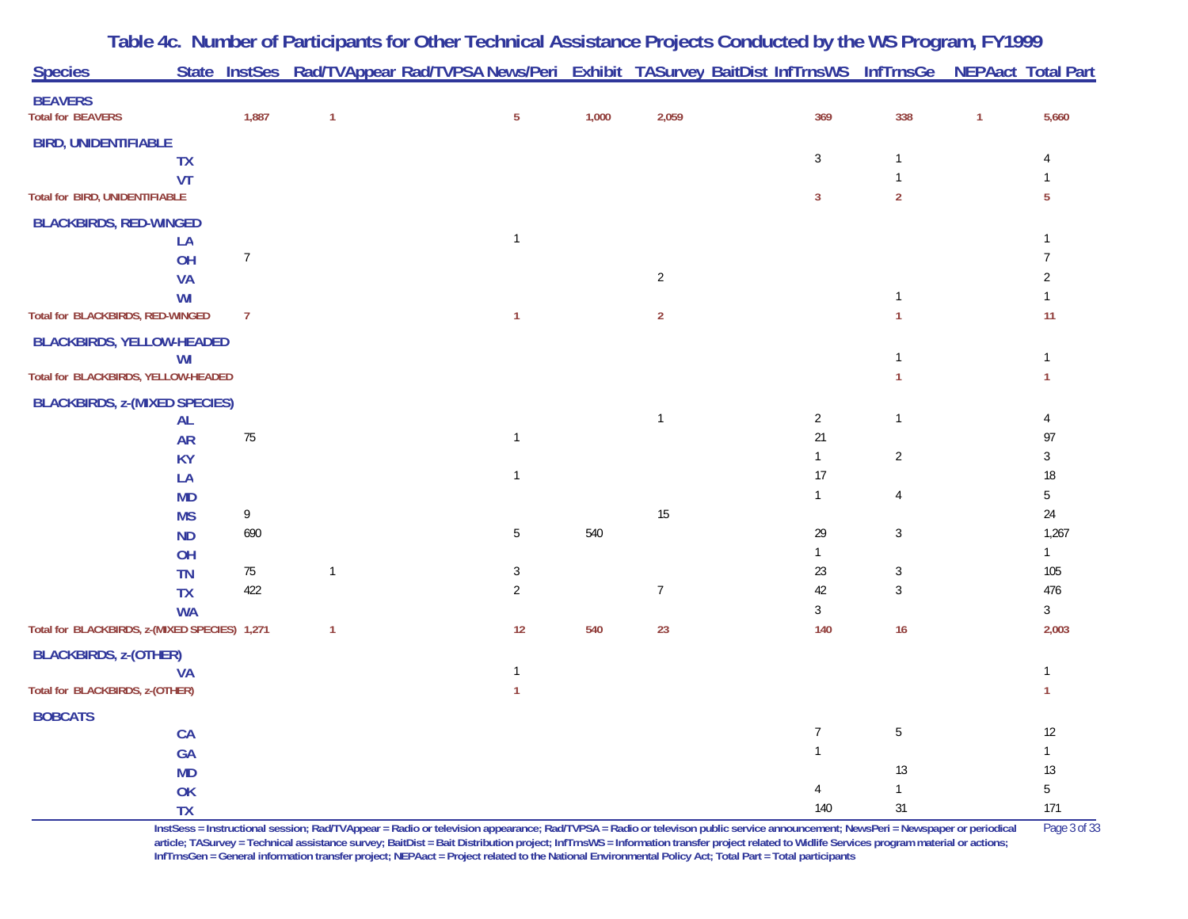| <b>Species</b>                                |                        |                |              | State InstSes Rad/TVAppear Rad/TVPSA News/Peri Exhibit TASurvey BaitDist InfTrnsWS InfTrnsGe NEPAact Total Part |       |                |                  |                              |              |                     |
|-----------------------------------------------|------------------------|----------------|--------------|-----------------------------------------------------------------------------------------------------------------|-------|----------------|------------------|------------------------------|--------------|---------------------|
| <b>BEAVERS</b><br><b>Total for BEAVERS</b>    |                        | 1,887          | $\mathbf{1}$ | $\overline{5}$                                                                                                  | 1,000 | 2,059          | 369              | 338                          | $\mathbf{1}$ | 5,660               |
| <b>BIRD, UNIDENTIFIABLE</b>                   |                        |                |              |                                                                                                                 |       |                |                  |                              |              |                     |
|                                               | <b>TX</b>              |                |              |                                                                                                                 |       |                | $\sqrt{3}$       | $\mathbf{1}$                 |              | 4                   |
|                                               | VT                     |                |              |                                                                                                                 |       |                |                  | $\mathbf{1}$                 |              |                     |
| <b>Total for BIRD, UNIDENTIFIABLE</b>         |                        |                |              |                                                                                                                 |       |                | $\mathbf{3}$     | $\overline{2}$               |              | 5                   |
| <b>BLACKBIRDS, RED-WINGED</b>                 |                        |                |              |                                                                                                                 |       |                |                  |                              |              |                     |
|                                               | LA                     |                |              | $\overline{1}$                                                                                                  |       |                |                  |                              |              |                     |
|                                               | OH                     | $\overline{7}$ |              |                                                                                                                 |       |                |                  |                              |              | $\overline{7}$      |
|                                               | <b>VA</b>              |                |              |                                                                                                                 |       | $\overline{2}$ |                  |                              |              | $\overline{2}$      |
|                                               | WI                     |                |              |                                                                                                                 |       |                |                  | $\mathbf{1}$                 |              |                     |
| Total for BLACKBIRDS, RED-WINGED              |                        | $\overline{7}$ |              | $\mathbf{1}$                                                                                                    |       | $\overline{2}$ |                  | $\mathbf{1}$                 |              | 11                  |
| <b>BLACKBIRDS, YELLOW-HEADED</b>              |                        |                |              |                                                                                                                 |       |                |                  |                              |              |                     |
|                                               | WI                     |                |              |                                                                                                                 |       |                |                  | $\mathbf{1}$                 |              | $\mathbf{1}$        |
| Total for BLACKBIRDS, YELLOW-HEADED           |                        |                |              |                                                                                                                 |       |                |                  | $\mathbf{1}$                 |              | 1                   |
| <b>BLACKBIRDS, z-(MIXED SPECIES)</b>          |                        |                |              |                                                                                                                 |       |                |                  |                              |              |                     |
|                                               | AL                     |                |              |                                                                                                                 |       | $\mathbf{1}$   | $\sqrt{2}$       | $\mathbf{1}$                 |              | 4                   |
|                                               | <b>AR</b>              | $75\,$         |              | $\overline{1}$                                                                                                  |       |                | 21               |                              |              | 97                  |
|                                               | <b>KY</b>              |                |              |                                                                                                                 |       |                | $\mathbf{1}$     | $\overline{2}$               |              | 3                   |
|                                               | LA                     |                |              | $\mathbf{1}$                                                                                                    |       |                | 17               |                              |              | 18                  |
|                                               | <b>MD</b>              |                |              |                                                                                                                 |       |                | $\mathbf{1}$     | $\overline{4}$               |              | 5                   |
|                                               | <b>MS</b>              | 9              |              |                                                                                                                 |       | 15             |                  |                              |              | $24\,$              |
|                                               | <b>ND</b>              | 690            |              | $\overline{5}$                                                                                                  | 540   |                | 29               | $\mathbf{3}$                 |              | 1,267               |
|                                               | OH                     |                |              |                                                                                                                 |       |                | $\mathbf{1}$     |                              |              | $\mathbf{1}$<br>105 |
|                                               | <b>TN</b>              | $75\,$<br>422  | $\mathbf{1}$ | $\mathbf{3}$<br>$\overline{2}$                                                                                  |       | $\overline{7}$ | 23<br>42         | $\sqrt{3}$<br>$\mathfrak{Z}$ |              | 476                 |
|                                               | <b>TX</b><br><b>WA</b> |                |              |                                                                                                                 |       |                | $\mathbf{3}$     |                              |              | $\mathfrak{Z}$      |
| Total for BLACKBIRDS, z-(MIXED SPECIES) 1,271 |                        |                | $\mathbf{1}$ | 12                                                                                                              | 540   | 23             | 140              | 16                           |              | 2,003               |
|                                               |                        |                |              |                                                                                                                 |       |                |                  |                              |              |                     |
| <b>BLACKBIRDS, z-(OTHER)</b>                  | <b>VA</b>              |                |              | $\mathbf{1}$                                                                                                    |       |                |                  |                              |              | $\mathbf{1}$        |
| Total for BLACKBIRDS, z-(OTHER)               |                        |                |              | $\mathbf{1}$                                                                                                    |       |                |                  |                              |              | $\mathbf{1}$        |
|                                               |                        |                |              |                                                                                                                 |       |                |                  |                              |              |                     |
| <b>BOBCATS</b>                                | CA                     |                |              |                                                                                                                 |       |                | $\boldsymbol{7}$ | $\overline{5}$               |              | $12$                |
|                                               | GA                     |                |              |                                                                                                                 |       |                | $\mathbf{1}$     |                              |              | $\mathbf{1}$        |
|                                               | <b>MD</b>              |                |              |                                                                                                                 |       |                |                  | 13                           |              | 13                  |
|                                               | OK                     |                |              |                                                                                                                 |       |                | $\overline{4}$   | $\mathbf{1}$                 |              | 5                   |
|                                               | <b>TX</b>              |                |              |                                                                                                                 |       |                | 140              | 31                           |              | 171                 |

**Table 4c. Number of Participants for Other Technical Assistance Projects Conducted by the WS Program, FY 1999**

**InstSess = Instructional session; Rad/TVAppear = Radio or television appearance; Rad/TVPSA = Radio or televison public service announcement; NewsPeri = Newspaper or periodical** Page 3 of 33 article; TASurvey = Technical assistance survey; BaitDist = Bait Distribution project; InfTrnsWS = Information transfer project related to Widlife Services program material or actions; **InfTrnsGen = General information transfer project; NEPAact = Project related to the National Environmental Policy Act; Total Part = Total participants**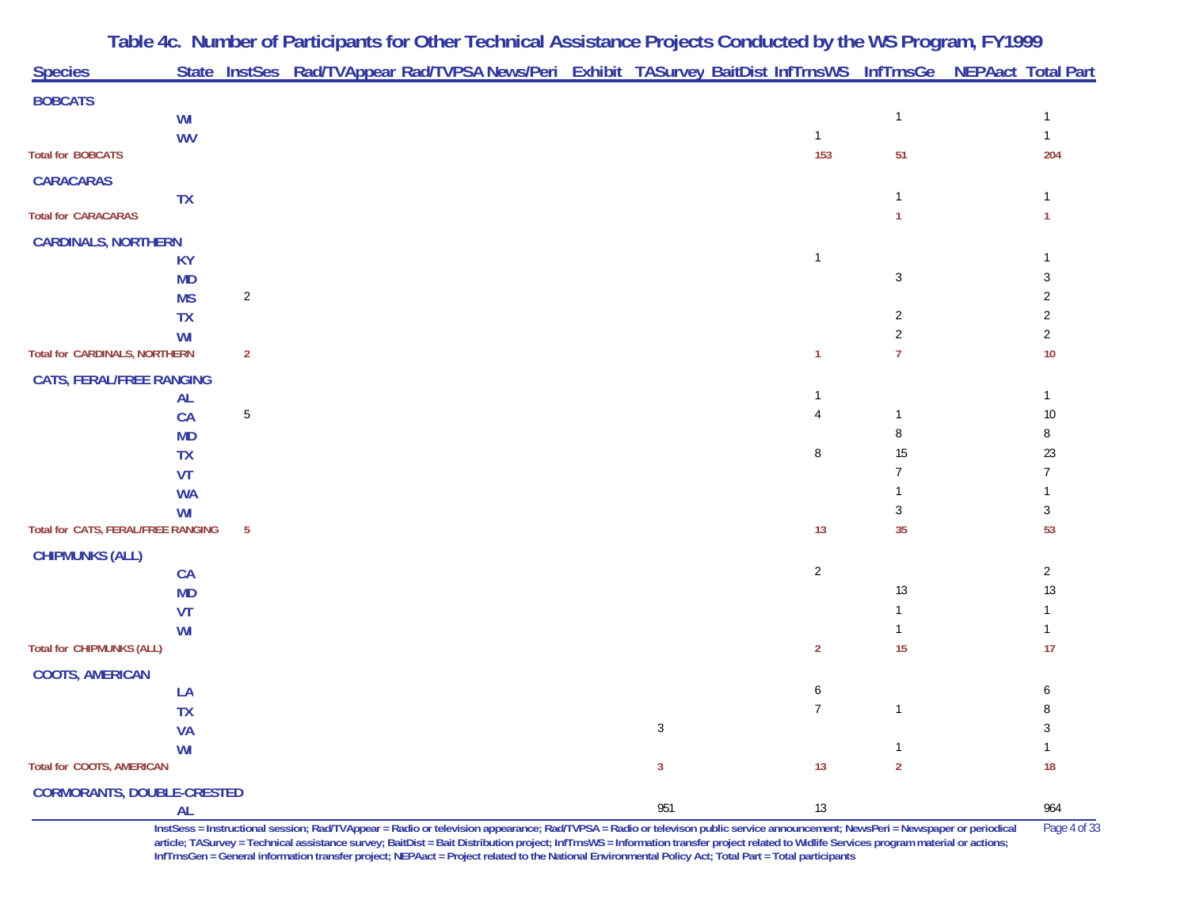| <b>Species</b>                            |                 |                | State InstSes Rad/TVAppear Rad/TVPSA News/Peri Exhibit TASurvey BaitDist InfTrnsWS InfTrnsGe NEPAact Total Part |              |                |                |                |
|-------------------------------------------|-----------------|----------------|-----------------------------------------------------------------------------------------------------------------|--------------|----------------|----------------|----------------|
| <b>BOBCATS</b>                            |                 |                |                                                                                                                 |              |                |                |                |
|                                           | WI              |                |                                                                                                                 |              |                | $\mathbf{1}$   |                |
|                                           | <b>WV</b>       |                |                                                                                                                 |              | $\mathbf{1}$   |                |                |
| <b>Total for BOBCATS</b>                  |                 |                |                                                                                                                 |              | 153            | 51             | 204            |
| <b>CARACARAS</b>                          |                 |                |                                                                                                                 |              |                |                |                |
|                                           | <b>TX</b>       |                |                                                                                                                 |              |                | $\mathbf{1}$   |                |
| <b>Total for CARACARAS</b>                |                 |                |                                                                                                                 |              |                | 1              |                |
| <b>CARDINALS, NORTHERN</b>                |                 |                |                                                                                                                 |              |                |                |                |
|                                           | <b>KY</b>       |                |                                                                                                                 |              | $\mathbf{1}$   |                |                |
|                                           | <b>MD</b>       |                |                                                                                                                 |              |                | $\mathbf{3}$   | 3              |
|                                           | <b>MS</b>       | $\overline{2}$ |                                                                                                                 |              |                |                |                |
|                                           | <b>TX</b><br>WI |                |                                                                                                                 |              |                | 2<br>2         | $\overline{2}$ |
| Total for CARDINALS, NORTHERN             |                 | $\overline{2}$ |                                                                                                                 |              | 1              | 7              | 10             |
|                                           |                 |                |                                                                                                                 |              |                |                |                |
| <b>CATS, FERAL/FREE RANGING</b>           | AL              |                |                                                                                                                 |              | $\mathbf{1}$   |                | $\mathbf{1}$   |
|                                           | CA              | 5              |                                                                                                                 |              | 4              | $\mathbf 1$    | 10             |
|                                           | <b>MD</b>       |                |                                                                                                                 |              |                | 8              | 8              |
|                                           | <b>TX</b>       |                |                                                                                                                 |              | 8              | 15             | 23             |
|                                           | VT              |                |                                                                                                                 |              |                | 7              |                |
|                                           | <b>WA</b>       |                |                                                                                                                 |              |                |                |                |
|                                           | WI              |                |                                                                                                                 |              |                | 3              | 3              |
| <b>Total for CATS, FERAL/FREE RANGING</b> |                 | $\overline{5}$ |                                                                                                                 |              | 13             | 35             | 53             |
| <b>CHIPMUNKS (ALL)</b>                    |                 |                |                                                                                                                 |              |                |                |                |
|                                           | <b>CA</b>       |                |                                                                                                                 |              | $\overline{2}$ |                | $\overline{2}$ |
|                                           | <b>MD</b>       |                |                                                                                                                 |              |                | 13             | 13             |
|                                           | VT              |                |                                                                                                                 |              |                |                |                |
| <b>Total for CHIPMUNKS (ALL)</b>          | WI              |                |                                                                                                                 |              | $\overline{2}$ | 15             | 17             |
|                                           |                 |                |                                                                                                                 |              |                |                |                |
| <b>COOTS, AMERICAN</b>                    |                 |                |                                                                                                                 |              | 6              |                | 6              |
|                                           | LA<br><b>TX</b> |                |                                                                                                                 |              | $\overline{7}$ | $\overline{1}$ | 8              |
|                                           | <b>VA</b>       |                |                                                                                                                 | $\mathbf{3}$ |                |                |                |
|                                           | WI              |                |                                                                                                                 |              |                |                |                |
| <b>Total for COOTS, AMERICAN</b>          |                 |                |                                                                                                                 | $\mathbf{3}$ | 13             | $\overline{2}$ | 18             |
| <b>CORMORANTS, DOUBLE-CRESTED</b>         |                 |                |                                                                                                                 |              |                |                |                |
|                                           | <b>AL</b>       |                |                                                                                                                 | 951          | $13$           |                | 964            |

**InstSess = Instructional session; Rad/TVAppear = Radio or television appearance; Rad/TVPSA = Radio or televison public service announcement; NewsPeri = Newspaper or periodical** Page 4 of 33 article; TASurvey = Technical assistance survey; BaitDist = Bait Distribution project; InfTrnsWS = Information transfer project related to Widlife Services program material or actions; **InfTrnsGen = General information transfer project; NEPAact = Project related to the National Environmental Policy Act; Total Part = Total participants**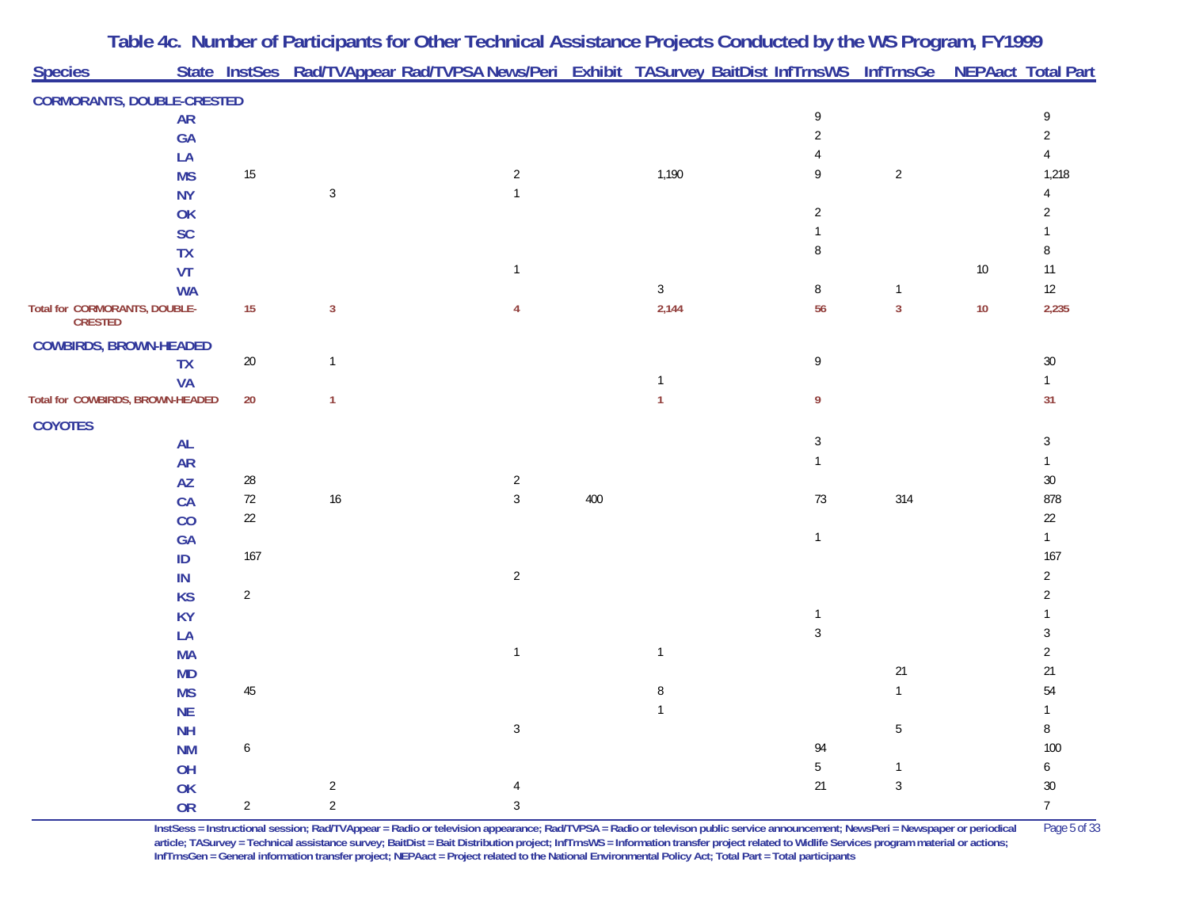| <b>Species</b>                    |           |                  |                | State InstSes Rad/TVAppear Rad/TVPSA News/Peri Exhibit TASurvey BaitDist InfTrnsWS InfTrnsGe NEPAact Total Part |     |                |              |                |    |                 |
|-----------------------------------|-----------|------------------|----------------|-----------------------------------------------------------------------------------------------------------------|-----|----------------|--------------|----------------|----|-----------------|
|                                   |           |                  |                |                                                                                                                 |     |                |              |                |    |                 |
| <b>CORMORANTS, DOUBLE-CRESTED</b> |           |                  |                |                                                                                                                 |     |                |              |                |    |                 |
|                                   | <b>AR</b> |                  |                |                                                                                                                 |     |                | 9            |                |    | 9               |
|                                   | GA        |                  |                |                                                                                                                 |     |                |              |                |    | 2               |
|                                   | LA        |                  |                |                                                                                                                 |     |                | 9            |                |    |                 |
|                                   | <b>MS</b> | 15               | 3              | $\overline{2}$                                                                                                  |     | 1,190          |              | $\overline{2}$ |    | 1,218           |
|                                   | <b>NY</b> |                  |                |                                                                                                                 |     |                | 2            |                |    |                 |
|                                   | OK<br>SC  |                  |                |                                                                                                                 |     |                |              |                |    |                 |
|                                   | <b>TX</b> |                  |                |                                                                                                                 |     |                | 8            |                |    |                 |
|                                   | <b>VT</b> |                  |                | $\mathbf{1}$                                                                                                    |     |                |              |                | 10 | 11              |
|                                   | <b>WA</b> |                  |                |                                                                                                                 |     | $\mathbf{3}$   | 8            | $\mathbf{1}$   |    | 12              |
| Total for CORMORANTS, DOUBLE-     |           | 15               | $\mathbf{3}$   |                                                                                                                 |     | 2,144          | 56           | $\mathbf{3}$   | 10 | 2,235           |
| <b>CRESTED</b>                    |           |                  |                |                                                                                                                 |     |                |              |                |    |                 |
| <b>COWBIRDS, BROWN-HEADED</b>     |           |                  |                |                                                                                                                 |     |                |              |                |    |                 |
|                                   | <b>TX</b> | $20\,$           | $\mathbf{1}$   |                                                                                                                 |     |                | 9            |                |    | 30              |
|                                   | <b>VA</b> |                  |                |                                                                                                                 |     |                |              |                |    |                 |
| Total for COWBIRDS, BROWN-HEADED  |           | 20               | $\mathbf{1}$   |                                                                                                                 |     | 1              | 9            |                |    | 31              |
| <b>COYOTES</b>                    |           |                  |                |                                                                                                                 |     |                |              |                |    |                 |
|                                   | <b>AL</b> |                  |                |                                                                                                                 |     |                | 3            |                |    | 3               |
|                                   | <b>AR</b> |                  |                |                                                                                                                 |     |                |              |                |    |                 |
|                                   | <b>AZ</b> | 28               |                | $\overline{c}$                                                                                                  |     |                |              |                |    | 30              |
|                                   | <b>CA</b> | $72\,$           | $16$           | $\mathfrak{Z}$                                                                                                  | 400 |                | $73\,$       | 314            |    | 878             |
|                                   | CO        | 22               |                |                                                                                                                 |     |                |              |                |    | 22              |
|                                   | <b>GA</b> |                  |                |                                                                                                                 |     |                | $\mathbf{1}$ |                |    |                 |
|                                   | ID        | 167              |                |                                                                                                                 |     |                |              |                |    | 167             |
|                                   | IN        |                  |                | $\overline{2}$                                                                                                  |     |                |              |                |    | 2               |
|                                   | <b>KS</b> | $\overline{2}$   |                |                                                                                                                 |     |                |              |                |    |                 |
|                                   | <b>KY</b> |                  |                |                                                                                                                 |     |                | 1            |                |    |                 |
|                                   | LA        |                  |                |                                                                                                                 |     |                | 3            |                |    |                 |
|                                   | <b>MA</b> |                  |                | $\overline{1}$                                                                                                  |     | $\mathbf{1}$   |              |                |    | 2               |
|                                   | <b>MD</b> |                  |                |                                                                                                                 |     |                |              | 21             |    | 21              |
|                                   | <b>MS</b> | 45               |                |                                                                                                                 |     | 8              |              | $\mathbf{1}$   |    | 54              |
|                                   | <b>NE</b> |                  |                |                                                                                                                 |     | $\overline{1}$ |              |                |    |                 |
|                                   | <b>NH</b> |                  |                | $\mathbf{3}$                                                                                                    |     |                |              | $\overline{5}$ |    | 8               |
|                                   | <b>NM</b> | $\boldsymbol{6}$ |                |                                                                                                                 |     |                | 94           |                |    | 100             |
|                                   | OH        |                  |                |                                                                                                                 |     |                | $5\,$        | $\mathbf 1$    |    | 6               |
|                                   | OK        |                  | $\overline{2}$ |                                                                                                                 |     |                | 21           | 3              |    | $30\,$          |
|                                   | <b>OR</b> | $\overline{2}$   | $\overline{2}$ | $\mathbf{3}$                                                                                                    |     |                |              |                |    | $7\overline{ }$ |

**InstSess = Instructional session; Rad/TVAppear = Radio or television appearance; Rad/TVPSA = Radio or televison public service announcement; NewsPeri = Newspaper or periodical** Page 5 of 33 **article; TASurvey = Technical assistance survey; BaitDist = Bait Distribution project; InfTrnsWS = Information transfer project related to Widlife Services program material or actions; InfTrnsGen = General information transfer project; NEPAact = Project related to the National Environmental Policy Act; Total Part = Total participants**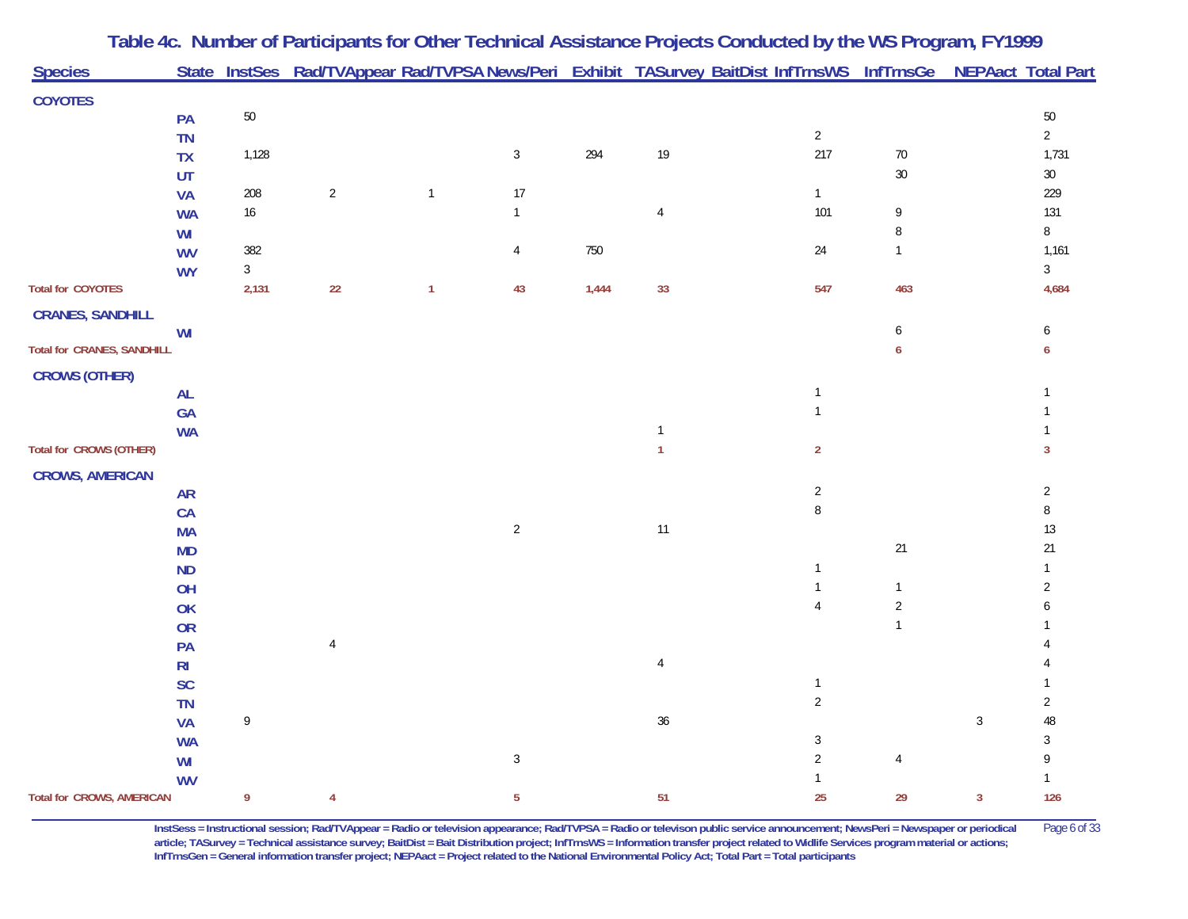| <b>Species</b>                    |                |            | State InstSes Rad/TVAppear Rad/TVPSA News/Peri Exhibit TASurvey BaitDist InfTrnsWS InfTrnsGe NEPAact Total Part |              |                |       |                |                |                |              |                |
|-----------------------------------|----------------|------------|-----------------------------------------------------------------------------------------------------------------|--------------|----------------|-------|----------------|----------------|----------------|--------------|----------------|
|                                   |                |            |                                                                                                                 |              |                |       |                |                |                |              |                |
| <b>COYOTES</b>                    | PA             | 50         |                                                                                                                 |              |                |       |                |                |                |              | $50\,$         |
|                                   | <b>TN</b>      |            |                                                                                                                 |              |                |       |                | $\overline{2}$ |                |              | $\overline{2}$ |
|                                   | <b>TX</b>      | 1,128      |                                                                                                                 |              | $\mathbf{3}$   | 294   | $19$           | 217            | $70\,$         |              | 1,731          |
|                                   | UT             |            |                                                                                                                 |              |                |       |                |                | $30\,$         |              | $30\,$         |
|                                   | <b>VA</b>      | 208        | $\overline{2}$                                                                                                  | $\mathbf{1}$ | 17             |       |                | $\mathbf{1}$   |                |              | 229            |
|                                   | <b>WA</b>      | $16$       |                                                                                                                 |              | $\overline{1}$ |       | 4              | 101            | 9              |              | 131            |
|                                   | WI             |            |                                                                                                                 |              |                |       |                |                | 8              |              | 8              |
|                                   | <b>WV</b>      | 382        |                                                                                                                 |              | 4              | 750   |                | $24\,$         | $\mathbf{1}$   |              | 1,161          |
|                                   | <b>WY</b>      | $\sqrt{3}$ |                                                                                                                 |              |                |       |                |                |                |              | $\mathfrak{Z}$ |
| <b>Total for COYOTES</b>          |                | 2,131      | 22                                                                                                              | $\mathbf{1}$ | 43             | 1,444 | 33             | 547            | 463            |              | 4,684          |
| <b>CRANES, SANDHILL</b>           |                |            |                                                                                                                 |              |                |       |                |                |                |              |                |
|                                   | WI             |            |                                                                                                                 |              |                |       |                |                | 6              |              | 6              |
| <b>Total for CRANES, SANDHILL</b> |                |            |                                                                                                                 |              |                |       |                |                | 6              |              | 6              |
| <b>CROWS (OTHER)</b>              |                |            |                                                                                                                 |              |                |       |                |                |                |              |                |
|                                   | <b>AL</b>      |            |                                                                                                                 |              |                |       |                | $\mathbf{1}$   |                |              |                |
|                                   | GA             |            |                                                                                                                 |              |                |       |                | $\mathbf{1}$   |                |              |                |
|                                   | <b>WA</b>      |            |                                                                                                                 |              |                |       |                |                |                |              |                |
| Total for CROWS (OTHER)           |                |            |                                                                                                                 |              |                |       |                | $\overline{2}$ |                |              | 3              |
| <b>CROWS, AMERICAN</b>            |                |            |                                                                                                                 |              |                |       |                |                |                |              |                |
|                                   | <b>AR</b>      |            |                                                                                                                 |              |                |       |                | $\sqrt{2}$     |                |              | $\overline{c}$ |
|                                   | CA             |            |                                                                                                                 |              |                |       |                | $\, 8$         |                |              | $\, 8$         |
|                                   | <b>MA</b>      |            |                                                                                                                 |              | $\sqrt{2}$     |       | $11$           |                |                |              | $13\,$         |
|                                   | <b>MD</b>      |            |                                                                                                                 |              |                |       |                |                | $21$           |              | 21             |
|                                   | <b>ND</b>      |            |                                                                                                                 |              |                |       |                | $\mathbf{1}$   |                |              |                |
|                                   | OH             |            |                                                                                                                 |              |                |       |                | $\mathbf{1}$   | $\mathbf{1}$   |              | 2              |
|                                   | OK             |            |                                                                                                                 |              |                |       |                | $\overline{4}$ | $\overline{2}$ |              |                |
|                                   | <b>OR</b>      |            |                                                                                                                 |              |                |       |                |                | $\mathbf{1}$   |              |                |
|                                   | PA             |            | $\overline{4}$                                                                                                  |              |                |       |                |                |                |              |                |
|                                   | R <sub>l</sub> |            |                                                                                                                 |              |                |       | $\overline{4}$ |                |                |              |                |
|                                   | SC             |            |                                                                                                                 |              |                |       |                | $\mathbf{1}$   |                |              |                |
|                                   | <b>TN</b>      |            |                                                                                                                 |              |                |       |                | $\sqrt{2}$     |                |              | $\overline{2}$ |
|                                   | <b>VA</b>      | 9          |                                                                                                                 |              |                |       | 36             |                |                | $\mathbf{3}$ | 48             |
|                                   | <b>WA</b>      |            |                                                                                                                 |              |                |       |                | $\sqrt{3}$     |                |              | 3              |
|                                   | WI             |            |                                                                                                                 |              | $\sqrt{3}$     |       |                | $\sqrt{2}$     | $\overline{4}$ |              |                |
|                                   | <b>WV</b>      |            |                                                                                                                 |              |                |       |                |                |                |              |                |
| <b>Total for CROWS, AMERICAN</b>  |                | 9          | $\overline{4}$                                                                                                  |              | $\overline{5}$ |       | 51             | 25             | 29             | $\mathbf{3}$ | 126            |

**InstSess = Instructional session; Rad/TVAppear = Radio or television appearance; Rad/TVPSA = Radio or televison public service announcement; NewsPeri = Newspaper or periodical** Page 6 of 33 article; TASurvey = Technical assistance survey; BaitDist = Bait Distribution project; InfTrnsWS = Information transfer project related to Widlife Services program material or actions; **InfTrnsGen = General information transfer project; NEPAact = Project related to the National Environmental Policy Act; Total Part = Total participants**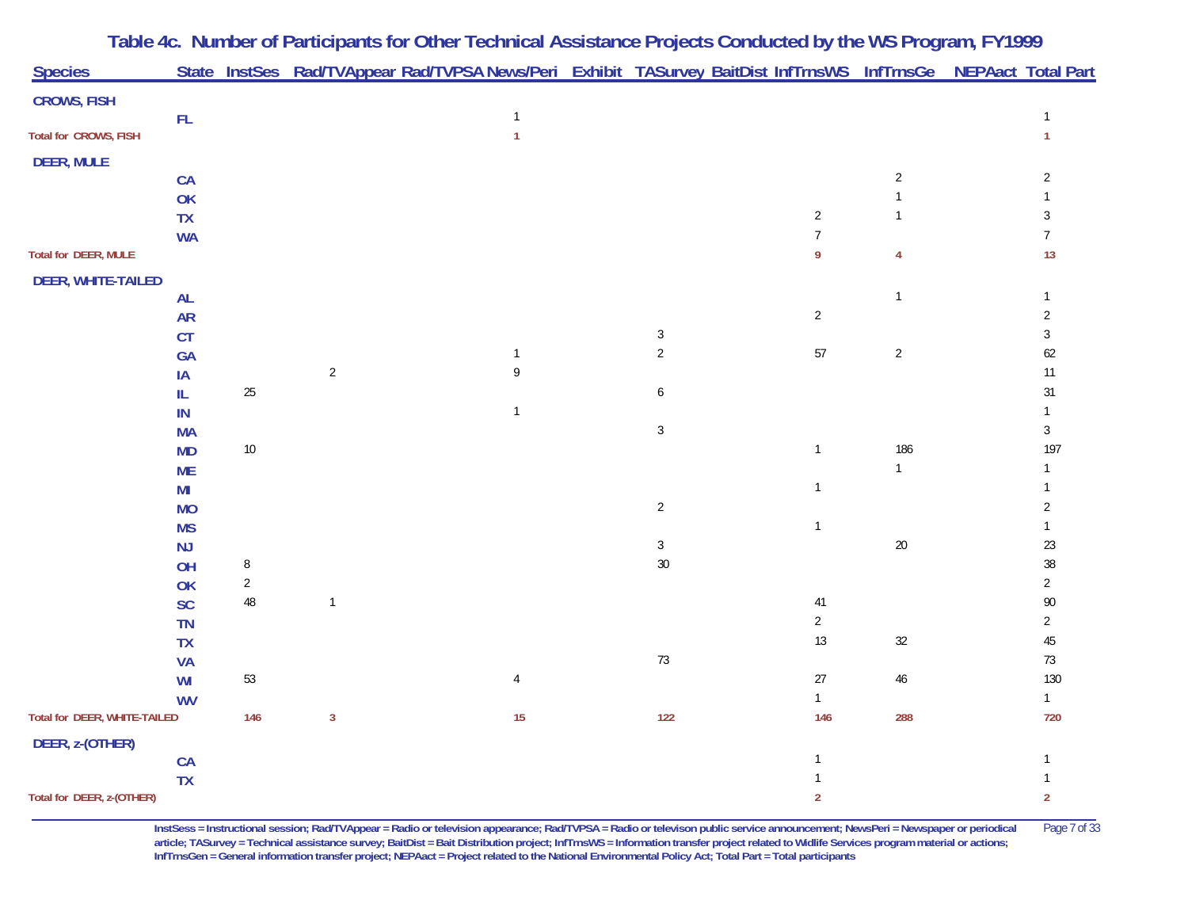| <b>Species</b>               |                 |                 |                | State InstSes Rad/TVAppear Rad/TVPSA News/Peri Exhibit TASurvey BaitDist InfTrnsWS InfTrnsGe NEPAact Total Part |                  |                |                |                  |
|------------------------------|-----------------|-----------------|----------------|-----------------------------------------------------------------------------------------------------------------|------------------|----------------|----------------|------------------|
| <b>CROWS, FISH</b>           |                 |                 |                |                                                                                                                 |                  |                |                |                  |
|                              | $\mathsf{FL}$   |                 |                | $\mathbf{1}$                                                                                                    |                  |                |                | $\mathbf{1}$     |
| Total for CROWS, FISH        |                 |                 |                | $\mathbf{1}$                                                                                                    |                  |                |                | $\mathbf{1}$     |
| <b>DEER, MULE</b>            |                 |                 |                |                                                                                                                 |                  |                |                |                  |
|                              | CA              |                 |                |                                                                                                                 |                  |                | $\overline{c}$ | $\overline{2}$   |
|                              | OK              |                 |                |                                                                                                                 |                  |                | $\mathbf{1}$   |                  |
|                              | <b>TX</b>       |                 |                |                                                                                                                 |                  | $\sqrt{2}$     | $\mathbf{1}$   | 3                |
|                              | <b>WA</b>       |                 |                |                                                                                                                 |                  | $\overline{7}$ |                | $\overline{7}$   |
| <b>Total for DEER, MULE</b>  |                 |                 |                |                                                                                                                 |                  | 9              | 4              | 13               |
| <b>DEER, WHITE-TAILED</b>    |                 |                 |                |                                                                                                                 |                  |                |                |                  |
|                              | AL              |                 |                |                                                                                                                 |                  |                | $\mathbf{1}$   | $\mathbf{1}$     |
|                              | <b>AR</b>       |                 |                |                                                                                                                 |                  | $\overline{2}$ |                | $\overline{2}$   |
|                              | CT              |                 |                |                                                                                                                 | $\sqrt{3}$       |                |                | $\mathbf{3}$     |
|                              | GA              |                 |                | $\mathbf{1}$                                                                                                    | $\sqrt{2}$       | 57             | $\sqrt{2}$     | $62\,$           |
|                              | IA              |                 | $\sqrt{2}$     | 9                                                                                                               |                  |                |                | $11$             |
|                              | IL              | 25              |                |                                                                                                                 | 6                |                |                | 31               |
|                              | ${\sf IN}$      |                 |                | $\mathbf{1}$                                                                                                    |                  |                |                | $\mathbf{1}$     |
|                              | <b>MA</b>       |                 |                |                                                                                                                 | $\sqrt{3}$       |                |                | $\mathbf{3}$     |
|                              | <b>MD</b>       | $10\,$          |                |                                                                                                                 |                  | $\mathbf{1}$   | 186            | 197              |
|                              | <b>ME</b>       |                 |                |                                                                                                                 |                  |                | $\mathbf{1}$   |                  |
|                              | MI              |                 |                |                                                                                                                 |                  | $\mathbf{1}$   |                |                  |
|                              | <b>MO</b>       |                 |                |                                                                                                                 | $\overline{2}$   |                |                | $\overline{2}$   |
|                              | <b>MS</b>       |                 |                |                                                                                                                 |                  | $\mathbf{1}$   |                | $\mathbf{1}$     |
|                              | <b>NJ</b>       |                 |                |                                                                                                                 | $\sqrt{3}$<br>30 |                | $20\,$         | $23\,$<br>$38\,$ |
|                              | OH              | 8<br>$\sqrt{2}$ |                |                                                                                                                 |                  |                |                | $\overline{2}$   |
|                              | OK<br><b>SC</b> | $\sqrt{48}$     | $\mathbf{1}$   |                                                                                                                 |                  | $41$           |                | $90\,$           |
|                              | <b>TN</b>       |                 |                |                                                                                                                 |                  | $\overline{2}$ |                | $\overline{2}$   |
|                              | <b>TX</b>       |                 |                |                                                                                                                 |                  | $13$           | $32\,$         | $45\,$           |
|                              | <b>VA</b>       |                 |                |                                                                                                                 | $73\,$           |                |                | $73\,$           |
|                              | WI              | 53              |                | 4                                                                                                               |                  | $27\,$         | $46\,$         | 130              |
|                              | <b>WV</b>       |                 |                |                                                                                                                 |                  | $\mathbf{1}$   |                | $\mathbf{1}$     |
| Total for DEER, WHITE-TAILED |                 | 146             | $\overline{3}$ | $15\,$                                                                                                          | 122              | 146            | 288            | 720              |
| DEER, z-(OTHER)              |                 |                 |                |                                                                                                                 |                  |                |                |                  |
|                              | CA              |                 |                |                                                                                                                 |                  | 1              |                |                  |
|                              | <b>TX</b>       |                 |                |                                                                                                                 |                  |                |                |                  |
| Total for DEER, z-(OTHER)    |                 |                 |                |                                                                                                                 |                  | $\overline{2}$ |                | $\overline{2}$   |

**InstSess = Instructional session; Rad/TVAppear = Radio or television appearance; Rad/TVPSA = Radio or televison public service announcement; NewsPeri = Newspaper or periodical** Page 7 of 33 article; TASurvey = Technical assistance survey; BaitDist = Bait Distribution project; InfTrnsWS = Information transfer project related to Widlife Services program material or actions; **InfTrnsGen = General information transfer project; NEPAact = Project related to the National Environmental Policy Act; Total Part = Total participants**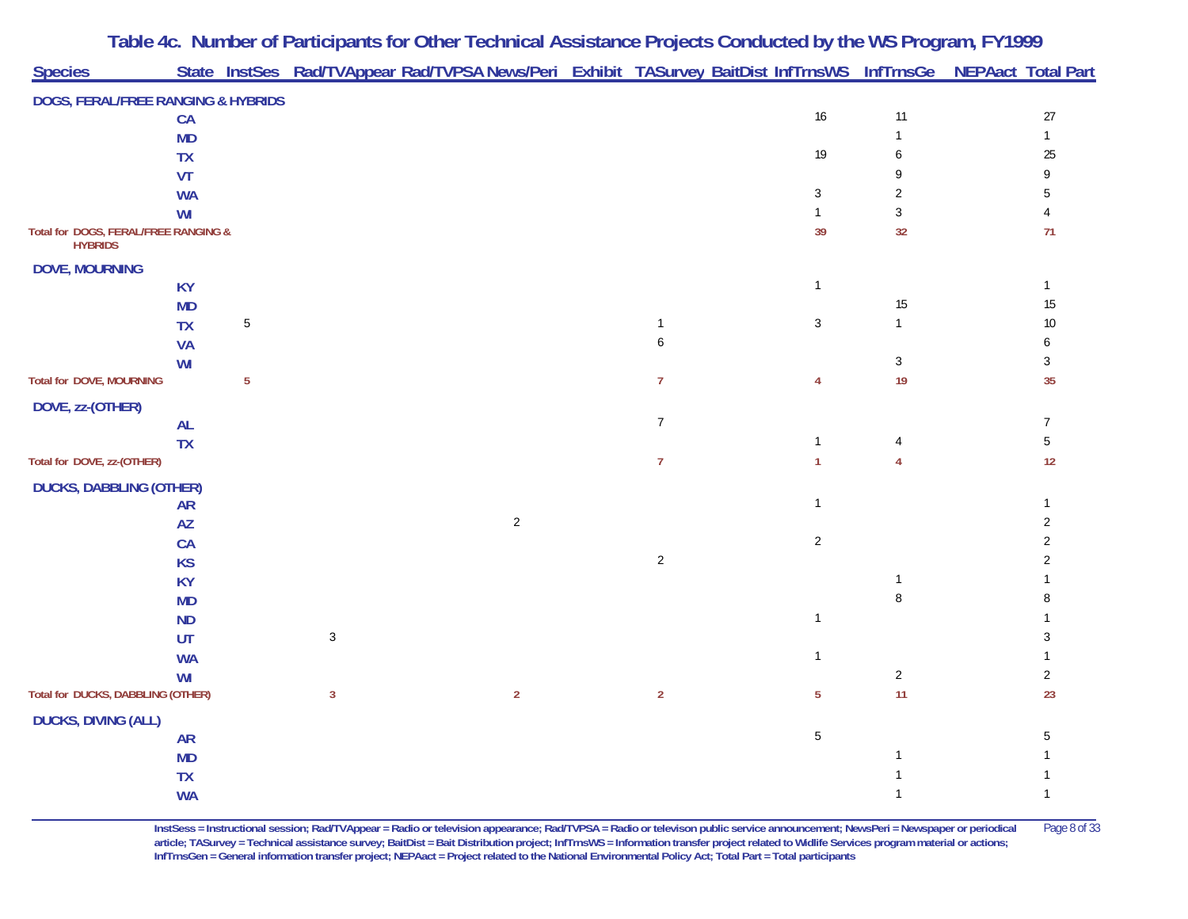|                                      |                        |                | Table 4c. Number of Participants for Other Technical Assistance Projects Conducted by the WS Program, FY1999    |            |                  |                    |                      |                     |
|--------------------------------------|------------------------|----------------|-----------------------------------------------------------------------------------------------------------------|------------|------------------|--------------------|----------------------|---------------------|
| <b>Species</b>                       |                        |                | State InstSes Rad/TVAppear Rad/TVPSA News/Peri Exhibit TASurvey BaitDist InfTrnsWS InfTrnsGe NEPAact Total Part |            |                  |                    |                      |                     |
| DOGS, FERAL/FREE RANGING & HYBRIDS   |                        |                |                                                                                                                 |            |                  |                    |                      |                     |
|                                      | CA                     |                |                                                                                                                 |            |                  | $16\,$             | 11                   | 27                  |
|                                      | <b>MD</b>              |                |                                                                                                                 |            |                  |                    | $\mathbf{1}$         | $\mathbf{1}$        |
|                                      | <b>TX</b>              |                |                                                                                                                 |            |                  | 19                 | 6                    | 25                  |
|                                      | VT                     |                |                                                                                                                 |            |                  |                    | 9                    |                     |
|                                      | <b>WA</b>              |                |                                                                                                                 |            |                  | $\sqrt{3}$         | $\overline{2}$       | 5                   |
| Total for DOGS, FERAL/FREE RANGING & | WI                     |                |                                                                                                                 |            |                  | $\mathbf{1}$<br>39 | $\mathfrak{Z}$<br>32 | 71                  |
| <b>HYBRIDS</b>                       |                        |                |                                                                                                                 |            |                  |                    |                      |                     |
| <b>DOVE, MOURNING</b>                |                        |                |                                                                                                                 |            |                  |                    |                      |                     |
|                                      | <b>KY</b>              |                |                                                                                                                 |            |                  | $\mathbf{1}$       |                      | $\mathbf{1}$        |
|                                      | <b>MD</b>              |                |                                                                                                                 |            |                  |                    | 15                   | $15\,$              |
|                                      | <b>TX</b>              | 5              |                                                                                                                 |            | $\mathbf{1}$     | 3                  | $\mathbf{1}$         | 10                  |
|                                      | <b>VA</b>              |                |                                                                                                                 |            | 6                |                    |                      | 6                   |
|                                      | WI                     |                |                                                                                                                 |            |                  |                    | $\mathbf{3}$         | 3                   |
| <b>Total for DOVE, MOURNING</b>      |                        | $\overline{5}$ |                                                                                                                 |            | $\overline{7}$   | 4                  | 19                   | 35                  |
| DOVE, zz-(OTHER)                     |                        |                |                                                                                                                 |            |                  |                    |                      |                     |
|                                      | <b>AL</b>              |                |                                                                                                                 |            | $\boldsymbol{7}$ |                    |                      | $\boldsymbol{7}$    |
|                                      | <b>TX</b>              |                |                                                                                                                 |            |                  | $\mathbf{1}$       | 4                    | $\mathbf 5$         |
| Total for DOVE, zz-(OTHER)           |                        |                |                                                                                                                 |            | $\overline{7}$   | $\mathbf{1}$       | $\overline{4}$       | $12$                |
| <b>DUCKS, DABBLING (OTHER)</b>       |                        |                |                                                                                                                 |            |                  |                    |                      |                     |
|                                      | <b>AR</b>              |                |                                                                                                                 |            |                  | $\mathbf{1}$       |                      | $\mathbf{1}$        |
|                                      | AZ                     |                |                                                                                                                 | $\sqrt{2}$ |                  | $\sqrt{2}$         |                      | $\overline{2}$<br>2 |
|                                      | <b>CA</b>              |                |                                                                                                                 |            | $\overline{2}$   |                    |                      | 2                   |
|                                      | <b>KS</b><br><b>KY</b> |                |                                                                                                                 |            |                  |                    | $\mathbf{1}$         |                     |
|                                      | <b>MD</b>              |                |                                                                                                                 |            |                  |                    | $\,8\,$              |                     |
|                                      | <b>ND</b>              |                |                                                                                                                 |            |                  | $\mathbf{1}$       |                      |                     |
|                                      | UT                     |                | $\sqrt{3}$                                                                                                      |            |                  |                    |                      | 3                   |
|                                      | <b>WA</b>              |                |                                                                                                                 |            |                  | $\mathbf{1}$       |                      |                     |
|                                      | WI                     |                |                                                                                                                 |            |                  |                    | $\overline{a}$       | $\overline{2}$      |
| Total for DUCKS, DABBLING (OTHER)    |                        |                | $\mathbf{3}$                                                                                                    | $\sqrt{2}$ | $\overline{2}$   | $\overline{5}$     | 11                   | 23                  |
| <b>DUCKS, DIVING (ALL)</b>           |                        |                |                                                                                                                 |            |                  |                    |                      |                     |
|                                      | <b>AR</b>              |                |                                                                                                                 |            |                  | $\sqrt{5}$         |                      | 5                   |
|                                      | <b>MD</b>              |                |                                                                                                                 |            |                  |                    | $\mathbf{1}$         |                     |
|                                      | TX                     |                |                                                                                                                 |            |                  |                    | $\mathbf{1}$         |                     |
|                                      | <b>WA</b>              |                |                                                                                                                 |            |                  |                    | $\mathbf{1}$         | $\mathbf{1}$        |

**InstSess = Instructional session; Rad/TVAppear = Radio or television appearance; Rad/TVPSA = Radio or televison public service announcement; NewsPeri = Newspaper or periodical** Page 8 of 33 article; TASurvey = Technical assistance survey; BaitDist = Bait Distribution project; InfTrnsWS = Information transfer project related to Widlife Services program material or actions; **InfTrnsGen = General information transfer project; NEPAact = Project related to the National Environmental Policy Act; Total Part = Total participants**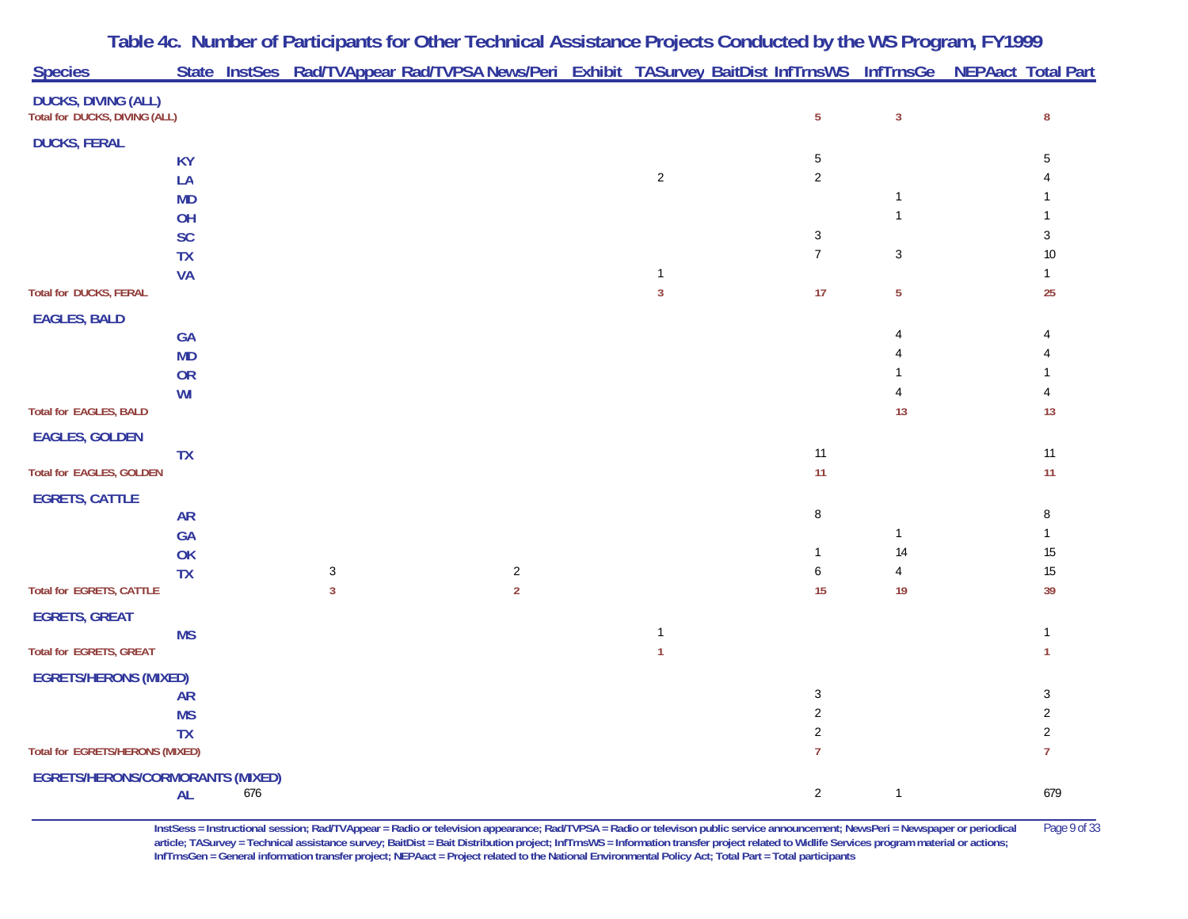| <b>Species</b>                                              |                        |     | State InstSes Rad/TVAppear Rad/TVPSA News/Peri Exhibit TASurvey BaitDist InfTrnsWS InfTrnsGe NEPAact Total Part |                |                |                              |                |                  |
|-------------------------------------------------------------|------------------------|-----|-----------------------------------------------------------------------------------------------------------------|----------------|----------------|------------------------------|----------------|------------------|
| <b>DUCKS, DIVING (ALL)</b><br>Total for DUCKS, DIVING (ALL) |                        |     |                                                                                                                 |                |                | $\overline{5}$               | $\mathbf{3}$   | $\bf 8$          |
| <b>DUCKS, FERAL</b>                                         |                        |     |                                                                                                                 |                |                |                              |                |                  |
|                                                             | <b>KY</b>              |     |                                                                                                                 |                |                | 5                            |                | 5                |
|                                                             | LA                     |     |                                                                                                                 |                | $\sqrt{2}$     | $\overline{2}$               |                |                  |
|                                                             | <b>MD</b>              |     |                                                                                                                 |                |                |                              | $\mathbf{1}$   |                  |
|                                                             | OH                     |     |                                                                                                                 |                |                |                              |                |                  |
|                                                             | SC                     |     |                                                                                                                 |                |                | $\sqrt{3}$<br>$\overline{7}$ | 3              | 3<br>10          |
|                                                             | <b>TX</b><br><b>VA</b> |     |                                                                                                                 |                | $\mathbf{1}$   |                              |                | $\mathbf{1}$     |
| <b>Total for DUCKS, FERAL</b>                               |                        |     |                                                                                                                 |                | $\overline{3}$ | 17                           | 5              | 25               |
|                                                             |                        |     |                                                                                                                 |                |                |                              |                |                  |
| <b>EAGLES, BALD</b>                                         | GA                     |     |                                                                                                                 |                |                |                              |                |                  |
|                                                             | <b>MD</b>              |     |                                                                                                                 |                |                |                              |                |                  |
|                                                             | OR                     |     |                                                                                                                 |                |                |                              |                |                  |
|                                                             | WI                     |     |                                                                                                                 |                |                |                              |                |                  |
| <b>Total for EAGLES, BALD</b>                               |                        |     |                                                                                                                 |                |                |                              | 13             | 13               |
| <b>EAGLES, GOLDEN</b>                                       |                        |     |                                                                                                                 |                |                |                              |                |                  |
|                                                             | <b>TX</b>              |     |                                                                                                                 |                |                | 11                           |                | $11$             |
| <b>Total for EAGLES, GOLDEN</b>                             |                        |     |                                                                                                                 |                |                | 11                           |                | 11               |
| <b>EGRETS, CATTLE</b>                                       |                        |     |                                                                                                                 |                |                |                              |                |                  |
|                                                             | <b>AR</b>              |     |                                                                                                                 |                |                | $\, 8$                       |                | 8                |
|                                                             | GA                     |     |                                                                                                                 |                |                |                              | 1              | $\mathbf{1}$     |
|                                                             | OK                     |     |                                                                                                                 | $\overline{2}$ |                | $\mathbf{1}$                 | 14             | $15\,$<br>$15\,$ |
| <b>Total for EGRETS, CATTLE</b>                             | <b>TX</b>              |     | $\mathbf{3}$<br>3                                                                                               | $\overline{2}$ |                | 6<br>15                      | 4<br>19        | 39               |
|                                                             |                        |     |                                                                                                                 |                |                |                              |                |                  |
| <b>EGRETS, GREAT</b>                                        | <b>MS</b>              |     |                                                                                                                 |                | $\mathbf{1}$   |                              |                |                  |
| <b>Total for EGRETS, GREAT</b>                              |                        |     |                                                                                                                 |                | $\mathbf{1}$   |                              |                |                  |
| <b>EGRETS/HERONS (MIXED)</b>                                |                        |     |                                                                                                                 |                |                |                              |                |                  |
|                                                             | <b>AR</b>              |     |                                                                                                                 |                |                | 3                            |                | 3                |
|                                                             | <b>MS</b>              |     |                                                                                                                 |                |                | 2                            |                | 2                |
|                                                             | <b>TX</b>              |     |                                                                                                                 |                |                | $\overline{2}$               |                | $\overline{2}$   |
| <b>Total for EGRETS/HERONS (MIXED)</b>                      |                        |     |                                                                                                                 |                |                | $\overline{7}$               |                | $\overline{7}$   |
| <b>EGRETS/HERONS/CORMORANTS (MIXED)</b>                     |                        |     |                                                                                                                 |                |                |                              |                |                  |
|                                                             | <b>AL</b>              | 676 |                                                                                                                 |                |                | $\overline{2}$               | $\overline{1}$ | 679              |

**InstSess = Instructional session; Rad/TVAppear = Radio or television appearance; Rad/TVPSA = Radio or televison public service announcement; NewsPeri = Newspaper or periodical** Page 9 of 33 **article; TASurvey = Technical assistance survey; BaitDist = Bait Distribution project; InfTrnsWS = Information transfer project related to Widlife Services program material or actions; InfTrnsGen = General information transfer project; NEPAact = Project related to the National Environmental Policy Act; Total Part = Total participants**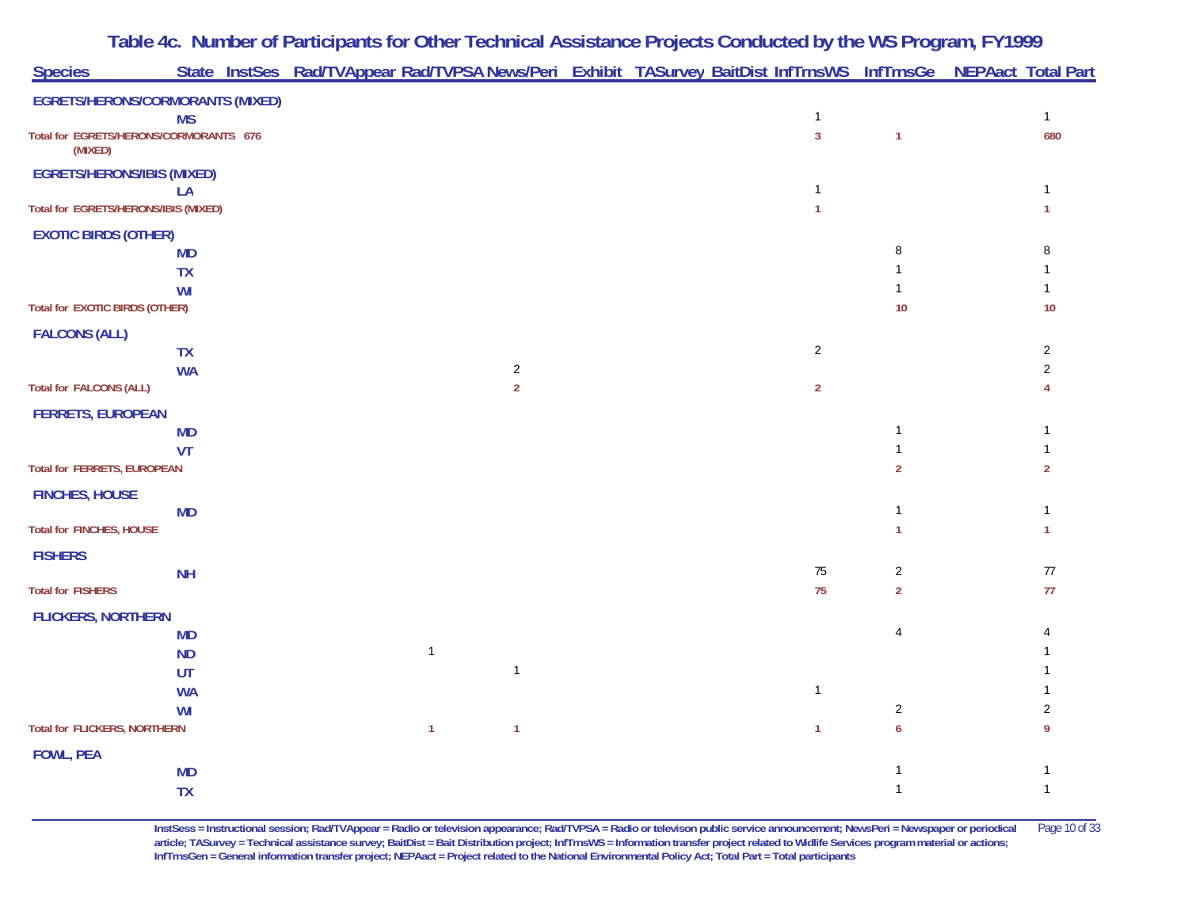|                                        |                                         | Table 4c. Number of Participants for Other Technical Assistance Projects Conducted by the WS Program, FY1999    |  |                                |                                  |                                  |
|----------------------------------------|-----------------------------------------|-----------------------------------------------------------------------------------------------------------------|--|--------------------------------|----------------------------------|----------------------------------|
| <b>Species</b>                         |                                         | State InstSes Rad/TVAppear Rad/TVPSA News/Peri Exhibit TASurvey BaitDist InfTrnsWS InfTrnsGe NEPAact Total Part |  |                                |                                  |                                  |
|                                        | <b>EGRETS/HERONS/CORMORANTS (MIXED)</b> |                                                                                                                 |  |                                |                                  |                                  |
| Total for EGRETS/HERONS/CORMORANTS 676 | <b>MS</b>                               |                                                                                                                 |  | $\mathbf{1}$<br>$\overline{3}$ | $\mathbf{1}$                     | $\mathbf{1}$<br>680              |
| (MIXED)                                |                                         |                                                                                                                 |  |                                |                                  |                                  |
| <b>EGRETS/HERONS/IBIS (MIXED)</b>      | LA                                      |                                                                                                                 |  |                                |                                  |                                  |
| Total for EGRETS/HERONS/IBIS (MIXED)   |                                         |                                                                                                                 |  | $\mathbf{1}$                   |                                  | $\mathbf{1}$                     |
| <b>EXOTIC BIRDS (OTHER)</b>            |                                         |                                                                                                                 |  |                                |                                  |                                  |
|                                        | <b>MD</b>                               |                                                                                                                 |  |                                | 8                                |                                  |
|                                        | <b>TX</b>                               |                                                                                                                 |  |                                |                                  |                                  |
|                                        | WI                                      |                                                                                                                 |  |                                |                                  |                                  |
| <b>Total for EXOTIC BIRDS (OTHER)</b>  |                                         |                                                                                                                 |  |                                | 10                               | 10                               |
| <b>FALCONS (ALL)</b>                   |                                         |                                                                                                                 |  |                                |                                  |                                  |
|                                        | <b>TX</b><br><b>WA</b>                  | $\sqrt{2}$                                                                                                      |  | $\overline{2}$                 |                                  | $\overline{2}$<br>$\overline{2}$ |
| <b>Total for FALCONS (ALL)</b>         |                                         | $\overline{2}$                                                                                                  |  | $\overline{2}$                 |                                  |                                  |
| <b>FERRETS, EUROPEAN</b>               |                                         |                                                                                                                 |  |                                |                                  |                                  |
|                                        | <b>MD</b>                               |                                                                                                                 |  |                                | $\mathbf{1}$                     |                                  |
|                                        | VT                                      |                                                                                                                 |  |                                | $\mathbf{1}$                     |                                  |
| <b>Total for FERRETS, EUROPEAN</b>     |                                         |                                                                                                                 |  |                                | $\overline{2}$                   | $\overline{2}$                   |
| <b>FINCHES, HOUSE</b>                  |                                         |                                                                                                                 |  |                                |                                  |                                  |
|                                        | <b>MD</b>                               |                                                                                                                 |  |                                | $\mathbf{1}$                     |                                  |
| <b>Total for FINCHES, HOUSE</b>        |                                         |                                                                                                                 |  |                                | 1                                | $\mathbf{1}$                     |
| <b>FISHERS</b>                         |                                         |                                                                                                                 |  |                                |                                  |                                  |
| <b>Total for FISHERS</b>               | <b>NH</b>                               |                                                                                                                 |  | $75\,$<br>75                   | $\overline{c}$<br>$\overline{2}$ | $77\,$<br>$77$                   |
|                                        |                                         |                                                                                                                 |  |                                |                                  |                                  |
| <b>FLICKERS, NORTHERN</b>              |                                         |                                                                                                                 |  |                                | 4                                |                                  |
|                                        | <b>MD</b><br><b>ND</b>                  | $\mathbf{1}$                                                                                                    |  |                                |                                  |                                  |
|                                        | UT                                      | $\mathbf{1}$                                                                                                    |  |                                |                                  |                                  |
|                                        | <b>WA</b>                               |                                                                                                                 |  | $\mathbf{1}$                   |                                  |                                  |
|                                        | WI                                      |                                                                                                                 |  |                                | $\overline{c}$                   |                                  |
| <b>Total for FLICKERS, NORTHERN</b>    |                                         | $\mathbf{1}$<br>$\mathbf{1}$                                                                                    |  | $\mathbf{1}$                   | 6                                |                                  |
| <b>FOWL, PEA</b>                       |                                         |                                                                                                                 |  |                                |                                  |                                  |
|                                        | <b>MD</b>                               |                                                                                                                 |  |                                | 1                                |                                  |
|                                        | <b>TX</b>                               |                                                                                                                 |  |                                | $\mathbf{1}$                     | $\mathbf{1}$                     |

**InstSess = Instructional session; Rad/TVAppear = Radio or television appearance; Rad/TVPSA = Radio or televison public service announcement; NewsPeri = Newspaper or periodical** Page 10 of 33 **article; TASurvey = Technical assistance survey; BaitDist = Bait Distribution project; InfTrnsWS = Information transfer project related to Widlife Services program material or actions; InfTrnsGen = General information transfer project; NEPAact = Project related to the National Environmental Policy Act; Total Part = Total participants**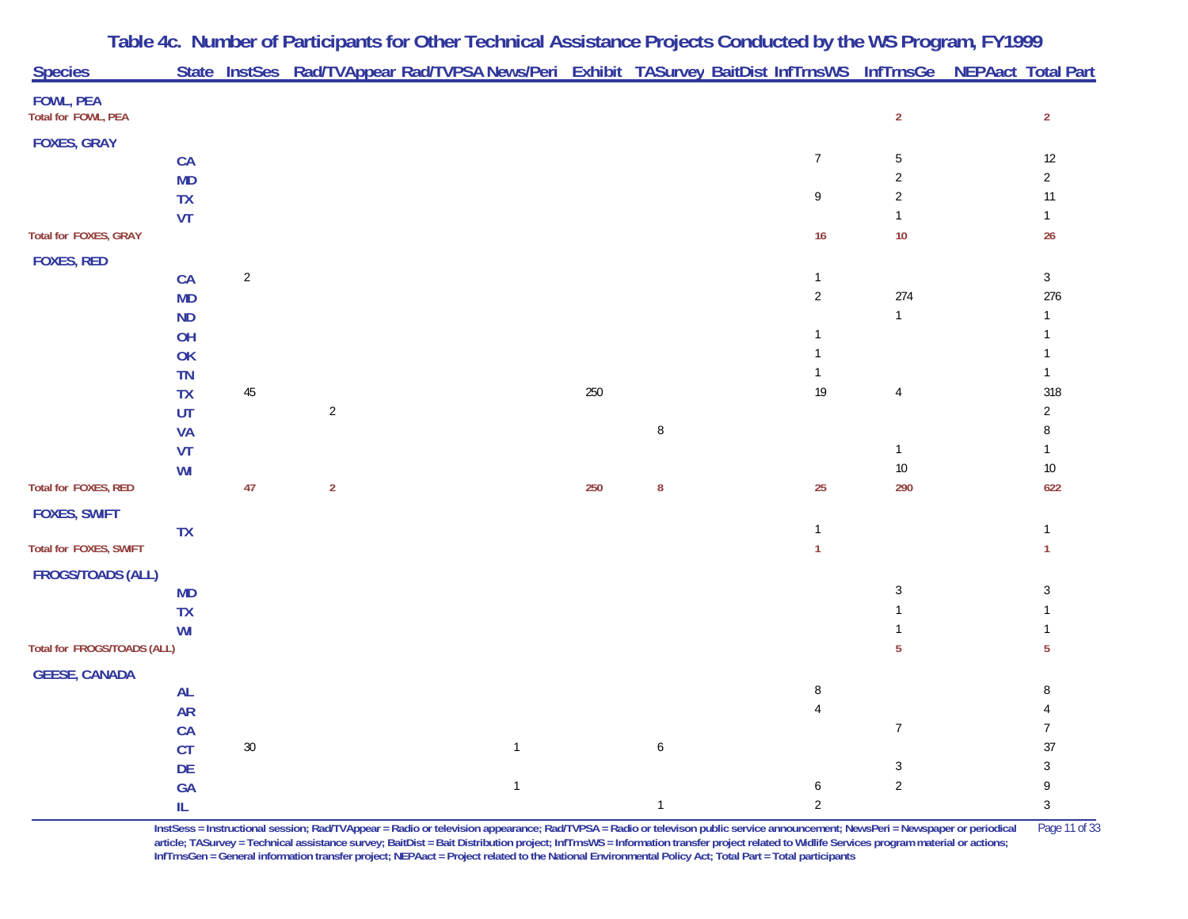| <b>Species</b>                          |           |                |                | State InstSes Rad/TVAppear Rad/TVPSA News/Peri Exhibit TASurvey BaitDist InfTrnsWS InfTrnsGe NEPAact Total Part |     |              |                                   |                |                |
|-----------------------------------------|-----------|----------------|----------------|-----------------------------------------------------------------------------------------------------------------|-----|--------------|-----------------------------------|----------------|----------------|
| <b>FOWL, PEA</b><br>Total for FOWL, PEA |           |                |                |                                                                                                                 |     |              |                                   | $\overline{2}$ | $\overline{2}$ |
| <b>FOXES, GRAY</b>                      |           |                |                |                                                                                                                 |     |              |                                   |                |                |
|                                         | CA        |                |                |                                                                                                                 |     |              | $\overline{7}$                    | 5              | $12$           |
|                                         | <b>MD</b> |                |                |                                                                                                                 |     |              |                                   | $\overline{2}$ | $\overline{2}$ |
|                                         | TX        |                |                |                                                                                                                 |     |              | $\mathsf{g}% _{T}=\mathsf{g}_{T}$ | $\overline{2}$ | 11             |
|                                         | VT        |                |                |                                                                                                                 |     |              |                                   |                | $\mathbf{1}$   |
| Total for FOXES, GRAY                   |           |                |                |                                                                                                                 |     |              | 16                                | $10$           | 26             |
| <b>FOXES, RED</b>                       |           |                |                |                                                                                                                 |     |              |                                   |                |                |
|                                         | CA        | $\overline{2}$ |                |                                                                                                                 |     |              | $\mathbf{1}$                      |                | $\mathbf{3}$   |
|                                         | <b>MD</b> |                |                |                                                                                                                 |     |              | $\sqrt{2}$                        | 274            | 276            |
|                                         | <b>ND</b> |                |                |                                                                                                                 |     |              |                                   | $\mathbf{1}$   |                |
|                                         | OH        |                |                |                                                                                                                 |     |              | $\mathbf{1}$                      |                |                |
|                                         | OK        |                |                |                                                                                                                 |     |              | $\mathbf{1}$                      |                |                |
|                                         | <b>TN</b> |                |                |                                                                                                                 |     |              | $\mathbf{1}$                      |                | $\mathbf{1}$   |
|                                         | <b>TX</b> | $45\,$         |                |                                                                                                                 | 250 |              | 19                                | $\overline{4}$ | 318            |
|                                         | UT        |                | $\overline{2}$ |                                                                                                                 |     |              |                                   |                | $\overline{2}$ |
|                                         | <b>VA</b> |                |                |                                                                                                                 |     | $\, 8$       |                                   |                | 8              |
|                                         | VT        |                |                |                                                                                                                 |     |              |                                   | $\mathbf{1}$   |                |
|                                         | WI        |                |                |                                                                                                                 |     |              |                                   | $10$           | $10\,$         |
| Total for FOXES, RED                    |           | 47             | $\overline{2}$ |                                                                                                                 | 250 | ${\bf 8}$    | 25                                | 290            | 622            |
| <b>FOXES, SWIFT</b>                     |           |                |                |                                                                                                                 |     |              |                                   |                |                |
|                                         | <b>TX</b> |                |                |                                                                                                                 |     |              | $\mathbf{1}$                      |                | $\mathbf{1}$   |
| Total for FOXES, SWIFT                  |           |                |                |                                                                                                                 |     |              | $\mathbf{1}$                      |                | 1              |
| <b>FROGS/TOADS (ALL)</b>                |           |                |                |                                                                                                                 |     |              |                                   |                |                |
|                                         | <b>MD</b> |                |                |                                                                                                                 |     |              |                                   | 3              | 3              |
|                                         | <b>TX</b> |                |                |                                                                                                                 |     |              |                                   |                |                |
|                                         | WI        |                |                |                                                                                                                 |     |              |                                   |                |                |
| Total for FROGS/TOADS (ALL)             |           |                |                |                                                                                                                 |     |              |                                   | 5              | 5              |
| <b>GEESE, CANADA</b>                    |           |                |                |                                                                                                                 |     |              |                                   |                |                |
|                                         | <b>AL</b> |                |                |                                                                                                                 |     |              | $\, 8$                            |                | 8              |
|                                         | <b>AR</b> |                |                |                                                                                                                 |     |              | $\overline{4}$                    |                |                |
|                                         | CA        |                |                |                                                                                                                 |     |              |                                   | $\overline{7}$ | $\overline{7}$ |
|                                         | CT        | $30\,$         |                | $\mathbf{1}$                                                                                                    |     | 6            |                                   |                | 37             |
|                                         | DE        |                |                |                                                                                                                 |     |              |                                   | 3              | 3              |
|                                         | GA        |                |                | $\overline{1}$                                                                                                  |     |              | 6                                 | $\overline{2}$ | 9              |
|                                         | IL.       |                |                |                                                                                                                 |     | $\mathbf{1}$ | $\sqrt{2}$                        |                | $\mathbf{3}$   |

**InstSess = Instructional session; Rad/TVAppear = Radio or television appearance; Rad/TVPSA = Radio or televison public service announcement; NewsPeri = Newspaper or periodical** Page 11 of 33 article; TASurvey = Technical assistance survey; BaitDist = Bait Distribution project; InfTrnsWS = Information transfer project related to Widlife Services program material or actions; **InfTrnsGen = General information transfer project; NEPAact = Project related to the National Environmental Policy Act; Total Part = Total participants**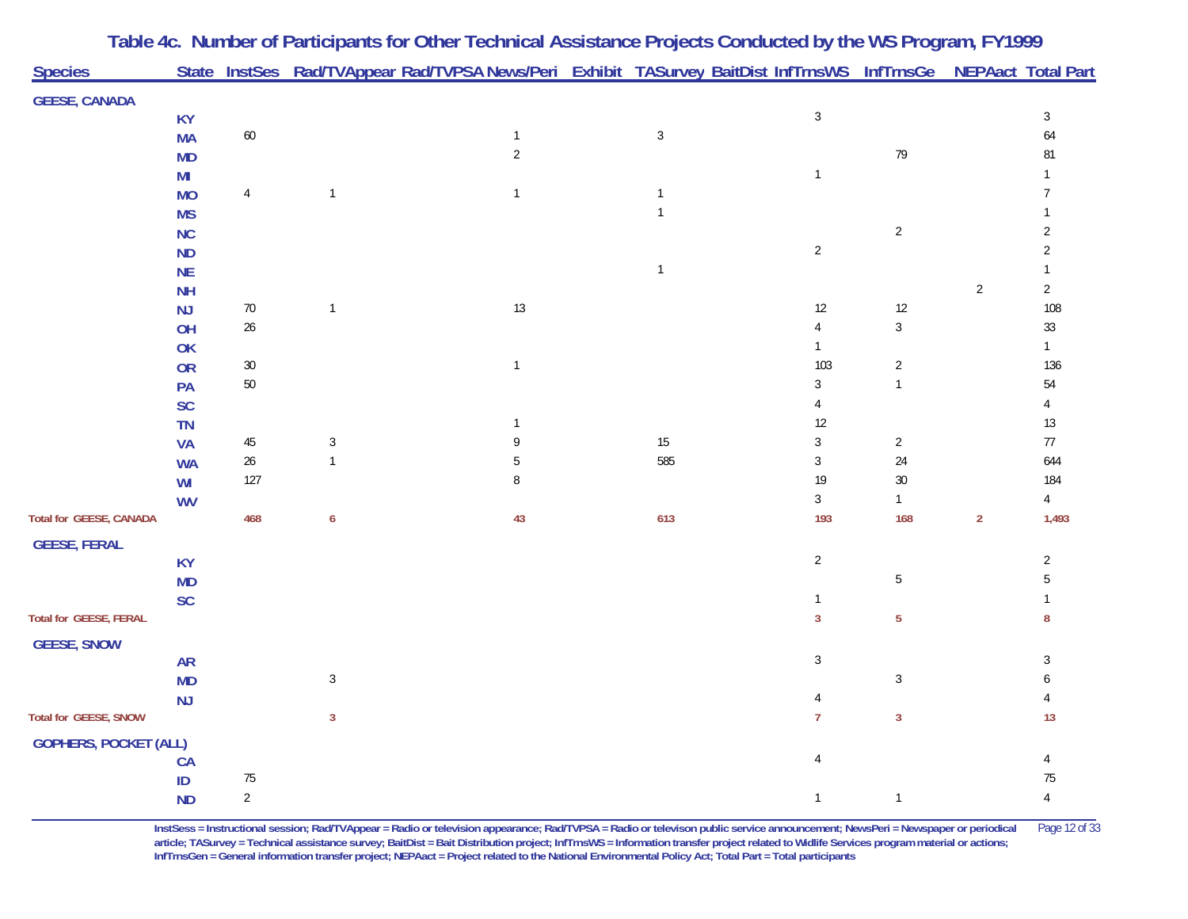| <b>Species</b>                |                        |                |                  | State InstSes Rad/TVAppear Rad/TVPSA News/Peri Exhibit TASurvey BaitDist InfTrnsWS InfTrnsGe NEPAact Total Part |              |                        |                |                |                |
|-------------------------------|------------------------|----------------|------------------|-----------------------------------------------------------------------------------------------------------------|--------------|------------------------|----------------|----------------|----------------|
| <b>GEESE, CANADA</b>          |                        |                |                  |                                                                                                                 |              |                        |                |                |                |
|                               | <b>KY</b>              |                |                  |                                                                                                                 |              | $\sqrt{3}$             |                |                | $\sqrt{3}$     |
|                               | <b>MA</b>              | $60\,$         |                  | $\mathbf{1}$                                                                                                    | $\sqrt{3}$   |                        |                |                | 64             |
|                               | <b>MD</b>              |                |                  | $\overline{2}$                                                                                                  |              |                        | 79             |                | 81             |
|                               | MI                     |                |                  |                                                                                                                 |              | $\mathbf{1}$           |                |                |                |
|                               | <b>MO</b>              | $\overline{4}$ | $\mathbf{1}$     | $\mathbf{1}$                                                                                                    | $\mathbf{1}$ |                        |                |                | $\overline{7}$ |
|                               | <b>MS</b>              |                |                  |                                                                                                                 | $\mathbf{1}$ |                        |                |                |                |
|                               | <b>NC</b>              |                |                  |                                                                                                                 |              |                        | $\overline{2}$ |                | 2              |
|                               | <b>ND</b>              |                |                  |                                                                                                                 |              | $\overline{c}$         |                |                | 2              |
|                               | NE                     |                |                  |                                                                                                                 | $\mathbf{1}$ |                        |                |                |                |
|                               | <b>NH</b>              |                |                  |                                                                                                                 |              |                        |                | $\overline{2}$ | $\overline{c}$ |
|                               | <b>NJ</b>              | $70\,$         | $\mathbf{1}$     | 13                                                                                                              |              | $12\,$                 | $12$           |                | 108            |
|                               | OH                     | $26\,$         |                  |                                                                                                                 |              | $\overline{4}$         | $\mathfrak{Z}$ |                | $33\,$         |
|                               | OK                     |                |                  |                                                                                                                 |              | $\mathbf{1}$           |                |                | $\mathbf{1}$   |
|                               | OR                     | $30\,$         |                  | $\overline{1}$                                                                                                  |              | 103                    | $\sqrt{2}$     |                | 136            |
|                               | PA                     | $50\,$         |                  |                                                                                                                 |              | $\sqrt{3}$             | $\mathbf{1}$   |                | 54             |
|                               | SC                     |                |                  |                                                                                                                 |              | $\overline{4}$<br>$12$ |                |                | 4<br>$13$      |
|                               | <b>TN</b>              | $45\,$         | $\sqrt{3}$       | -1<br>9                                                                                                         | $15\,$       | $\sqrt{3}$             | $\overline{c}$ |                | $77\,$         |
|                               | <b>VA</b><br><b>WA</b> | $26\,$         | $\mathbf{1}$     | 5                                                                                                               | 585          | $\sqrt{3}$             | 24             |                | 644            |
|                               | WI                     | 127            |                  | 8                                                                                                               |              | 19                     | $30\,$         |                | 184            |
|                               | <b>WV</b>              |                |                  |                                                                                                                 |              | $\mathbf{3}$           | $\mathbf{1}$   |                | $\overline{4}$ |
| Total for GEESE, CANADA       |                        | 468            | $\boldsymbol{6}$ | 43                                                                                                              | 613          | 193                    | 168            | $\sqrt{2}$     | 1,493          |
| <b>GEESE, FERAL</b>           |                        |                |                  |                                                                                                                 |              |                        |                |                |                |
|                               | <b>KY</b>              |                |                  |                                                                                                                 |              | $\sqrt{2}$             |                |                | $\overline{c}$ |
|                               | <b>MD</b>              |                |                  |                                                                                                                 |              |                        | 5              |                | 5              |
|                               | <b>SC</b>              |                |                  |                                                                                                                 |              | $\mathbf{1}$           |                |                |                |
| <b>Total for GEESE, FERAL</b> |                        |                |                  |                                                                                                                 |              | $\overline{3}$         | $\overline{5}$ |                | 8              |
| <b>GEESE, SNOW</b>            |                        |                |                  |                                                                                                                 |              |                        |                |                |                |
|                               | <b>AR</b>              |                |                  |                                                                                                                 |              | $\sqrt{3}$             |                |                | 3              |
|                               | <b>MD</b>              |                | $\mathbf{3}$     |                                                                                                                 |              |                        | $\mathbf{3}$   |                |                |
|                               | <b>NJ</b>              |                |                  |                                                                                                                 |              | 4                      |                |                |                |
| <b>Total for GEESE, SNOW</b>  |                        |                | $\overline{3}$   |                                                                                                                 |              | $\overline{7}$         | $\mathbf{3}$   |                | 13             |
| <b>GOPHERS, POCKET (ALL)</b>  |                        |                |                  |                                                                                                                 |              |                        |                |                |                |
|                               | CA                     |                |                  |                                                                                                                 |              | $\overline{4}$         |                |                |                |
|                               | $\sf ID$               | $75\,$         |                  |                                                                                                                 |              |                        |                |                | $75\,$         |
|                               | <b>ND</b>              | $\overline{2}$ |                  |                                                                                                                 |              | $\mathbf{1}$           | $\mathbf{1}$   |                | $\sqrt{4}$     |

**InstSess = Instructional session; Rad/TVAppear = Radio or television appearance; Rad/TVPSA = Radio or televison public service announcement; NewsPeri = Newspaper or periodical** Page 12 of 33 article; TASurvey = Technical assistance survey; BaitDist = Bait Distribution project; InfTrnsWS = Information transfer project related to Widlife Services program material or actions; **InfTrnsGen = General information transfer project; NEPAact = Project related to the National Environmental Policy Act; Total Part = Total participants**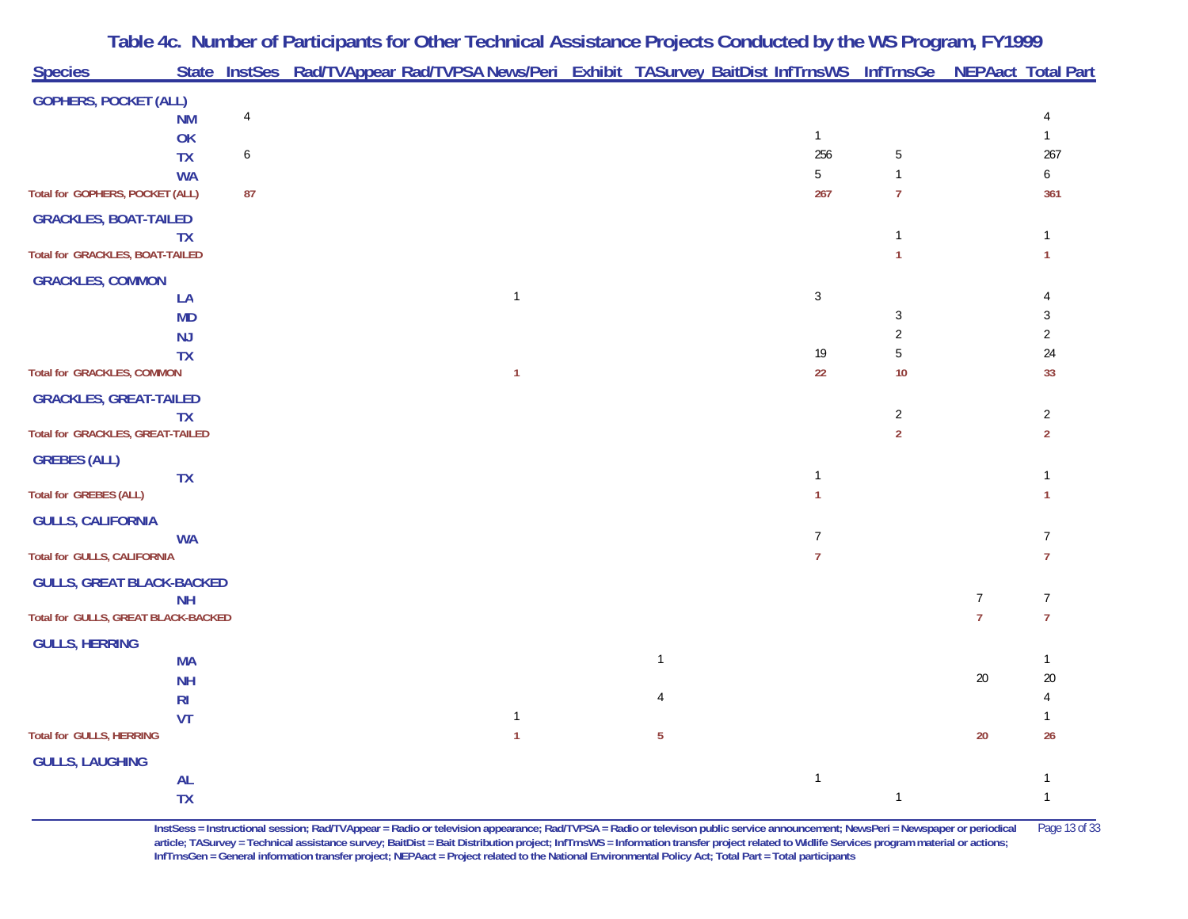|                                         |                |                | Table 4c. Number of Participants for Other Technical Assistance Projects Conducted by the WS Program, FY1999    |              |                |                                |                |                  |
|-----------------------------------------|----------------|----------------|-----------------------------------------------------------------------------------------------------------------|--------------|----------------|--------------------------------|----------------|------------------|
| <b>Species</b>                          |                |                | State InstSes Rad/TVAppear Rad/TVPSA News/Peri Exhibit TASurvey BaitDist InfTrnsWS InfTrnsGe NEPAact Total Part |              |                |                                |                |                  |
| <b>GOPHERS, POCKET (ALL)</b>            |                |                |                                                                                                                 |              |                |                                |                |                  |
|                                         | <b>NM</b>      | $\overline{4}$ |                                                                                                                 |              |                |                                |                | $\overline{4}$   |
|                                         | OK             |                |                                                                                                                 |              | $\mathbf{1}$   |                                |                | $\mathbf{1}$     |
|                                         | <b>TX</b>      | 6              |                                                                                                                 |              | 256            | 5                              |                | 267              |
| Total for GOPHERS, POCKET (ALL)         | <b>WA</b>      | 87             |                                                                                                                 |              | 5<br>267       | $\mathbf{1}$<br>$\overline{7}$ |                | 6                |
|                                         |                |                |                                                                                                                 |              |                |                                |                | 361              |
| <b>GRACKLES, BOAT-TAILED</b>            |                |                |                                                                                                                 |              |                | 1                              |                |                  |
| <b>Total for GRACKLES, BOAT-TAILED</b>  | <b>TX</b>      |                |                                                                                                                 |              |                |                                |                | 1                |
| <b>GRACKLES, COMMON</b>                 |                |                |                                                                                                                 |              |                |                                |                |                  |
|                                         | LA             |                | $\mathbf{1}$                                                                                                    |              | $\sqrt{3}$     |                                |                |                  |
|                                         | <b>MD</b>      |                |                                                                                                                 |              |                | 3                              |                | 3                |
|                                         | <b>NJ</b>      |                |                                                                                                                 |              |                | $\overline{2}$                 |                | $\overline{2}$   |
|                                         | <b>TX</b>      |                |                                                                                                                 |              | 19             | 5                              |                | 24               |
| <b>Total for GRACKLES, COMMON</b>       |                |                | $\mathbf{1}$                                                                                                    |              | 22             | 10                             |                | 33               |
| <b>GRACKLES, GREAT-TAILED</b>           |                |                |                                                                                                                 |              |                |                                |                |                  |
|                                         | <b>TX</b>      |                |                                                                                                                 |              |                | $\overline{2}$                 |                | $\overline{2}$   |
| <b>Total for GRACKLES, GREAT-TAILED</b> |                |                |                                                                                                                 |              |                | $\overline{2}$                 |                | $\boldsymbol{2}$ |
| <b>GREBES (ALL)</b>                     |                |                |                                                                                                                 |              |                |                                |                |                  |
| <b>Total for GREBES (ALL)</b>           | <b>TX</b>      |                |                                                                                                                 |              | 1              |                                |                | 1                |
|                                         |                |                |                                                                                                                 |              |                |                                |                |                  |
| <b>GULLS, CALIFORNIA</b>                |                |                |                                                                                                                 |              | $\overline{7}$ |                                |                | $\overline{7}$   |
| <b>Total for GULLS, CALIFORNIA</b>      | <b>WA</b>      |                |                                                                                                                 |              | $\overline{7}$ |                                |                | $\overline{7}$   |
|                                         |                |                |                                                                                                                 |              |                |                                |                |                  |
| <b>GULLS, GREAT BLACK-BACKED</b>        | <b>NH</b>      |                |                                                                                                                 |              |                |                                | $\overline{7}$ | $\overline{7}$   |
| Total for GULLS, GREAT BLACK-BACKED     |                |                |                                                                                                                 |              |                |                                | $\overline{7}$ | $\overline{7}$   |
| <b>GULLS, HERRING</b>                   |                |                |                                                                                                                 |              |                |                                |                |                  |
|                                         | <b>MA</b>      |                |                                                                                                                 | $\mathbf{1}$ |                |                                |                | -1               |
|                                         | <b>NH</b>      |                |                                                                                                                 |              |                |                                | 20             | 20               |
|                                         | R <sub>l</sub> |                |                                                                                                                 |              |                |                                |                |                  |
|                                         | VT             |                | $\mathbf{1}$                                                                                                    |              |                |                                |                |                  |
| <b>Total for GULLS, HERRING</b>         |                |                | 1                                                                                                               | $\sqrt{5}$   |                |                                | 20             | $26\,$           |
| <b>GULLS, LAUGHING</b>                  |                |                |                                                                                                                 |              |                |                                |                |                  |
|                                         | $\mathsf{AL}$  |                |                                                                                                                 |              | $\mathbf{1}$   |                                |                |                  |
|                                         | <b>TX</b>      |                |                                                                                                                 |              |                | $\mathbf{1}$                   |                | $\mathbf{1}$     |

**InstSess = Instructional session; Rad/TVAppear = Radio or television appearance; Rad/TVPSA = Radio or televison public service announcement; NewsPeri = Newspaper or periodical** Page 13 of 33 article; TASurvey = Technical assistance survey; BaitDist = Bait Distribution project; InfTrnsWS = Information transfer project related to Widlife Services program material or actions; **InfTrnsGen = General information transfer project; NEPAact = Project related to the National Environmental Policy Act; Total Part = Total participants**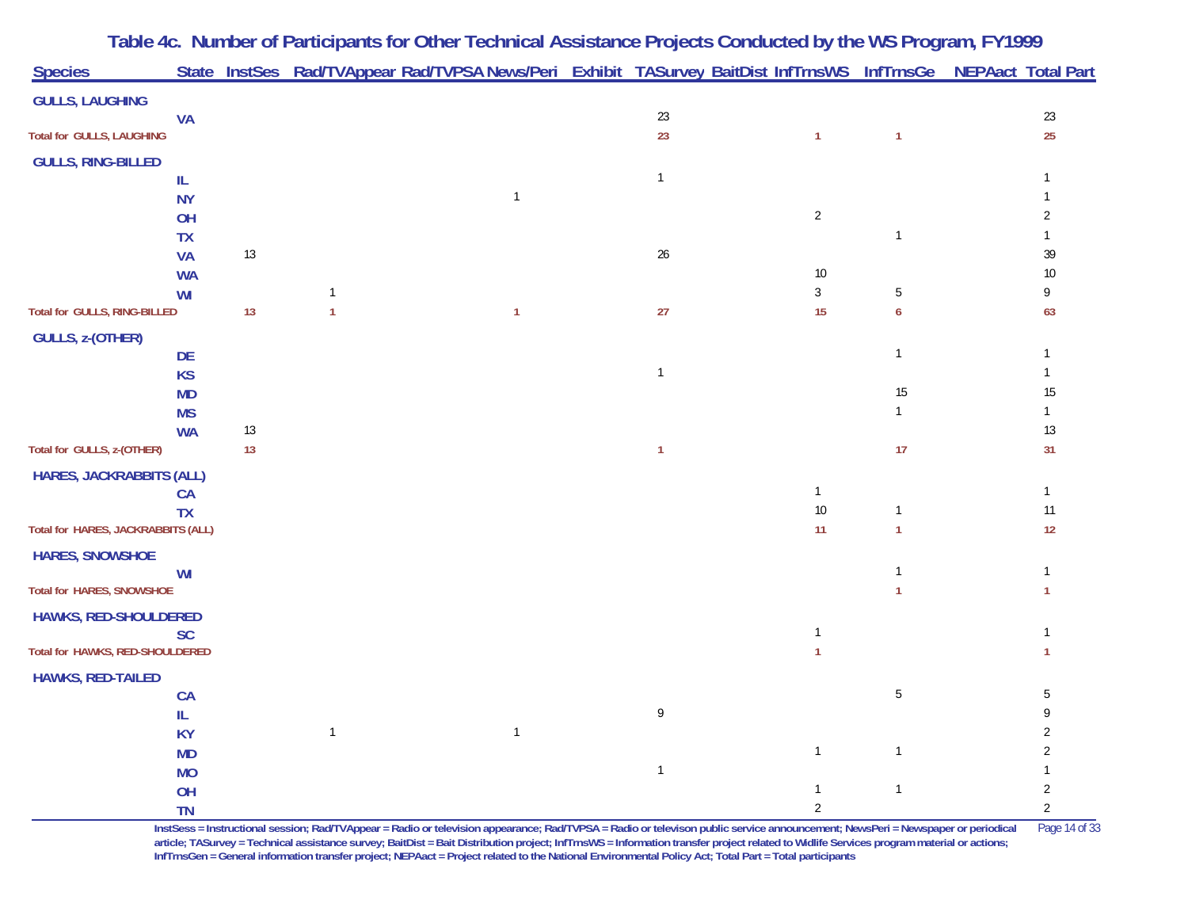| <b>Species</b>                     |                        |    |              | State InstSes Rad/TVAppear Rad/TVPSA News/Peri Exhibit TASurvey BaitDist InfTrnsWS InfTrnsGe NEPAact Total Part |              |                |                |          |
|------------------------------------|------------------------|----|--------------|-----------------------------------------------------------------------------------------------------------------|--------------|----------------|----------------|----------|
| <b>GULLS, LAUGHING</b>             |                        |    |              |                                                                                                                 |              |                |                |          |
|                                    | <b>VA</b>              |    |              |                                                                                                                 | 23           |                |                | $23\,$   |
| Total for GULLS, LAUGHING          |                        |    |              |                                                                                                                 | 23           | $\mathbf{1}$   | 1              | 25       |
| <b>GULLS, RING-BILLED</b>          |                        |    |              |                                                                                                                 |              |                |                |          |
| IL                                 |                        |    |              |                                                                                                                 | $\mathbf 1$  |                |                |          |
|                                    | <b>NY</b>              |    |              | $\overline{1}$                                                                                                  |              |                |                |          |
|                                    | OH                     |    |              |                                                                                                                 |              | $\sqrt{2}$     |                |          |
|                                    | <b>TX</b>              |    |              |                                                                                                                 |              |                | $\mathbf{1}$   |          |
|                                    | <b>VA</b>              | 13 |              |                                                                                                                 | $26\,$       | 10             |                | 39<br>10 |
|                                    | <b>WA</b><br><b>WI</b> |    |              |                                                                                                                 |              | $\mathbf{3}$   | 5              | 9        |
| Total for GULLS, RING-BILLED       |                        | 13 |              | $\mathbf{1}$                                                                                                    | 27           | 15             | 6              | 63       |
| GULLS, z-(OTHER)                   |                        |    |              |                                                                                                                 |              |                |                |          |
|                                    | DE                     |    |              |                                                                                                                 |              |                | 1              |          |
|                                    | <b>KS</b>              |    |              |                                                                                                                 | $\mathbf{1}$ |                |                |          |
|                                    | <b>MD</b>              |    |              |                                                                                                                 |              |                | 15             | 15       |
|                                    | <b>MS</b>              |    |              |                                                                                                                 |              |                |                |          |
|                                    | <b>WA</b>              | 13 |              |                                                                                                                 |              |                |                | 13       |
| Total for GULLS, z-(OTHER)         |                        | 13 |              |                                                                                                                 | -1           |                | 17             | 31       |
| <b>HARES, JACKRABBITS (ALL)</b>    |                        |    |              |                                                                                                                 |              |                |                |          |
|                                    | <b>CA</b>              |    |              |                                                                                                                 |              | $\mathbf{1}$   |                |          |
|                                    | <b>TX</b>              |    |              |                                                                                                                 |              | $10\,$         |                | 11       |
| Total for HARES, JACKRABBITS (ALL) |                        |    |              |                                                                                                                 |              | 11             |                | 12       |
| <b>HARES, SNOWSHOE</b>             |                        |    |              |                                                                                                                 |              |                |                |          |
| Total for HARES, SNOWSHOE          | WI                     |    |              |                                                                                                                 |              |                |                |          |
|                                    |                        |    |              |                                                                                                                 |              |                |                |          |
| <b>HAWKS, RED-SHOULDERED</b>       | <b>SC</b>              |    |              |                                                                                                                 |              | 1              |                |          |
| Total for HAWKS, RED-SHOULDERED    |                        |    |              |                                                                                                                 |              |                |                |          |
| <b>HAWKS, RED-TAILED</b>           |                        |    |              |                                                                                                                 |              |                |                |          |
|                                    | <b>CA</b>              |    |              |                                                                                                                 |              |                | 5              | 5        |
|                                    | IL                     |    |              |                                                                                                                 | 9            |                |                |          |
|                                    | <b>KY</b>              |    | $\mathbf{1}$ | -1                                                                                                              |              |                |                |          |
|                                    | <b>MD</b>              |    |              |                                                                                                                 |              | $\mathbf{1}$   |                |          |
|                                    | <b>MO</b>              |    |              |                                                                                                                 | $\mathbf{1}$ |                |                |          |
|                                    | OH                     |    |              |                                                                                                                 |              | $\mathbf{1}$   | $\overline{1}$ | 2        |
|                                    | <b>TN</b>              |    |              |                                                                                                                 |              | $\overline{2}$ |                | 2        |

**InstSess = Instructional session; Rad/TVAppear = Radio or television appearance; Rad/TVPSA = Radio or televison public service announcement; NewsPeri = Newspaper or periodical** Page 14 of 33 article; TASurvey = Technical assistance survey; BaitDist = Bait Distribution project; InfTrnsWS = Information transfer project related to Widlife Services program material or actions; **InfTrnsGen = General information transfer project; NEPAact = Project related to the National Environmental Policy Act; Total Part = Total participants**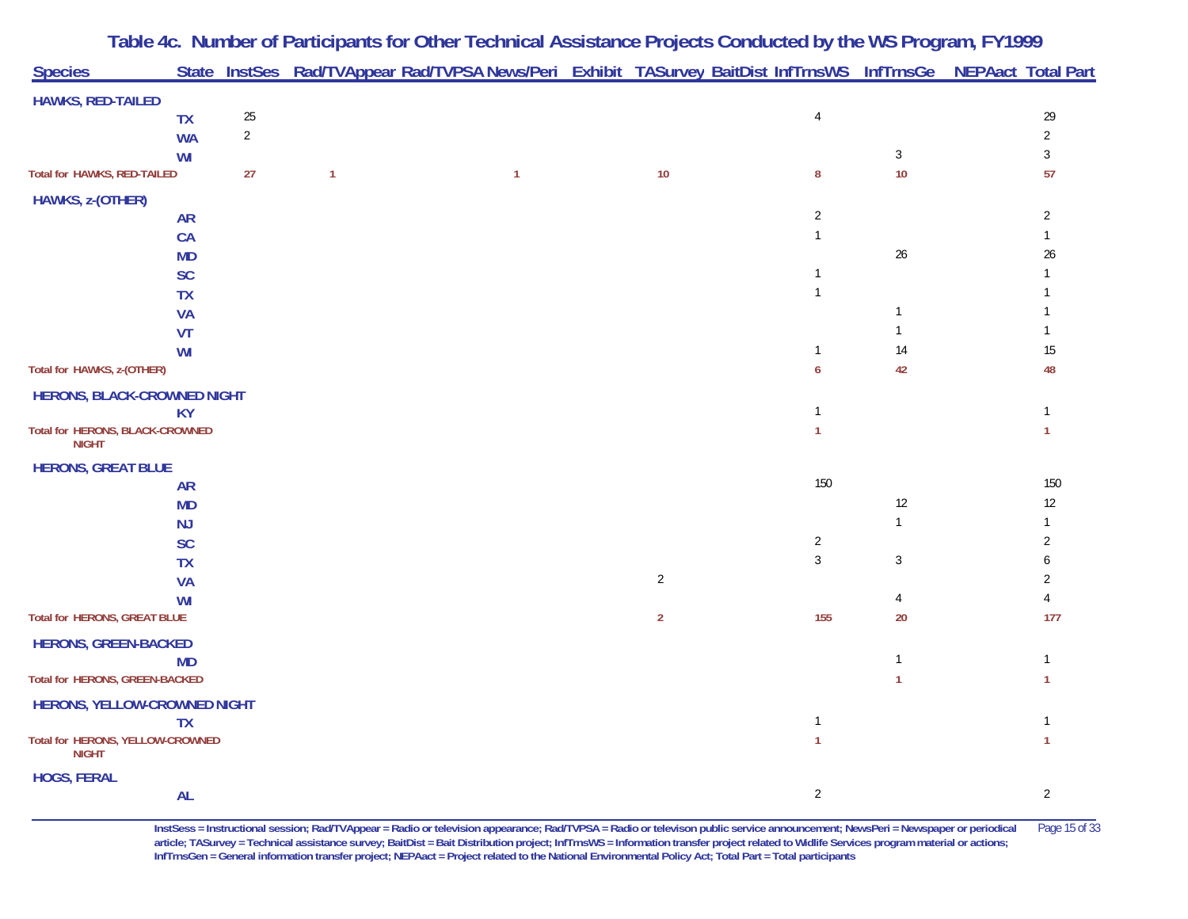| <b>Species</b>                                   |           |            |              | State InstSes Rad/TVAppear Rad/TVPSA News/Peri Exhibit TASurvey BaitDist InfTrnsWS InfTrnsGe NEPAact Total Part |                |                |              |                |
|--------------------------------------------------|-----------|------------|--------------|-----------------------------------------------------------------------------------------------------------------|----------------|----------------|--------------|----------------|
| <b>HAWKS, RED-TAILED</b>                         |           |            |              |                                                                                                                 |                |                |              |                |
|                                                  | <b>TX</b> | $25\,$     |              |                                                                                                                 |                | $\overline{4}$ |              | 29             |
|                                                  | <b>WA</b> | $\sqrt{2}$ |              |                                                                                                                 |                |                |              | $\sqrt{2}$     |
|                                                  | WI        |            |              |                                                                                                                 |                |                | $\mathbf{3}$ | $\sqrt{3}$     |
| Total for HAWKS, RED-TAILED                      |           | 27         | $\mathbf{1}$ | $\mathbf{1}$                                                                                                    | $10$           | $\bf 8$        | 10           | 57             |
| HAWKS, z-(OTHER)                                 |           |            |              |                                                                                                                 |                |                |              |                |
|                                                  | <b>AR</b> |            |              |                                                                                                                 |                | $\overline{2}$ |              | $\overline{2}$ |
|                                                  | CA        |            |              |                                                                                                                 |                | $\mathbf{1}$   |              | 1              |
|                                                  | <b>MD</b> |            |              |                                                                                                                 |                |                | $26\,$       | 26             |
|                                                  | SC        |            |              |                                                                                                                 |                | 1              |              |                |
|                                                  | <b>TX</b> |            |              |                                                                                                                 |                | $\mathbf{1}$   |              |                |
|                                                  | <b>VA</b> |            |              |                                                                                                                 |                |                | $\mathbf{1}$ |                |
|                                                  | VT        |            |              |                                                                                                                 |                |                | $\mathbf{1}$ |                |
|                                                  | WI        |            |              |                                                                                                                 |                | $\mathbf{1}$   | 14           | $15\,$         |
| Total for HAWKS, z-(OTHER)                       |           |            |              |                                                                                                                 |                | 6              | 42           | 48             |
| HERONS, BLACK-CROWNED NIGHT                      |           |            |              |                                                                                                                 |                |                |              |                |
|                                                  | <b>KY</b> |            |              |                                                                                                                 |                | $\mathbf{1}$   |              | $\mathbf{1}$   |
| Total for HERONS, BLACK-CROWNED<br><b>NIGHT</b>  |           |            |              |                                                                                                                 |                | $\mathbf{1}$   |              | $\mathbf{1}$   |
| <b>HERONS, GREAT BLUE</b>                        |           |            |              |                                                                                                                 |                |                |              |                |
|                                                  | <b>AR</b> |            |              |                                                                                                                 |                | 150            |              | 150            |
|                                                  | <b>MD</b> |            |              |                                                                                                                 |                |                | 12           | $12\,$         |
|                                                  | NJ        |            |              |                                                                                                                 |                |                | $\mathbf{1}$ | 1              |
|                                                  | SC        |            |              |                                                                                                                 |                | $\overline{2}$ |              | $\overline{2}$ |
|                                                  | <b>TX</b> |            |              |                                                                                                                 |                | $\sqrt{3}$     | 3            | 6              |
|                                                  | <b>VA</b> |            |              |                                                                                                                 | $\overline{2}$ |                |              | 2              |
|                                                  | WI        |            |              |                                                                                                                 |                |                | 4            | 4              |
| Total for HERONS, GREAT BLUE                     |           |            |              |                                                                                                                 | $\overline{2}$ | 155            | 20           | 177            |
| <b>HERONS, GREEN-BACKED</b>                      |           |            |              |                                                                                                                 |                |                |              |                |
|                                                  | <b>MD</b> |            |              |                                                                                                                 |                |                | $\mathbf{1}$ | $\mathbf{1}$   |
| Total for HERONS, GREEN-BACKED                   |           |            |              |                                                                                                                 |                |                | $\mathbf{1}$ | $\mathbf{1}$   |
| HERONS, YELLOW-CROWNED NIGHT                     |           |            |              |                                                                                                                 |                |                |              |                |
|                                                  | <b>TX</b> |            |              |                                                                                                                 |                | $\mathbf{1}$   |              | -1             |
| Total for HERONS, YELLOW-CROWNED<br><b>NIGHT</b> |           |            |              |                                                                                                                 |                | $\mathbf{1}$   |              | $\mathbf{1}$   |
| <b>HOGS, FERAL</b>                               |           |            |              |                                                                                                                 |                |                |              |                |
|                                                  | <b>AL</b> |            |              |                                                                                                                 |                | $\sqrt{2}$     |              | $\sqrt{2}$     |

**Table 4c. Number of Participants for Other Technical Assistance Projects Conducted by the WS Program, FY 1999**

**InstSess = Instructional session; Rad/TVAppear = Radio or television appearance; Rad/TVPSA = Radio or televison public service announcement; NewsPeri = Newspaper or periodical** Page 15 of 33 **article; TASurvey = Technical assistance survey; BaitDist = Bait Distribution project; InfTrnsWS = Information transfer project related to Widlife Services program material or actions; InfTrnsGen = General information transfer project; NEPAact = Project related to the National Environmental Policy Act; Total Part = Total participants**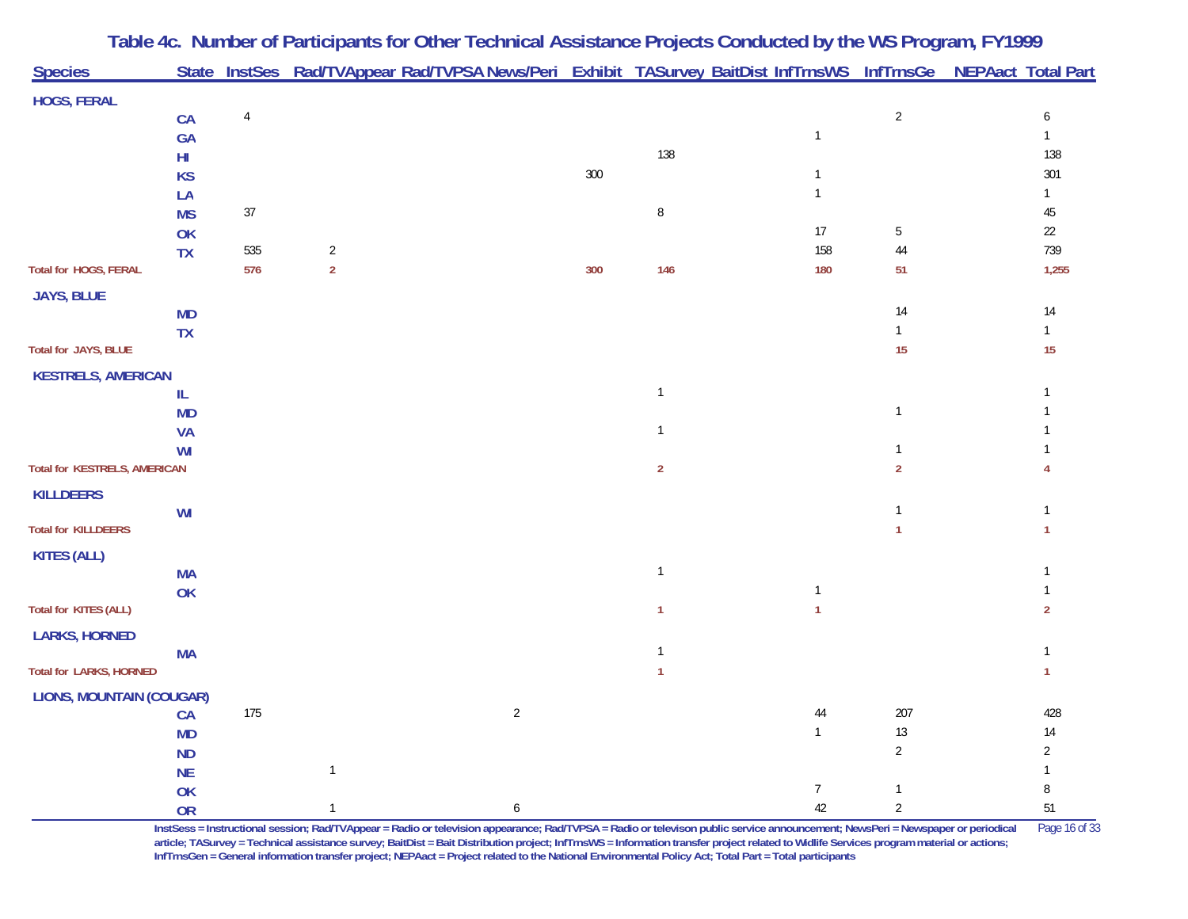|                                 |                 |                |                | Table 4c. Number of Participants for Other Technical Assistance Projects Conducted by the WS Program, FY1999    |     |                |                 |                |                |
|---------------------------------|-----------------|----------------|----------------|-----------------------------------------------------------------------------------------------------------------|-----|----------------|-----------------|----------------|----------------|
| <b>Species</b>                  |                 |                |                | State InstSes Rad/TVAppear Rad/TVPSA News/Peri Exhibit TASurvey BaitDist InfTrnsWS InfTrnsGe NEPAact Total Part |     |                |                 |                |                |
| <b>HOGS, FERAL</b>              |                 |                |                |                                                                                                                 |     |                |                 |                |                |
|                                 | CA              | $\overline{4}$ |                |                                                                                                                 |     |                |                 | $\overline{2}$ | 6              |
|                                 | <b>GA</b>       |                |                |                                                                                                                 |     |                | $\overline{1}$  |                | $\mathbf{1}$   |
|                                 | HI              |                |                |                                                                                                                 |     | 138            |                 |                | 138            |
|                                 | <b>KS</b>       |                |                |                                                                                                                 | 300 |                | 1               |                | 301            |
|                                 | LA              |                |                |                                                                                                                 |     |                |                 |                | $\mathbf{1}$   |
|                                 | <b>MS</b>       | 37             |                |                                                                                                                 |     | 8              |                 |                | 45             |
|                                 | OK              |                |                |                                                                                                                 |     |                | 17              | 5              | 22             |
|                                 | <b>TX</b>       | 535            | $\overline{2}$ |                                                                                                                 |     |                | 158             | 44             | 739            |
| Total for HOGS, FERAL           |                 | 576            | $\overline{2}$ |                                                                                                                 | 300 | 146            | 180             | 51             | 1,255          |
| <b>JAYS, BLUE</b>               |                 |                |                |                                                                                                                 |     |                |                 |                |                |
|                                 | <b>MD</b>       |                |                |                                                                                                                 |     |                |                 | 14             | 14             |
|                                 | <b>TX</b>       |                |                |                                                                                                                 |     |                |                 |                | $\mathbf{1}$   |
| Total for JAYS, BLUE            |                 |                |                |                                                                                                                 |     |                |                 | 15             | 15             |
| <b>KESTRELS, AMERICAN</b>       |                 |                |                |                                                                                                                 |     |                |                 |                |                |
|                                 | IL              |                |                |                                                                                                                 |     | $\mathbf 1$    |                 |                |                |
|                                 | <b>MD</b>       |                |                |                                                                                                                 |     |                |                 | $\mathbf{1}$   |                |
|                                 | <b>VA</b>       |                |                |                                                                                                                 |     | $\mathbf 1$    |                 |                |                |
| Total for KESTRELS, AMERICAN    | WI              |                |                |                                                                                                                 |     | $\overline{2}$ |                 | $\overline{2}$ |                |
|                                 |                 |                |                |                                                                                                                 |     |                |                 |                |                |
| <b>KILLDEERS</b>                |                 |                |                |                                                                                                                 |     |                |                 |                |                |
| <b>Total for KILLDEERS</b>      | WI              |                |                |                                                                                                                 |     |                |                 |                |                |
|                                 |                 |                |                |                                                                                                                 |     |                |                 |                |                |
| <b>KITES (ALL)</b>              |                 |                |                |                                                                                                                 |     | $\overline{1}$ |                 |                |                |
|                                 | <b>MA</b><br>OK |                |                |                                                                                                                 |     |                | $\mathbf{1}$    |                |                |
| Total for KITES (ALL)           |                 |                |                |                                                                                                                 |     | $\mathbf{1}$   | $\mathbf{1}$    |                | $\overline{2}$ |
|                                 |                 |                |                |                                                                                                                 |     |                |                 |                |                |
| <b>LARKS, HORNED</b>            | <b>MA</b>       |                |                |                                                                                                                 |     | -1             |                 |                |                |
| <b>Total for LARKS, HORNED</b>  |                 |                |                |                                                                                                                 |     | $\mathbf{1}$   |                 |                | 1              |
| <b>LIONS, MOUNTAIN (COUGAR)</b> |                 |                |                |                                                                                                                 |     |                |                 |                |                |
|                                 | CA              | 175            |                | $\overline{2}$                                                                                                  |     |                | 44              | 207            | 428            |
|                                 | <b>MD</b>       |                |                |                                                                                                                 |     |                | $\mathbf{1}$    | $13$           | $14\,$         |
|                                 | <b>ND</b>       |                |                |                                                                                                                 |     |                |                 | $\overline{2}$ | $\overline{2}$ |
|                                 | <b>NE</b>       |                |                |                                                                                                                 |     |                |                 |                | $\mathbf{1}$   |
|                                 | OK              |                |                |                                                                                                                 |     |                | $7\overline{ }$ | $\mathbf{1}$   | 8              |
|                                 | <b>OR</b>       |                |                | 6                                                                                                               |     |                | 42              | $\overline{2}$ | 51             |

**InstSess = Instructional session; Rad/TVAppear = Radio or television appearance; Rad/TVPSA = Radio or televison public service announcement; NewsPeri = Newspaper or periodical** Page 16 of 33 **article; TASurvey = Technical assistance survey; BaitDist = Bait Distribution project; InfTrnsWS = Information transfer project related to Widlife Services program material or actions; InfTrnsGen = General information transfer project; NEPAact = Project related to the National Environmental Policy Act; Total Part = Total participants**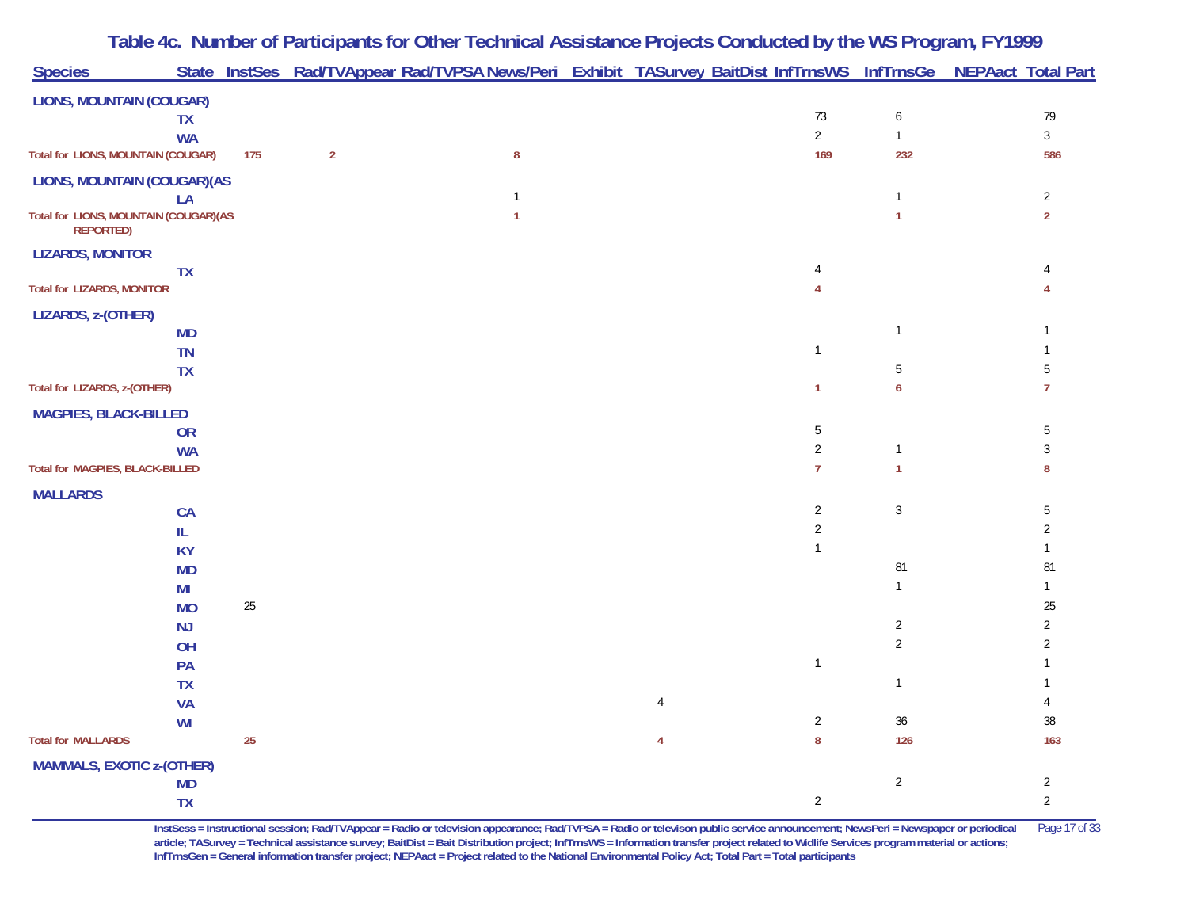|                                                           |     |                | Table 4c. Number of Participants for Other Technical Assistance Projects Conducted by the WS Program, FY1999    |  |                       |                |                |
|-----------------------------------------------------------|-----|----------------|-----------------------------------------------------------------------------------------------------------------|--|-----------------------|----------------|----------------|
| <b>Species</b>                                            |     |                | State InstSes Rad/TVAppear Rad/TVPSA News/Peri Exhibit TASurvey BaitDist InfTrnsWS InfTrnsGe NEPAact Total Part |  |                       |                |                |
| <b>LIONS, MOUNTAIN (COUGAR)</b>                           |     |                |                                                                                                                 |  |                       |                |                |
| <b>TX</b>                                                 |     |                |                                                                                                                 |  | $73\,$                | 6              | 79             |
| <b>WA</b><br><b>Total for LIONS, MOUNTAIN (COUGAR)</b>    |     | $\overline{2}$ | ${\bf 8}$                                                                                                       |  | $\overline{2}$<br>169 | $\mathbf{1}$   | $\mathfrak{Z}$ |
|                                                           | 175 |                |                                                                                                                 |  |                       | 232            | 586            |
| <b>LIONS, MOUNTAIN (COUGAR) (AS</b><br>LA                 |     |                | $\mathbf{1}$                                                                                                    |  |                       |                | $\overline{2}$ |
| Total for LIONS, MOUNTAIN (COUGAR)(AS<br><b>REPORTED)</b> |     |                | $\mathbf{1}$                                                                                                    |  |                       |                | $\overline{2}$ |
| <b>LIZARDS, MONITOR</b>                                   |     |                |                                                                                                                 |  |                       |                |                |
| <b>TX</b>                                                 |     |                |                                                                                                                 |  |                       |                |                |
| <b>Total for LIZARDS, MONITOR</b>                         |     |                |                                                                                                                 |  |                       |                |                |
| LIZARDS, z-(OTHER)                                        |     |                |                                                                                                                 |  |                       |                |                |
| <b>MD</b>                                                 |     |                |                                                                                                                 |  |                       | $\mathbf{1}$   |                |
| TN                                                        |     |                |                                                                                                                 |  | $\mathbf{1}$          |                |                |
| <b>TX</b><br>Total for LIZARDS, z-(OTHER)                 |     |                |                                                                                                                 |  | $\mathbf{1}$          | 5<br>6         | 5<br>7         |
|                                                           |     |                |                                                                                                                 |  |                       |                |                |
| <b>MAGPIES, BLACK-BILLED</b>                              |     |                |                                                                                                                 |  | 5                     |                | 5              |
| <b>OR</b><br><b>WA</b>                                    |     |                |                                                                                                                 |  | $\overline{2}$        | $\mathbf{1}$   | 3              |
| Total for MAGPIES, BLACK-BILLED                           |     |                |                                                                                                                 |  | $\overline{7}$        |                | 8              |
| <b>MALLARDS</b>                                           |     |                |                                                                                                                 |  |                       |                |                |
| <b>CA</b>                                                 |     |                |                                                                                                                 |  | $\sqrt{2}$            | $\mathbf{3}$   | 5              |
| IL                                                        |     |                |                                                                                                                 |  | $\sqrt{2}$            |                | $\overline{2}$ |
| <b>KY</b>                                                 |     |                |                                                                                                                 |  | $\mathbf{1}$          |                |                |
| <b>MD</b>                                                 |     |                |                                                                                                                 |  |                       | 81             | 81             |
| MI                                                        |     |                |                                                                                                                 |  |                       | $\mathbf{1}$   |                |
| <b>MO</b>                                                 | 25  |                |                                                                                                                 |  |                       |                | 25             |
| <b>NJ</b>                                                 |     |                |                                                                                                                 |  |                       | $\overline{a}$ | $\overline{2}$ |
| OH                                                        |     |                |                                                                                                                 |  | $\mathbf{1}$          | $\overline{c}$ | $\overline{2}$ |
| PA<br><b>TX</b>                                           |     |                |                                                                                                                 |  |                       | $\mathbf{1}$   |                |
| <b>VA</b>                                                 |     |                |                                                                                                                 |  |                       |                |                |
| <b>WI</b>                                                 |     |                |                                                                                                                 |  | $\sqrt{2}$            | $36\,$         | $38\,$         |
| <b>Total for MALLARDS</b>                                 | 25  |                |                                                                                                                 |  | $\bf 8$               | 126            | 163            |
| <b>MAMMALS, EXOTIC z-(OTHER)</b>                          |     |                |                                                                                                                 |  |                       |                |                |
| <b>MD</b>                                                 |     |                |                                                                                                                 |  |                       | $\overline{a}$ | $\overline{c}$ |
| <b>TX</b>                                                 |     |                |                                                                                                                 |  | $\overline{2}$        |                | $\overline{2}$ |

**InstSess = Instructional session; Rad/TVAppear = Radio or television appearance; Rad/TVPSA = Radio or televison public service announcement; NewsPeri = Newspaper or periodical** Page 17 of 33 **article; TASurvey = Technical assistance survey; BaitDist = Bait Distribution project; InfTrnsWS = Information transfer project related to Widlife Services program material or actions; InfTrnsGen = General information transfer project; NEPAact = Project related to the National Environmental Policy Act; Total Part = Total participants**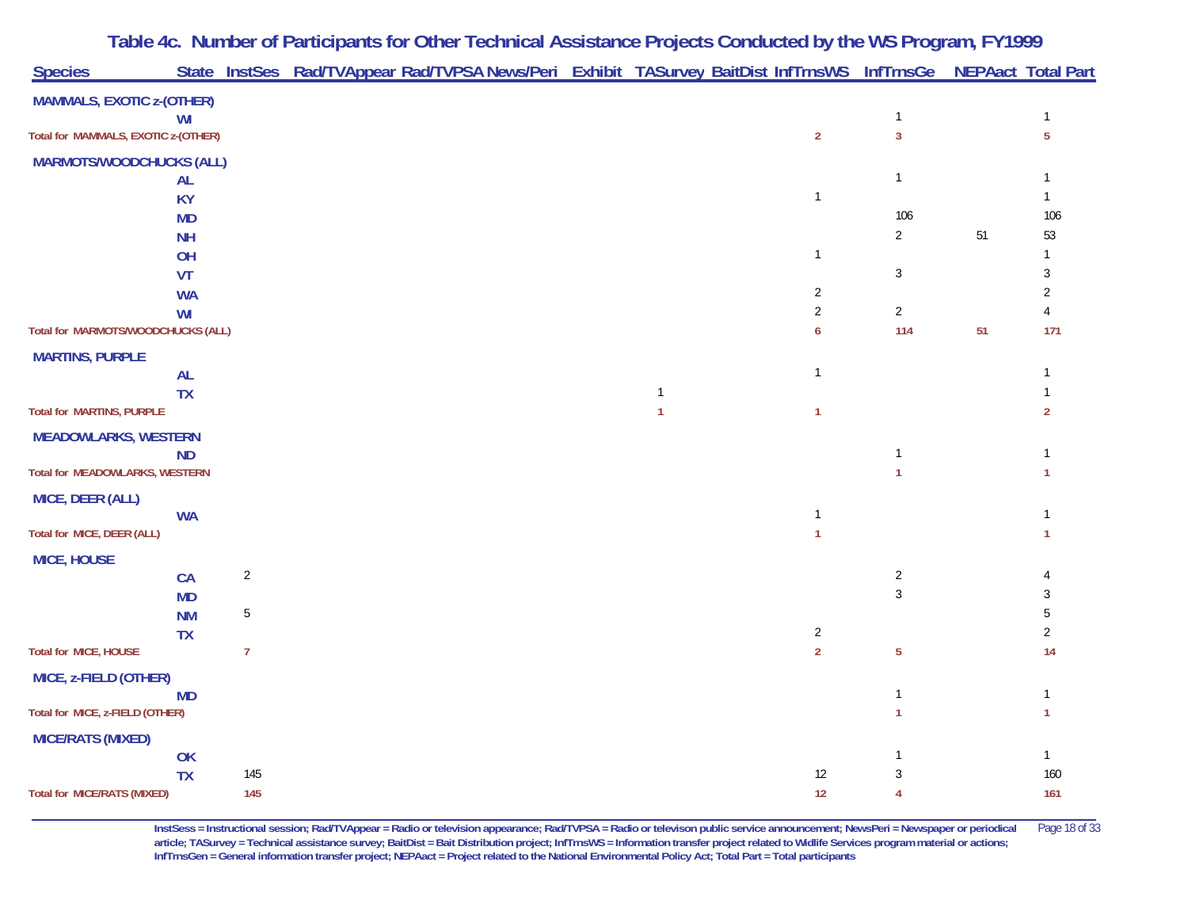|                                     |                 |                | Table 4c. Number of Participants for Other Technical Assistance Projects Conducted by the WS Program, FY1999    |                              |                |                                |    |                |
|-------------------------------------|-----------------|----------------|-----------------------------------------------------------------------------------------------------------------|------------------------------|----------------|--------------------------------|----|----------------|
| <b>Species</b>                      |                 |                | State InstSes Rad/TVAppear Rad/TVPSA News/Peri Exhibit TASurvey BaitDist InfTrnsWS InfTrnsGe NEPAact Total Part |                              |                |                                |    |                |
| <b>MAMMALS, EXOTIC z-(OTHER)</b>    |                 |                |                                                                                                                 |                              |                |                                |    |                |
| Total for MAMMALS, EXOTIC z-(OTHER) | WI              |                |                                                                                                                 |                              | $\overline{2}$ | $\mathbf{1}$<br>$\overline{3}$ |    | 5              |
| <b>MARMOTS/WOODCHUCKS (ALL)</b>     |                 |                |                                                                                                                 |                              |                |                                |    |                |
|                                     | AL              |                |                                                                                                                 |                              |                | $\mathbf{1}$                   |    |                |
|                                     | <b>KY</b>       |                |                                                                                                                 |                              | $\mathbf{1}$   |                                |    |                |
|                                     | <b>MD</b>       |                |                                                                                                                 |                              |                | 106                            |    | 106            |
|                                     | <b>NH</b>       |                |                                                                                                                 |                              |                | $\overline{a}$                 | 51 | 53             |
|                                     | OH<br>VT        |                |                                                                                                                 |                              | $\mathbf{1}$   | 3                              |    | 3              |
|                                     | <b>WA</b>       |                |                                                                                                                 |                              | $\overline{2}$ |                                |    | 2              |
|                                     | WI              |                |                                                                                                                 |                              | $\sqrt{2}$     | $\overline{2}$                 |    |                |
| Total for MARMOTS/WOODCHUCKS (ALL)  |                 |                |                                                                                                                 |                              | 6              | 114                            | 51 | 171            |
| <b>MARTINS, PURPLE</b>              |                 |                |                                                                                                                 |                              |                |                                |    |                |
|                                     | AL              |                |                                                                                                                 |                              | $\mathbf{1}$   |                                |    |                |
| <b>Total for MARTINS, PURPLE</b>    | <b>TX</b>       |                |                                                                                                                 | $\mathbf{1}$<br>$\mathbf{1}$ | $\mathbf{1}$   |                                |    | $\overline{2}$ |
| <b>MEADOWLARKS, WESTERN</b>         |                 |                |                                                                                                                 |                              |                |                                |    |                |
|                                     | <b>ND</b>       |                |                                                                                                                 |                              |                | $\mathbf{1}$                   |    |                |
| Total for MEADOWLARKS, WESTERN      |                 |                |                                                                                                                 |                              |                |                                |    |                |
| MICE, DEER (ALL)                    |                 |                |                                                                                                                 |                              |                |                                |    |                |
|                                     | <b>WA</b>       |                |                                                                                                                 |                              | $\mathbf{1}$   |                                |    |                |
| Total for MICE, DEER (ALL)          |                 |                |                                                                                                                 |                              | $\mathbf{1}$   |                                |    |                |
| <b>MICE, HOUSE</b>                  |                 | $\overline{2}$ |                                                                                                                 |                              |                | $\overline{2}$                 |    |                |
|                                     | CA<br><b>MD</b> |                |                                                                                                                 |                              |                | $\mathbf{3}$                   |    |                |
|                                     | <b>NM</b>       | 5              |                                                                                                                 |                              |                |                                |    |                |
|                                     | <b>TX</b>       |                |                                                                                                                 |                              | $\sqrt{2}$     |                                |    | $\overline{2}$ |
| Total for MICE, HOUSE               |                 | $\overline{7}$ |                                                                                                                 |                              | $\overline{2}$ | 5                              |    | 14             |
| MICE, z-FIELD (OTHER)               |                 |                |                                                                                                                 |                              |                |                                |    |                |
| Total for MICE, z-FIELD (OTHER)     | <b>MD</b>       |                |                                                                                                                 |                              |                |                                |    |                |
|                                     |                 |                |                                                                                                                 |                              |                |                                |    |                |
| <b>MICE/RATS (MIXED)</b>            | OK              |                |                                                                                                                 |                              |                |                                |    |                |
|                                     | <b>TX</b>       | 145            |                                                                                                                 |                              | $12$           | 3                              |    | 160            |
| <b>Total for MICE/RATS (MIXED)</b>  |                 | 145            |                                                                                                                 |                              | 12             | 4                              |    | 161            |

**InstSess = Instructional session; Rad/TVAppear = Radio or television appearance; Rad/TVPSA = Radio or televison public service announcement; NewsPeri = Newspaper or periodical** Page 18 of 33 **article; TASurvey = Technical assistance survey; BaitDist = Bait Distribution project; InfTrnsWS = Information transfer project related to Widlife Services program material or actions; InfTrnsGen = General information transfer project; NEPAact = Project related to the National Environmental Policy Act; Total Part = Total participants**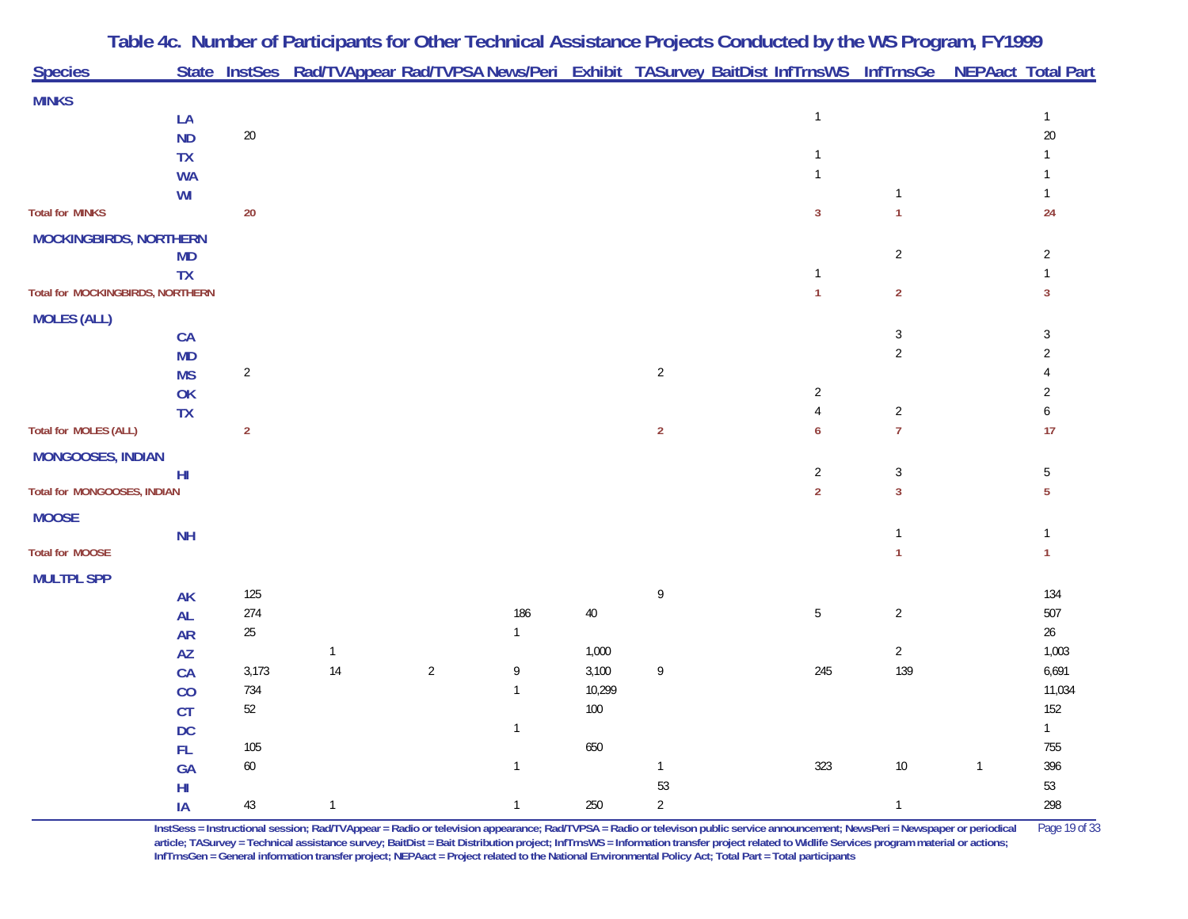|                                         |                 |                |              |              |                |         |                                   | Table 4c. Number of Participants for Other Technical Assistance Projects Conducted by the WS Program, FY1999    |                |              |                |
|-----------------------------------------|-----------------|----------------|--------------|--------------|----------------|---------|-----------------------------------|-----------------------------------------------------------------------------------------------------------------|----------------|--------------|----------------|
| <b>Species</b>                          |                 |                |              |              |                |         |                                   | State InstSes Rad/TVAppear Rad/TVPSA News/Peri Exhibit TASurvey BaitDist InfTrnsWS InfTrnsGe NEPAact Total Part |                |              |                |
| <b>MINKS</b>                            |                 |                |              |              |                |         |                                   |                                                                                                                 |                |              |                |
|                                         | LA              |                |              |              |                |         |                                   | $\mathbf{1}$                                                                                                    |                |              | $\mathbf{1}$   |
|                                         | <b>ND</b>       | $20\,$         |              |              |                |         |                                   |                                                                                                                 |                |              | $20\,$         |
|                                         | <b>TX</b>       |                |              |              |                |         |                                   | $\mathbf{1}$                                                                                                    |                |              |                |
|                                         | <b>WA</b>       |                |              |              |                |         |                                   | $\mathbf{1}$                                                                                                    |                |              | $\mathbf{1}$   |
|                                         | WI              |                |              |              |                |         |                                   |                                                                                                                 | 1              |              | $\mathbf{1}$   |
| <b>Total for MINKS</b>                  |                 | $20\,$         |              |              |                |         |                                   | $\overline{3}$                                                                                                  | $\mathbf{1}$   |              | 24             |
| <b>MOCKINGBIRDS, NORTHERN</b>           |                 |                |              |              |                |         |                                   |                                                                                                                 |                |              |                |
|                                         | <b>MD</b>       |                |              |              |                |         |                                   |                                                                                                                 | $\overline{2}$ |              | $\overline{2}$ |
|                                         | <b>TX</b>       |                |              |              |                |         |                                   | $\mathbf{1}$                                                                                                    |                |              | 1              |
| <b>Total for MOCKINGBIRDS, NORTHERN</b> |                 |                |              |              |                |         |                                   | $\mathbf{1}$                                                                                                    | $\overline{2}$ |              | $\mathbf{3}$   |
| <b>MOLES (ALL)</b>                      |                 |                |              |              |                |         |                                   |                                                                                                                 |                |              |                |
|                                         | <b>CA</b>       |                |              |              |                |         |                                   |                                                                                                                 | $\mathbf{3}$   |              | 3              |
|                                         | <b>MD</b>       |                |              |              |                |         |                                   |                                                                                                                 | $\overline{2}$ |              | $\overline{2}$ |
|                                         | <b>MS</b>       | $\overline{c}$ |              |              |                |         | $\overline{c}$                    |                                                                                                                 |                |              |                |
|                                         | OK              |                |              |              |                |         |                                   | $\sqrt{2}$                                                                                                      |                |              | $\overline{2}$ |
|                                         | <b>TX</b>       |                |              |              |                |         |                                   | $\overline{4}$                                                                                                  | $\sqrt{2}$     |              | 6              |
| <b>Total for MOLES (ALL)</b>            |                 | $\overline{2}$ |              |              |                |         | $\mathbf 2$                       | 6                                                                                                               | $\overline{7}$ |              | 17             |
| <b>MONGOOSES, INDIAN</b>                |                 |                |              |              |                |         |                                   |                                                                                                                 |                |              |                |
|                                         | H <sub>II</sub> |                |              |              |                |         |                                   | $\sqrt{2}$                                                                                                      | $\mathfrak{Z}$ |              | 5              |
| Total for MONGOOSES, INDIAN             |                 |                |              |              |                |         |                                   | $\overline{2}$                                                                                                  | $\overline{3}$ |              | $\overline{5}$ |
| <b>MOOSE</b>                            |                 |                |              |              |                |         |                                   |                                                                                                                 |                |              |                |
|                                         | <b>NH</b>       |                |              |              |                |         |                                   |                                                                                                                 | 1              |              | $\mathbf{1}$   |
| <b>Total for MOOSE</b>                  |                 |                |              |              |                |         |                                   |                                                                                                                 |                |              | $\mathbf{1}$   |
| <b>MULTPL SPP</b>                       |                 |                |              |              |                |         |                                   |                                                                                                                 |                |              |                |
|                                         | <b>AK</b>       | 125            |              |              |                |         | $\mathsf{g}% _{T}=\mathsf{g}_{T}$ |                                                                                                                 |                |              | 134            |
|                                         | <b>AL</b>       | 274            |              |              | 186            | $40\,$  |                                   | $\mathbf 5$                                                                                                     | $\overline{c}$ |              | 507            |
|                                         | <b>AR</b>       | $25\,$         |              |              | $\mathbf{1}$   |         |                                   |                                                                                                                 |                |              | $26\,$         |
|                                         | AZ              |                | $\mathbf{1}$ |              |                | 1,000   |                                   |                                                                                                                 | $\overline{2}$ |              | 1,003          |
|                                         | CA              | 3,173          | 14           | $\mathbf{2}$ | 9              | 3,100   | 9                                 | 245                                                                                                             | 139            |              | 6,691          |
|                                         | CO              | 734            |              |              | $\overline{1}$ | 10,299  |                                   |                                                                                                                 |                |              | 11,034         |
|                                         | CT              | $52\,$         |              |              |                | $100\,$ |                                   |                                                                                                                 |                |              | 152            |
|                                         | <b>DC</b>       |                |              |              | $\overline{1}$ |         |                                   |                                                                                                                 |                |              | $\mathbf{1}$   |
|                                         | FL              | 105            |              |              |                | 650     |                                   |                                                                                                                 |                |              | 755            |
|                                         | GA              | 60             |              |              | $\mathbf{1}$   |         | $\mathbf{1}$                      | 323                                                                                                             | 10             | $\mathbf{1}$ | 396            |
|                                         | H <sub>II</sub> |                |              |              |                |         | 53                                |                                                                                                                 |                |              | 53             |
|                                         | IA              | 43             | $\mathbf{1}$ |              | $\overline{1}$ | 250     | $\overline{2}$                    |                                                                                                                 | $\overline{1}$ |              | 298            |

**InstSess = Instructional session; Rad/TVAppear = Radio or television appearance; Rad/TVPSA = Radio or televison public service announcement; NewsPeri = Newspaper or periodical** Page 19 of 33 article; TASurvey = Technical assistance survey; BaitDist = Bait Distribution project; InfTrnsWS = Information transfer project related to Widlife Services program material or actions; **InfTrnsGen = General information transfer project; NEPAact = Project related to the National Environmental Policy Act; Total Part = Total participants**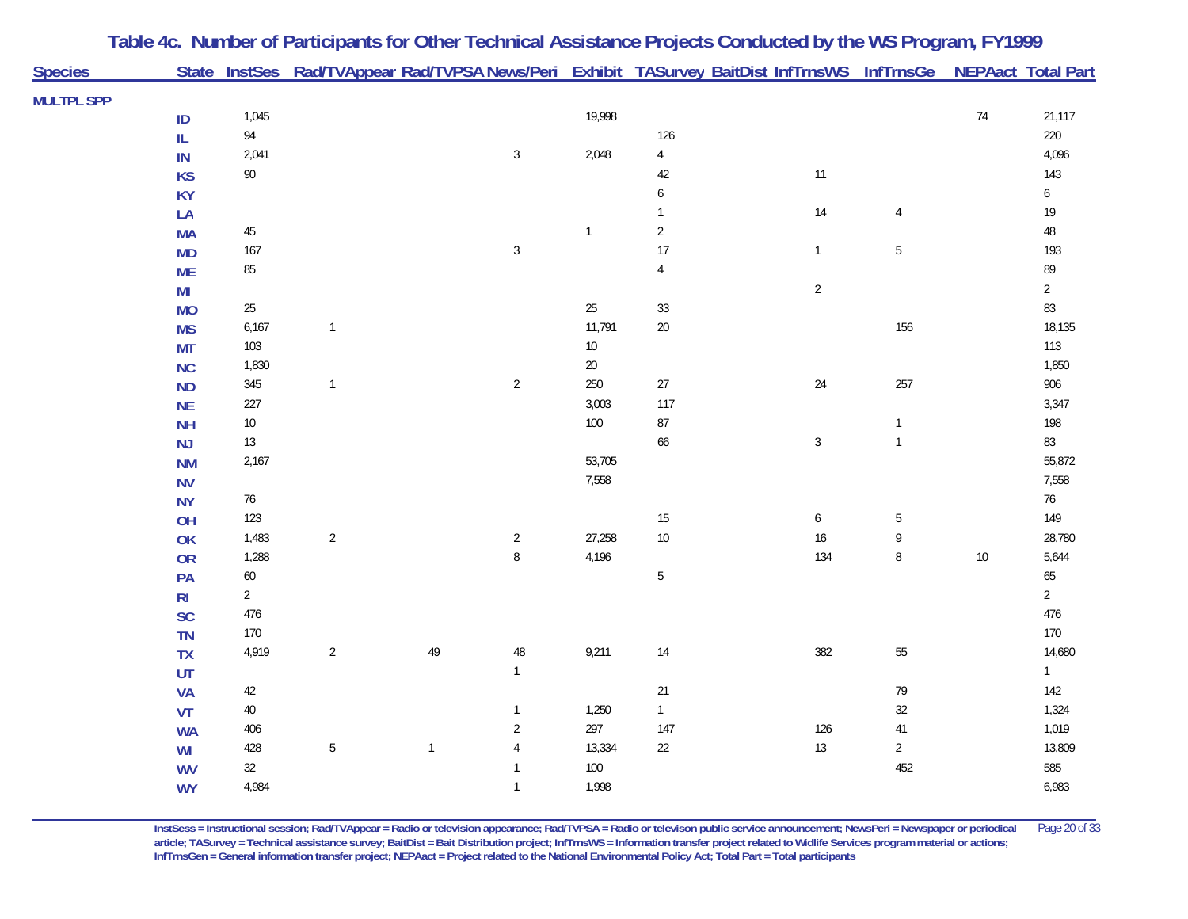| State InstSes Rad/TVAppear Rad/TVPSA News/Peri Exhibit TASurvey BaitDist InfTrnsWS InfTrnsGe NEPAact Total Part<br><b>MULTPL SPP</b><br>1,045<br>19,998<br>$74$<br>21,117<br>ID<br>94<br>126<br>220<br>${\sf IL}$<br>$\sqrt{3}$<br>2,048<br>$\sqrt{4}$<br>4,096<br>2,041<br>IN<br>$90\,$<br>$11$<br>42<br>143<br><b>KS</b><br>$\boldsymbol{6}$<br>$\boldsymbol{6}$<br><b>KY</b><br>$14$<br>$19$<br>LA<br>$\mathbf{1}$<br>$\overline{4}$<br>$\sqrt{2}$<br>$48\,$<br>$45\,$<br>$\mathbf{1}$<br><b>MA</b><br>17<br>167<br>$\sqrt{3}$<br>$\mathbf{1}$<br>$\mathbf 5$<br>193<br><b>MD</b><br>85<br>$\sqrt{4}$<br>89<br><b>ME</b><br>$\overline{2}$<br>$\overline{2}$<br>MI<br>83<br>$25\,$<br>$25\,$<br>$33\,$<br><b>MO</b><br>156<br>6,167<br>11,791<br>$20\,$<br>18,135<br>$\mathbf{1}$<br><b>MS</b><br>103<br>$10\,$<br>113<br><b>MT</b><br>1,830<br>$20\,$<br>1,850<br><b>NC</b><br>250<br>257<br>345<br>$\overline{2}$<br>$27\,$<br>24<br>906<br>$\mathbf{1}$<br><b>ND</b><br>3,003<br>117<br>227<br>3,347<br><b>NE</b><br>$100\,$<br>$\bf 87$<br>$10\,$<br>198<br><b>NH</b><br>$\mathbf{1}$<br>$\sqrt{3}$<br>$\mathbf{1}$<br>83<br>$13\,$<br>66<br><b>NJ</b><br>53,705<br>2,167<br>55,872<br><b>NM</b><br>7,558<br>7,558<br><b>NV</b><br>76<br>$76$<br><b>NY</b><br>123<br>$15\,$<br>149<br>$\boldsymbol{6}$<br>$\mathbf 5$<br>OH<br>27,258<br>$10\,$<br>16<br>9<br>1,483<br>$\overline{a}$<br>$\overline{2}$<br>28,780<br>OK<br>$\, 8$<br>$\, 8$<br>1,288<br>4,196<br>134<br>$10\,$<br>5,644<br>OR<br>60<br>$\mathbf 5$<br>65<br>PA<br>$\overline{2}$<br>$\overline{2}$<br>R <sub>l</sub><br>476<br>476<br>SC<br>170<br>170<br><b>TN</b><br>$\sqrt{2}$<br>49<br>$\sqrt{48}$<br>9,211<br>$14$<br>382<br>55<br>14,680<br>4,919<br>TX<br>$\mathbf{1}$<br>UT<br>$\mathbf{1}$<br>$42\,$<br>21<br>79<br><b>VA</b><br>142<br>$40\,$<br>1,250<br>$32\,$<br>$\mathbf{1}$<br>1,324<br><b>VT</b><br>297<br>$\overline{c}$<br>147<br>126<br>1,019<br>406<br>$41\,$<br><b>WA</b><br>$\mathbf 5$<br>13,334<br>$22\,$<br>13<br>$\overline{2}$<br>13,809<br>428<br>$\mathbf{1}$<br>$\overline{4}$<br>WI<br>32<br>$100\,$<br>452<br>585<br><b>WV</b><br>$\mathbf{1}$<br>4,984<br>1,998<br>6,983<br>$\mathbf{1}$<br><b>WY</b> | <b>Species</b> |  | Table 4c. Number of Participants for Other Technical Assistance Projects Conducted by the WS Program, FY1999 |  |  |  |
|---------------------------------------------------------------------------------------------------------------------------------------------------------------------------------------------------------------------------------------------------------------------------------------------------------------------------------------------------------------------------------------------------------------------------------------------------------------------------------------------------------------------------------------------------------------------------------------------------------------------------------------------------------------------------------------------------------------------------------------------------------------------------------------------------------------------------------------------------------------------------------------------------------------------------------------------------------------------------------------------------------------------------------------------------------------------------------------------------------------------------------------------------------------------------------------------------------------------------------------------------------------------------------------------------------------------------------------------------------------------------------------------------------------------------------------------------------------------------------------------------------------------------------------------------------------------------------------------------------------------------------------------------------------------------------------------------------------------------------------------------------------------------------------------------------------------------------------------------------------------------------------------------------------------------------------------------------------------------------------------------------------------------------------------------------------------------------------------------------------------------------------------------------------------------------------------------------------|----------------|--|--------------------------------------------------------------------------------------------------------------|--|--|--|
|                                                                                                                                                                                                                                                                                                                                                                                                                                                                                                                                                                                                                                                                                                                                                                                                                                                                                                                                                                                                                                                                                                                                                                                                                                                                                                                                                                                                                                                                                                                                                                                                                                                                                                                                                                                                                                                                                                                                                                                                                                                                                                                                                                                                               |                |  |                                                                                                              |  |  |  |
|                                                                                                                                                                                                                                                                                                                                                                                                                                                                                                                                                                                                                                                                                                                                                                                                                                                                                                                                                                                                                                                                                                                                                                                                                                                                                                                                                                                                                                                                                                                                                                                                                                                                                                                                                                                                                                                                                                                                                                                                                                                                                                                                                                                                               |                |  |                                                                                                              |  |  |  |
|                                                                                                                                                                                                                                                                                                                                                                                                                                                                                                                                                                                                                                                                                                                                                                                                                                                                                                                                                                                                                                                                                                                                                                                                                                                                                                                                                                                                                                                                                                                                                                                                                                                                                                                                                                                                                                                                                                                                                                                                                                                                                                                                                                                                               |                |  |                                                                                                              |  |  |  |
|                                                                                                                                                                                                                                                                                                                                                                                                                                                                                                                                                                                                                                                                                                                                                                                                                                                                                                                                                                                                                                                                                                                                                                                                                                                                                                                                                                                                                                                                                                                                                                                                                                                                                                                                                                                                                                                                                                                                                                                                                                                                                                                                                                                                               |                |  |                                                                                                              |  |  |  |
|                                                                                                                                                                                                                                                                                                                                                                                                                                                                                                                                                                                                                                                                                                                                                                                                                                                                                                                                                                                                                                                                                                                                                                                                                                                                                                                                                                                                                                                                                                                                                                                                                                                                                                                                                                                                                                                                                                                                                                                                                                                                                                                                                                                                               |                |  |                                                                                                              |  |  |  |
|                                                                                                                                                                                                                                                                                                                                                                                                                                                                                                                                                                                                                                                                                                                                                                                                                                                                                                                                                                                                                                                                                                                                                                                                                                                                                                                                                                                                                                                                                                                                                                                                                                                                                                                                                                                                                                                                                                                                                                                                                                                                                                                                                                                                               |                |  |                                                                                                              |  |  |  |
|                                                                                                                                                                                                                                                                                                                                                                                                                                                                                                                                                                                                                                                                                                                                                                                                                                                                                                                                                                                                                                                                                                                                                                                                                                                                                                                                                                                                                                                                                                                                                                                                                                                                                                                                                                                                                                                                                                                                                                                                                                                                                                                                                                                                               |                |  |                                                                                                              |  |  |  |
|                                                                                                                                                                                                                                                                                                                                                                                                                                                                                                                                                                                                                                                                                                                                                                                                                                                                                                                                                                                                                                                                                                                                                                                                                                                                                                                                                                                                                                                                                                                                                                                                                                                                                                                                                                                                                                                                                                                                                                                                                                                                                                                                                                                                               |                |  |                                                                                                              |  |  |  |
|                                                                                                                                                                                                                                                                                                                                                                                                                                                                                                                                                                                                                                                                                                                                                                                                                                                                                                                                                                                                                                                                                                                                                                                                                                                                                                                                                                                                                                                                                                                                                                                                                                                                                                                                                                                                                                                                                                                                                                                                                                                                                                                                                                                                               |                |  |                                                                                                              |  |  |  |
|                                                                                                                                                                                                                                                                                                                                                                                                                                                                                                                                                                                                                                                                                                                                                                                                                                                                                                                                                                                                                                                                                                                                                                                                                                                                                                                                                                                                                                                                                                                                                                                                                                                                                                                                                                                                                                                                                                                                                                                                                                                                                                                                                                                                               |                |  |                                                                                                              |  |  |  |
|                                                                                                                                                                                                                                                                                                                                                                                                                                                                                                                                                                                                                                                                                                                                                                                                                                                                                                                                                                                                                                                                                                                                                                                                                                                                                                                                                                                                                                                                                                                                                                                                                                                                                                                                                                                                                                                                                                                                                                                                                                                                                                                                                                                                               |                |  |                                                                                                              |  |  |  |
|                                                                                                                                                                                                                                                                                                                                                                                                                                                                                                                                                                                                                                                                                                                                                                                                                                                                                                                                                                                                                                                                                                                                                                                                                                                                                                                                                                                                                                                                                                                                                                                                                                                                                                                                                                                                                                                                                                                                                                                                                                                                                                                                                                                                               |                |  |                                                                                                              |  |  |  |
|                                                                                                                                                                                                                                                                                                                                                                                                                                                                                                                                                                                                                                                                                                                                                                                                                                                                                                                                                                                                                                                                                                                                                                                                                                                                                                                                                                                                                                                                                                                                                                                                                                                                                                                                                                                                                                                                                                                                                                                                                                                                                                                                                                                                               |                |  |                                                                                                              |  |  |  |
|                                                                                                                                                                                                                                                                                                                                                                                                                                                                                                                                                                                                                                                                                                                                                                                                                                                                                                                                                                                                                                                                                                                                                                                                                                                                                                                                                                                                                                                                                                                                                                                                                                                                                                                                                                                                                                                                                                                                                                                                                                                                                                                                                                                                               |                |  |                                                                                                              |  |  |  |
|                                                                                                                                                                                                                                                                                                                                                                                                                                                                                                                                                                                                                                                                                                                                                                                                                                                                                                                                                                                                                                                                                                                                                                                                                                                                                                                                                                                                                                                                                                                                                                                                                                                                                                                                                                                                                                                                                                                                                                                                                                                                                                                                                                                                               |                |  |                                                                                                              |  |  |  |
|                                                                                                                                                                                                                                                                                                                                                                                                                                                                                                                                                                                                                                                                                                                                                                                                                                                                                                                                                                                                                                                                                                                                                                                                                                                                                                                                                                                                                                                                                                                                                                                                                                                                                                                                                                                                                                                                                                                                                                                                                                                                                                                                                                                                               |                |  |                                                                                                              |  |  |  |
|                                                                                                                                                                                                                                                                                                                                                                                                                                                                                                                                                                                                                                                                                                                                                                                                                                                                                                                                                                                                                                                                                                                                                                                                                                                                                                                                                                                                                                                                                                                                                                                                                                                                                                                                                                                                                                                                                                                                                                                                                                                                                                                                                                                                               |                |  |                                                                                                              |  |  |  |
|                                                                                                                                                                                                                                                                                                                                                                                                                                                                                                                                                                                                                                                                                                                                                                                                                                                                                                                                                                                                                                                                                                                                                                                                                                                                                                                                                                                                                                                                                                                                                                                                                                                                                                                                                                                                                                                                                                                                                                                                                                                                                                                                                                                                               |                |  |                                                                                                              |  |  |  |
|                                                                                                                                                                                                                                                                                                                                                                                                                                                                                                                                                                                                                                                                                                                                                                                                                                                                                                                                                                                                                                                                                                                                                                                                                                                                                                                                                                                                                                                                                                                                                                                                                                                                                                                                                                                                                                                                                                                                                                                                                                                                                                                                                                                                               |                |  |                                                                                                              |  |  |  |
|                                                                                                                                                                                                                                                                                                                                                                                                                                                                                                                                                                                                                                                                                                                                                                                                                                                                                                                                                                                                                                                                                                                                                                                                                                                                                                                                                                                                                                                                                                                                                                                                                                                                                                                                                                                                                                                                                                                                                                                                                                                                                                                                                                                                               |                |  |                                                                                                              |  |  |  |
|                                                                                                                                                                                                                                                                                                                                                                                                                                                                                                                                                                                                                                                                                                                                                                                                                                                                                                                                                                                                                                                                                                                                                                                                                                                                                                                                                                                                                                                                                                                                                                                                                                                                                                                                                                                                                                                                                                                                                                                                                                                                                                                                                                                                               |                |  |                                                                                                              |  |  |  |
|                                                                                                                                                                                                                                                                                                                                                                                                                                                                                                                                                                                                                                                                                                                                                                                                                                                                                                                                                                                                                                                                                                                                                                                                                                                                                                                                                                                                                                                                                                                                                                                                                                                                                                                                                                                                                                                                                                                                                                                                                                                                                                                                                                                                               |                |  |                                                                                                              |  |  |  |
|                                                                                                                                                                                                                                                                                                                                                                                                                                                                                                                                                                                                                                                                                                                                                                                                                                                                                                                                                                                                                                                                                                                                                                                                                                                                                                                                                                                                                                                                                                                                                                                                                                                                                                                                                                                                                                                                                                                                                                                                                                                                                                                                                                                                               |                |  |                                                                                                              |  |  |  |
|                                                                                                                                                                                                                                                                                                                                                                                                                                                                                                                                                                                                                                                                                                                                                                                                                                                                                                                                                                                                                                                                                                                                                                                                                                                                                                                                                                                                                                                                                                                                                                                                                                                                                                                                                                                                                                                                                                                                                                                                                                                                                                                                                                                                               |                |  |                                                                                                              |  |  |  |
|                                                                                                                                                                                                                                                                                                                                                                                                                                                                                                                                                                                                                                                                                                                                                                                                                                                                                                                                                                                                                                                                                                                                                                                                                                                                                                                                                                                                                                                                                                                                                                                                                                                                                                                                                                                                                                                                                                                                                                                                                                                                                                                                                                                                               |                |  |                                                                                                              |  |  |  |
|                                                                                                                                                                                                                                                                                                                                                                                                                                                                                                                                                                                                                                                                                                                                                                                                                                                                                                                                                                                                                                                                                                                                                                                                                                                                                                                                                                                                                                                                                                                                                                                                                                                                                                                                                                                                                                                                                                                                                                                                                                                                                                                                                                                                               |                |  |                                                                                                              |  |  |  |
|                                                                                                                                                                                                                                                                                                                                                                                                                                                                                                                                                                                                                                                                                                                                                                                                                                                                                                                                                                                                                                                                                                                                                                                                                                                                                                                                                                                                                                                                                                                                                                                                                                                                                                                                                                                                                                                                                                                                                                                                                                                                                                                                                                                                               |                |  |                                                                                                              |  |  |  |
|                                                                                                                                                                                                                                                                                                                                                                                                                                                                                                                                                                                                                                                                                                                                                                                                                                                                                                                                                                                                                                                                                                                                                                                                                                                                                                                                                                                                                                                                                                                                                                                                                                                                                                                                                                                                                                                                                                                                                                                                                                                                                                                                                                                                               |                |  |                                                                                                              |  |  |  |
|                                                                                                                                                                                                                                                                                                                                                                                                                                                                                                                                                                                                                                                                                                                                                                                                                                                                                                                                                                                                                                                                                                                                                                                                                                                                                                                                                                                                                                                                                                                                                                                                                                                                                                                                                                                                                                                                                                                                                                                                                                                                                                                                                                                                               |                |  |                                                                                                              |  |  |  |
|                                                                                                                                                                                                                                                                                                                                                                                                                                                                                                                                                                                                                                                                                                                                                                                                                                                                                                                                                                                                                                                                                                                                                                                                                                                                                                                                                                                                                                                                                                                                                                                                                                                                                                                                                                                                                                                                                                                                                                                                                                                                                                                                                                                                               |                |  |                                                                                                              |  |  |  |
|                                                                                                                                                                                                                                                                                                                                                                                                                                                                                                                                                                                                                                                                                                                                                                                                                                                                                                                                                                                                                                                                                                                                                                                                                                                                                                                                                                                                                                                                                                                                                                                                                                                                                                                                                                                                                                                                                                                                                                                                                                                                                                                                                                                                               |                |  |                                                                                                              |  |  |  |
|                                                                                                                                                                                                                                                                                                                                                                                                                                                                                                                                                                                                                                                                                                                                                                                                                                                                                                                                                                                                                                                                                                                                                                                                                                                                                                                                                                                                                                                                                                                                                                                                                                                                                                                                                                                                                                                                                                                                                                                                                                                                                                                                                                                                               |                |  |                                                                                                              |  |  |  |
|                                                                                                                                                                                                                                                                                                                                                                                                                                                                                                                                                                                                                                                                                                                                                                                                                                                                                                                                                                                                                                                                                                                                                                                                                                                                                                                                                                                                                                                                                                                                                                                                                                                                                                                                                                                                                                                                                                                                                                                                                                                                                                                                                                                                               |                |  |                                                                                                              |  |  |  |
|                                                                                                                                                                                                                                                                                                                                                                                                                                                                                                                                                                                                                                                                                                                                                                                                                                                                                                                                                                                                                                                                                                                                                                                                                                                                                                                                                                                                                                                                                                                                                                                                                                                                                                                                                                                                                                                                                                                                                                                                                                                                                                                                                                                                               |                |  |                                                                                                              |  |  |  |
|                                                                                                                                                                                                                                                                                                                                                                                                                                                                                                                                                                                                                                                                                                                                                                                                                                                                                                                                                                                                                                                                                                                                                                                                                                                                                                                                                                                                                                                                                                                                                                                                                                                                                                                                                                                                                                                                                                                                                                                                                                                                                                                                                                                                               |                |  |                                                                                                              |  |  |  |
|                                                                                                                                                                                                                                                                                                                                                                                                                                                                                                                                                                                                                                                                                                                                                                                                                                                                                                                                                                                                                                                                                                                                                                                                                                                                                                                                                                                                                                                                                                                                                                                                                                                                                                                                                                                                                                                                                                                                                                                                                                                                                                                                                                                                               |                |  |                                                                                                              |  |  |  |
|                                                                                                                                                                                                                                                                                                                                                                                                                                                                                                                                                                                                                                                                                                                                                                                                                                                                                                                                                                                                                                                                                                                                                                                                                                                                                                                                                                                                                                                                                                                                                                                                                                                                                                                                                                                                                                                                                                                                                                                                                                                                                                                                                                                                               |                |  |                                                                                                              |  |  |  |
|                                                                                                                                                                                                                                                                                                                                                                                                                                                                                                                                                                                                                                                                                                                                                                                                                                                                                                                                                                                                                                                                                                                                                                                                                                                                                                                                                                                                                                                                                                                                                                                                                                                                                                                                                                                                                                                                                                                                                                                                                                                                                                                                                                                                               |                |  |                                                                                                              |  |  |  |

**InstSess = Instructional session; Rad/TVAppear = Radio or television appearance; Rad/TVPSA = Radio or televison public service announcement; NewsPeri = Newspaper or periodical** Page 20 of 33 **article; TASurvey = Technical assistance survey; BaitDist = Bait Distribution project; InfTrnsWS = Information transfer project related to Widlife Services program material or actions; InfTrnsGen = General information transfer project; NEPAact = Project related to the National Environmental Policy Act; Total Part = Total participants**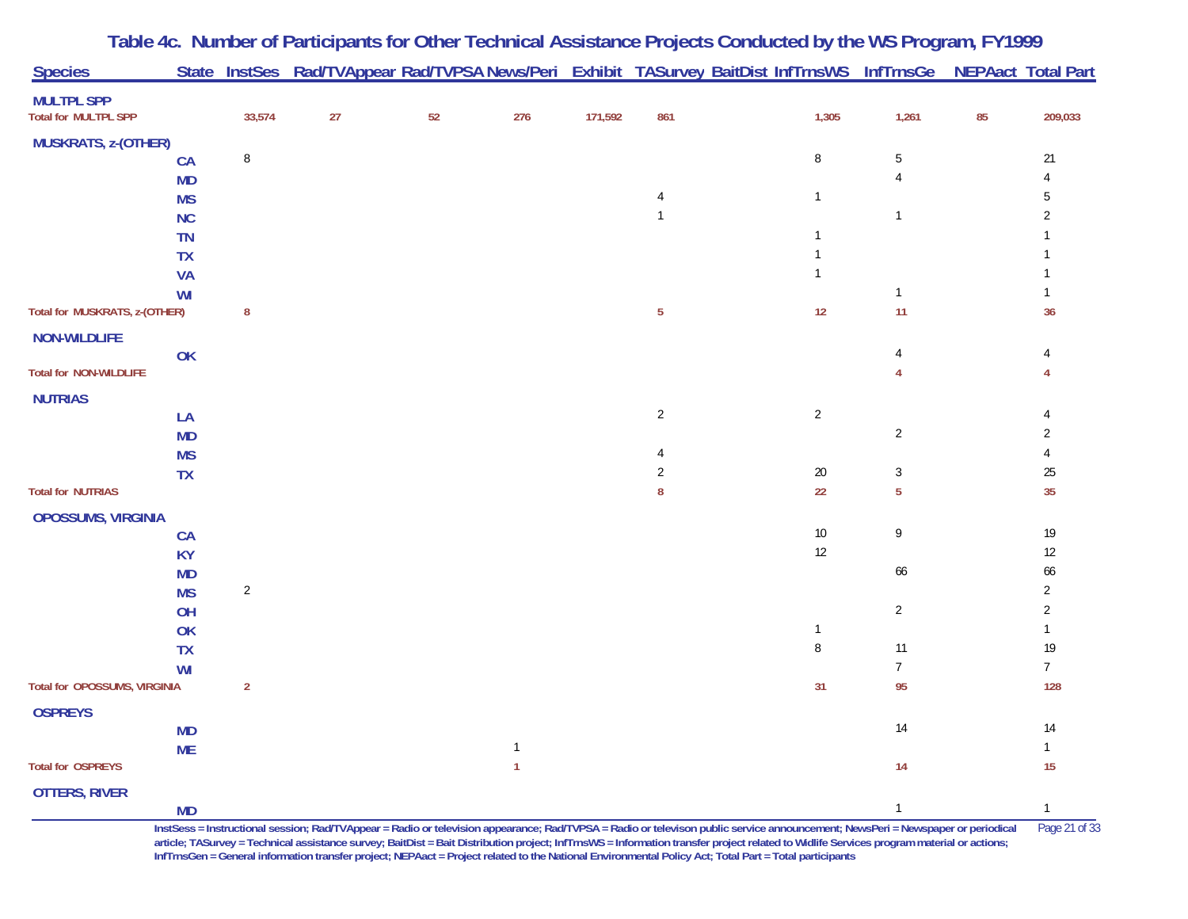| <b>Species</b>                                   |                 |                | State InstSes Rad/TVAppear Rad/TVPSA News/Peri Exhibit TASurvey BaitDist InfTrnsWS InfTrnsGe |    |              |         |                |                                |                 |    | <b>NEPAact Total Part</b> |
|--------------------------------------------------|-----------------|----------------|----------------------------------------------------------------------------------------------|----|--------------|---------|----------------|--------------------------------|-----------------|----|---------------------------|
| <b>MULTPL SPP</b><br><b>Total for MULTPL SPP</b> |                 | 33,574         | 27                                                                                           | 52 | 276          | 171,592 | 861            | 1,305                          | 1,261           | 85 | 209,033                   |
| <b>MUSKRATS, z-(OTHER)</b>                       |                 |                |                                                                                              |    |              |         |                |                                |                 |    |                           |
|                                                  | CA              | $\, 8$         |                                                                                              |    |              |         |                | 8                              | $5\,$           |    | 21                        |
|                                                  | MD              |                |                                                                                              |    |              |         |                |                                | 4               |    | 4                         |
|                                                  | <b>MS</b>       |                |                                                                                              |    |              |         | 4              | $\mathbf{1}$                   |                 |    | 5                         |
|                                                  | NC              |                |                                                                                              |    |              |         | $\mathbf{1}$   |                                | $\mathbf{1}$    |    | $\overline{2}$            |
|                                                  | TN              |                |                                                                                              |    |              |         |                | $\overline{1}$                 |                 |    |                           |
|                                                  | <b>TX</b>       |                |                                                                                              |    |              |         |                | $\overline{1}$<br>$\mathbf{1}$ |                 |    |                           |
|                                                  | <b>VA</b><br>WI |                |                                                                                              |    |              |         |                |                                | $\mathbf{1}$    |    |                           |
| Total for MUSKRATS, z-(OTHER)                    |                 | ${\bf 8}$      |                                                                                              |    |              |         | $\sqrt{5}$     | 12                             | 11              |    | 36                        |
|                                                  |                 |                |                                                                                              |    |              |         |                |                                |                 |    |                           |
| <b>NON-WILDLIFE</b>                              | $\mathsf{OK}$   |                |                                                                                              |    |              |         |                |                                | 4               |    | 4                         |
| <b>Total for NON-WILDLIFE</b>                    |                 |                |                                                                                              |    |              |         |                |                                | 4               |    |                           |
|                                                  |                 |                |                                                                                              |    |              |         |                |                                |                 |    |                           |
| <b>NUTRIAS</b>                                   | LA              |                |                                                                                              |    |              |         | $\overline{2}$ | $\overline{2}$                 |                 |    |                           |
|                                                  | <b>MD</b>       |                |                                                                                              |    |              |         |                |                                | $\overline{2}$  |    | 2                         |
|                                                  | <b>MS</b>       |                |                                                                                              |    |              |         | 4              |                                |                 |    | 4                         |
|                                                  | TX              |                |                                                                                              |    |              |         | 2              | 20                             | 3               |    | 25                        |
| <b>Total for NUTRIAS</b>                         |                 |                |                                                                                              |    |              |         | 8              | 22                             | $\overline{5}$  |    | 35                        |
| <b>OPOSSUMS, VIRGINIA</b>                        |                 |                |                                                                                              |    |              |         |                |                                |                 |    |                           |
|                                                  | <b>CA</b>       |                |                                                                                              |    |              |         |                | 10                             | 9               |    | $19$                      |
|                                                  | <b>KY</b>       |                |                                                                                              |    |              |         |                | 12                             |                 |    | $12\,$                    |
|                                                  | <b>MD</b>       |                |                                                                                              |    |              |         |                |                                | 66              |    | 66                        |
|                                                  | <b>MS</b>       | $\overline{2}$ |                                                                                              |    |              |         |                |                                |                 |    | $\overline{c}$            |
|                                                  | OH              |                |                                                                                              |    |              |         |                |                                | $\overline{2}$  |    | $\overline{2}$            |
|                                                  | OK              |                |                                                                                              |    |              |         |                | $\mathbf{1}$                   |                 |    | $\mathbf{1}$              |
|                                                  | <b>TX</b>       |                |                                                                                              |    |              |         |                | $\, 8$                         | 11              |    | $19$                      |
|                                                  | WI              |                |                                                                                              |    |              |         |                |                                | $7\phantom{.0}$ |    | $7\overline{ }$           |
| Total for OPOSSUMS, VIRGINIA                     |                 | $\overline{2}$ |                                                                                              |    |              |         |                | 31                             | 95              |    | 128                       |
| <b>OSPREYS</b>                                   |                 |                |                                                                                              |    |              |         |                |                                |                 |    |                           |
|                                                  | <b>MD</b>       |                |                                                                                              |    |              |         |                |                                | $14$            |    | 14                        |
|                                                  | <b>ME</b>       |                |                                                                                              |    | $\mathbf{1}$ |         |                |                                | 14              |    | $\mathbf{1}$<br>15        |
| <b>Total for OSPREYS</b>                         |                 |                |                                                                                              |    | $\mathbf{1}$ |         |                |                                |                 |    |                           |
| <b>OTTERS, RIVER</b>                             |                 |                |                                                                                              |    |              |         |                |                                |                 |    |                           |
|                                                  | MD              |                |                                                                                              |    |              |         |                |                                | $\mathbf{1}$    |    | $\mathbf{1}$              |

**Table 4c. Number of Participants for Other Technical Assistance Projects Conducted by the WS Program, FY 1999**

**InstSess = Instructional session; Rad/TVAppear = Radio or television appearance; Rad/TVPSA = Radio or televison public service announcement; NewsPeri = Newspaper or periodical** Page 21 of 33 article; TASurvey = Technical assistance survey; BaitDist = Bait Distribution project; InfTrnsWS = Information transfer project related to Widlife Services program material or actions; **InfTrnsGen = General information transfer project; NEPAact = Project related to the National Environmental Policy Act; Total Part = Total participants**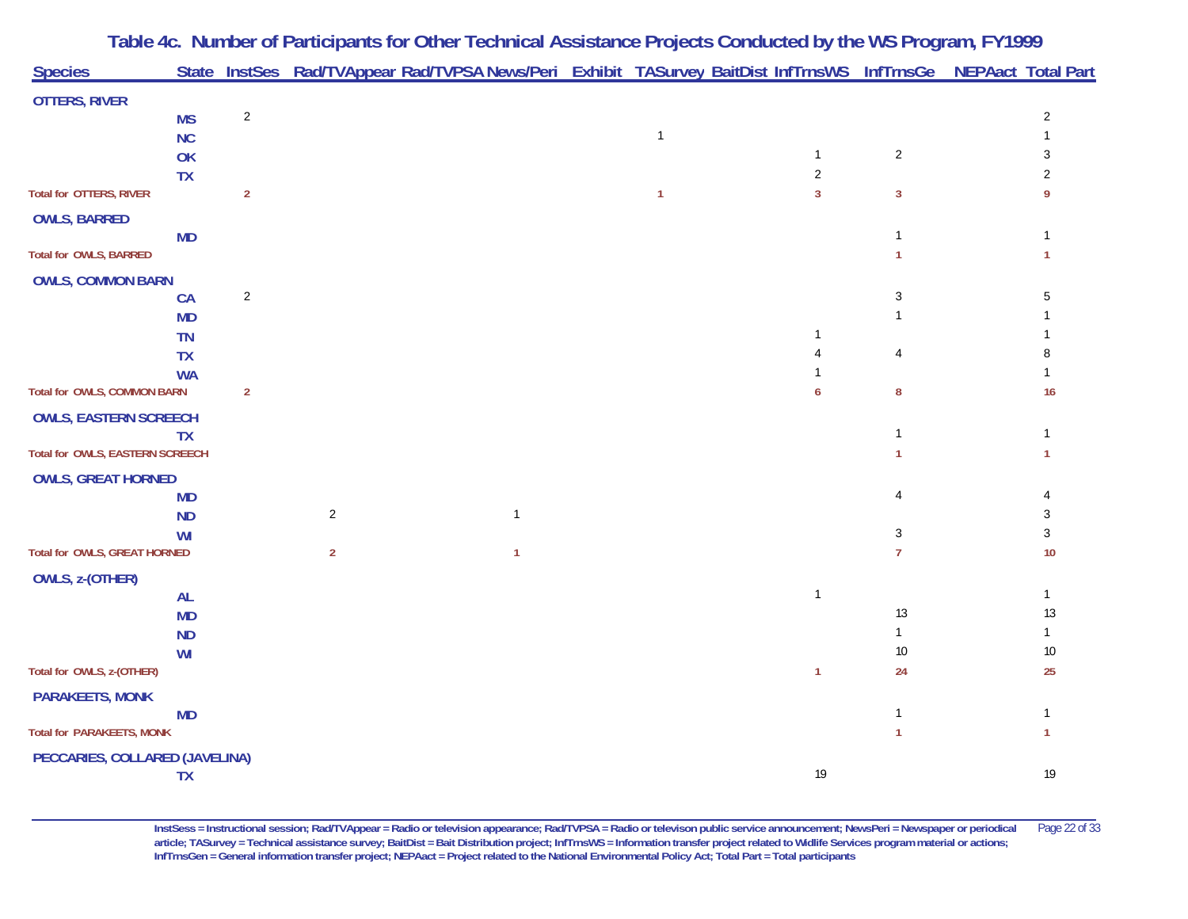|                                          |                | Table 4c. Number of Participants for Other Technical Assistance Projects Conducted by the WS Program, FY1999<br>State InstSes Rad/TVAppear Rad/TVPSA News/Peri Exhibit TASurvey BaitDist InfTrnsWS InfTrnsGe NEPAact Total Part |              |              |                |                |                          |
|------------------------------------------|----------------|---------------------------------------------------------------------------------------------------------------------------------------------------------------------------------------------------------------------------------|--------------|--------------|----------------|----------------|--------------------------|
| <b>Species</b>                           |                |                                                                                                                                                                                                                                 |              |              |                |                |                          |
| <b>OTTERS, RIVER</b>                     |                |                                                                                                                                                                                                                                 |              |              |                |                |                          |
| <b>MS</b>                                | $\sqrt{2}$     |                                                                                                                                                                                                                                 |              | $\mathbf{1}$ |                |                | $\overline{2}$           |
| <b>NC</b><br>OK                          |                |                                                                                                                                                                                                                                 |              |              | 1              | $\sqrt{2}$     | 3                        |
| <b>TX</b>                                |                |                                                                                                                                                                                                                                 |              |              | $\overline{2}$ |                | $\overline{\mathcal{L}}$ |
| <b>Total for OTTERS, RIVER</b>           | $\overline{2}$ |                                                                                                                                                                                                                                 |              | $\mathbf{1}$ | $\overline{3}$ | $\mathbf{3}$   | -9                       |
| <b>OWLS, BARRED</b>                      |                |                                                                                                                                                                                                                                 |              |              |                |                |                          |
| <b>MD</b>                                |                |                                                                                                                                                                                                                                 |              |              |                | 1              |                          |
| <b>Total for OWLS, BARRED</b>            |                |                                                                                                                                                                                                                                 |              |              |                |                |                          |
| <b>OWLS, COMMON BARN</b>                 |                |                                                                                                                                                                                                                                 |              |              |                |                |                          |
| <b>CA</b>                                | $\sqrt{2}$     |                                                                                                                                                                                                                                 |              |              |                | 3              | .5                       |
| <b>MD</b>                                |                |                                                                                                                                                                                                                                 |              |              |                |                |                          |
| <b>TN</b>                                |                |                                                                                                                                                                                                                                 |              |              |                |                |                          |
| <b>TX</b>                                |                |                                                                                                                                                                                                                                 |              |              |                | 4              |                          |
| <b>WA</b><br>Total for OWLS, COMMON BARN | $\overline{2}$ |                                                                                                                                                                                                                                 |              |              | 6              | 8              | 16                       |
| <b>OWLS, EASTERN SCREECH</b>             |                |                                                                                                                                                                                                                                 |              |              |                |                |                          |
| <b>TX</b>                                |                |                                                                                                                                                                                                                                 |              |              |                | 1              |                          |
| Total for OWLS, EASTERN SCREECH          |                |                                                                                                                                                                                                                                 |              |              |                | 1              | -1                       |
| <b>OWLS, GREAT HORNED</b>                |                |                                                                                                                                                                                                                                 |              |              |                |                |                          |
| <b>MD</b>                                |                |                                                                                                                                                                                                                                 |              |              |                | 4              |                          |
| <b>ND</b>                                |                | $\overline{2}$                                                                                                                                                                                                                  | $\mathbf{1}$ |              |                |                | 3                        |
| WI                                       |                |                                                                                                                                                                                                                                 |              |              |                | 3              | 3                        |
| Total for OWLS, GREAT HORNED             |                | $\overline{2}$                                                                                                                                                                                                                  | $\mathbf{1}$ |              |                | $\overline{7}$ | 10                       |
| OWLS, z-(OTHER)                          |                |                                                                                                                                                                                                                                 |              |              |                |                |                          |
| <b>AL</b>                                |                |                                                                                                                                                                                                                                 |              |              | $\mathbf{1}$   |                | $\mathbf{1}$             |
| <b>MD</b>                                |                |                                                                                                                                                                                                                                 |              |              |                | 13             | $13\,$                   |
| <b>ND</b>                                |                |                                                                                                                                                                                                                                 |              |              |                | $\mathbf{1}$   | $\mathbf{1}$             |
| WI<br>Total for OWLS, z-(OTHER)          |                |                                                                                                                                                                                                                                 |              |              | 1              | 10<br>24       | $10\,$<br>25             |
|                                          |                |                                                                                                                                                                                                                                 |              |              |                |                |                          |
| <b>PARAKEETS, MONK</b><br><b>MD</b>      |                |                                                                                                                                                                                                                                 |              |              |                | $\mathbf{1}$   | -1                       |
| <b>Total for PARAKEETS, MONK</b>         |                |                                                                                                                                                                                                                                 |              |              |                | $\overline{1}$ | $\mathbf{1}$             |
| PECCARIES, COLLARED (JAVELINA)           |                |                                                                                                                                                                                                                                 |              |              |                |                |                          |
| <b>TX</b>                                |                |                                                                                                                                                                                                                                 |              |              | 19             |                | 19                       |
|                                          |                |                                                                                                                                                                                                                                 |              |              |                |                |                          |

**InstSess = Instructional session; Rad/TVAppear = Radio or television appearance; Rad/TVPSA = Radio or televison public service announcement; NewsPeri = Newspaper or periodical** Page 22 of 33 **article; TASurvey = Technical assistance survey; BaitDist = Bait Distribution project; InfTrnsWS = Information transfer project related to Widlife Services program material or actions; InfTrnsGen = General information transfer project; NEPAact = Project related to the National Environmental Policy Act; Total Part = Total participants**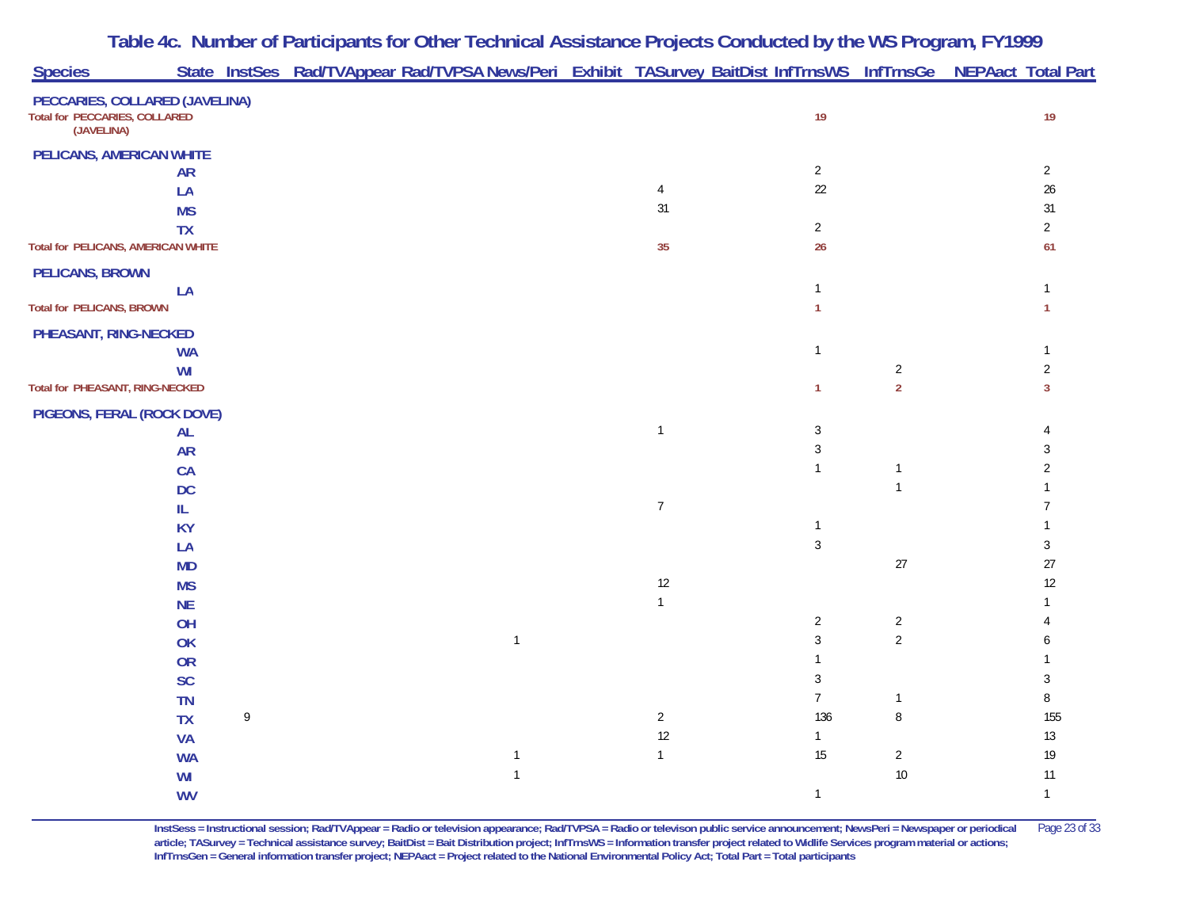|                                                                               |           |   | Table 4c. Number of Participants for Other Technical Assistance Projects Conducted by the WS Program, FY1999    |                |                |                |                |
|-------------------------------------------------------------------------------|-----------|---|-----------------------------------------------------------------------------------------------------------------|----------------|----------------|----------------|----------------|
| <b>Species</b>                                                                |           |   | State InstSes Rad/TVAppear Rad/TVPSA News/Peri Exhibit TASurvey BaitDist InfTrnsWS InfTrnsGe NEPAact Total Part |                |                |                |                |
| PECCARIES, COLLARED (JAVELINA)<br>Total for PECCARIES, COLLARED<br>(JAVELINA) |           |   |                                                                                                                 |                | 19             |                | 19             |
| PELICANS, AMERICAN WHITE                                                      |           |   |                                                                                                                 |                |                |                |                |
|                                                                               | <b>AR</b> |   |                                                                                                                 |                | $\overline{2}$ |                | $\overline{2}$ |
|                                                                               | LA        |   |                                                                                                                 | $\overline{4}$ | 22             |                | $26\,$         |
|                                                                               | <b>MS</b> |   |                                                                                                                 | 31             |                |                | 31             |
|                                                                               | <b>TX</b> |   |                                                                                                                 |                | $\overline{2}$ |                | $\overline{2}$ |
| Total for PELICANS, AMERICAN WHITE                                            |           |   |                                                                                                                 | 35             | 26             |                | 61             |
| <b>PELICANS, BROWN</b>                                                        |           |   |                                                                                                                 |                |                |                |                |
|                                                                               | LA        |   |                                                                                                                 |                | $\mathbf{1}$   |                | $\mathbf{1}$   |
| <b>Total for PELICANS, BROWN</b>                                              |           |   |                                                                                                                 |                | $\mathbf{1}$   |                | 1              |
| PHEASANT, RING-NECKED                                                         |           |   |                                                                                                                 |                |                |                |                |
|                                                                               | <b>WA</b> |   |                                                                                                                 |                | $\mathbf{1}$   |                |                |
|                                                                               | WI        |   |                                                                                                                 |                |                | $\overline{2}$ | 2              |
| Total for PHEASANT, RING-NECKED                                               |           |   |                                                                                                                 |                | $\mathbf{1}$   | $\overline{2}$ | 3              |
| PIGEONS, FERAL (ROCK DOVE)                                                    |           |   |                                                                                                                 |                |                |                |                |
|                                                                               | <b>AL</b> |   |                                                                                                                 | $\mathbf{1}$   | $\sqrt{3}$     |                |                |
|                                                                               | <b>AR</b> |   |                                                                                                                 |                | $\sqrt{3}$     |                | 3              |
|                                                                               | <b>CA</b> |   |                                                                                                                 |                | $\mathbf{1}$   |                | 2              |
|                                                                               | <b>DC</b> |   |                                                                                                                 |                |                | $\mathbf{1}$   |                |
|                                                                               | IL        |   |                                                                                                                 | $\overline{7}$ |                |                |                |
|                                                                               | <b>KY</b> |   |                                                                                                                 |                | $\mathbf{1}$   |                |                |
|                                                                               | LA        |   |                                                                                                                 |                | $\sqrt{3}$     |                | 3              |
|                                                                               | <b>MD</b> |   |                                                                                                                 |                |                | $27\,$         | 27             |
|                                                                               | <b>MS</b> |   |                                                                                                                 | 12             |                |                | 12             |
|                                                                               | <b>NE</b> |   |                                                                                                                 | $\mathbf{1}$   |                |                |                |
|                                                                               | OH        |   |                                                                                                                 |                | $\overline{2}$ | $\overline{2}$ |                |
|                                                                               | OK        |   | $\mathbf{1}$                                                                                                    |                | 3              | $\overline{2}$ |                |
|                                                                               | <b>OR</b> |   |                                                                                                                 |                |                |                |                |
|                                                                               | <b>SC</b> |   |                                                                                                                 |                | 3              |                | 3              |
|                                                                               | <b>TN</b> |   |                                                                                                                 |                | $\overline{7}$ | -1             | 8              |
|                                                                               | <b>TX</b> | 9 |                                                                                                                 | $\overline{2}$ | 136            | 8              | 155            |
|                                                                               | <b>VA</b> |   |                                                                                                                 | $12$           | $\mathbf{1}$   |                | $13\,$         |
|                                                                               | <b>WA</b> |   | $\mathbf{1}$                                                                                                    | $\mathbf{1}$   | 15             | $\overline{c}$ | $19$           |
|                                                                               | WI        |   | $\mathbf{1}$                                                                                                    |                |                | $10\,$         | 11             |
|                                                                               | <b>WV</b> |   |                                                                                                                 |                | $\mathbf{1}$   |                | $\mathbf{1}$   |

**InstSess = Instructional session; Rad/TVAppear = Radio or television appearance; Rad/TVPSA = Radio or televison public service announcement; NewsPeri = Newspaper or periodical** Page 23 of 33 **article; TASurvey = Technical assistance survey; BaitDist = Bait Distribution project; InfTrnsWS = Information transfer project related to Widlife Services program material or actions; InfTrnsGen = General information transfer project; NEPAact = Project related to the National Environmental Policy Act; Total Part = Total participants**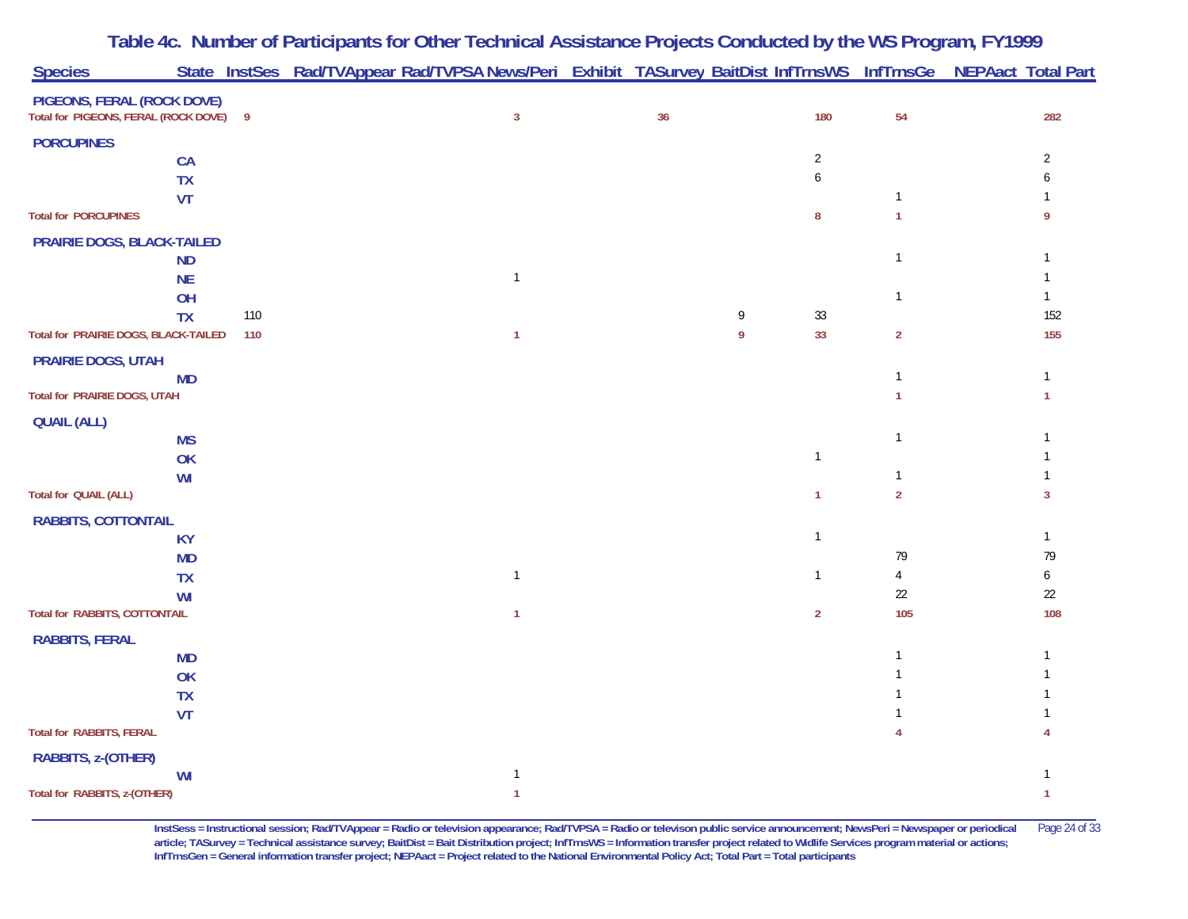| <b>Species</b>                                                     |                 |                | State InstSes Rad/TVAppear Rad/TVPSA News/Peri Exhibit TASurvey BaitDist InfTrnsWS InfTrnsGe NEPAact Total Part |    |   |                |                |                     |
|--------------------------------------------------------------------|-----------------|----------------|-----------------------------------------------------------------------------------------------------------------|----|---|----------------|----------------|---------------------|
|                                                                    |                 |                |                                                                                                                 |    |   |                |                |                     |
| PIGEONS, FERAL (ROCK DOVE)<br>Total for PIGEONS, FERAL (ROCK DOVE) |                 | $\overline{9}$ | $\mathbf{3}$                                                                                                    | 36 |   | 180            | 54             | 282                 |
| <b>PORCUPINES</b>                                                  |                 |                |                                                                                                                 |    |   |                |                |                     |
|                                                                    | <b>CA</b>       |                |                                                                                                                 |    |   | $\overline{2}$ |                | $\overline{2}$      |
|                                                                    | <b>TX</b>       |                |                                                                                                                 |    |   | 6              |                |                     |
|                                                                    | <b>VT</b>       |                |                                                                                                                 |    |   |                | $\mathbf{1}$   |                     |
| <b>Total for PORCUPINES</b>                                        |                 |                |                                                                                                                 |    |   | 8              | $\overline{1}$ | 9                   |
| PRAIRIE DOGS, BLACK-TAILED                                         |                 |                |                                                                                                                 |    |   |                |                |                     |
|                                                                    | <b>ND</b>       |                |                                                                                                                 |    |   |                | $\mathbf{1}$   |                     |
|                                                                    | <b>NE</b>       |                | $\mathbf{1}$                                                                                                    |    |   |                |                |                     |
|                                                                    | OH<br><b>TX</b> | 110            |                                                                                                                 |    | 9 | $33\,$         | $\mathbf{1}$   | $\mathbf{1}$<br>152 |
| Total for PRAIRIE DOGS, BLACK-TAILED                               |                 | 110            | $\mathbf{1}$                                                                                                    |    | 9 | 33             | $\overline{2}$ | 155                 |
|                                                                    |                 |                |                                                                                                                 |    |   |                |                |                     |
| <b>PRAIRIE DOGS, UTAH</b>                                          | <b>MD</b>       |                |                                                                                                                 |    |   |                | $\mathbf{1}$   | $\mathbf{1}$        |
| Total for PRAIRIE DOGS, UTAH                                       |                 |                |                                                                                                                 |    |   |                | 1              | -1                  |
| <b>QUAIL (ALL)</b>                                                 |                 |                |                                                                                                                 |    |   |                |                |                     |
|                                                                    | <b>MS</b>       |                |                                                                                                                 |    |   |                | $\mathbf{1}$   |                     |
|                                                                    | OK              |                |                                                                                                                 |    |   | $\mathbf{1}$   |                |                     |
|                                                                    | WI              |                |                                                                                                                 |    |   |                | $\mathbf{1}$   |                     |
| <b>Total for QUAIL (ALL)</b>                                       |                 |                |                                                                                                                 |    |   | $\mathbf{1}$   | $\overline{2}$ | 3                   |
| <b>RABBITS, COTTONTAIL</b>                                         |                 |                |                                                                                                                 |    |   |                |                |                     |
|                                                                    | <b>KY</b>       |                |                                                                                                                 |    |   | $\mathbf{1}$   |                | $\mathbf{1}$        |
|                                                                    | <b>MD</b>       |                |                                                                                                                 |    |   |                | 79             | 79                  |
|                                                                    | <b>TX</b>       |                | $\mathbf{1}$                                                                                                    |    |   | 1              | 4<br>22        | 6<br>$22\,$         |
| Total for RABBITS, COTTONTAIL                                      | WI              |                | 1                                                                                                               |    |   | $\overline{2}$ | 105            | 108                 |
|                                                                    |                 |                |                                                                                                                 |    |   |                |                |                     |
| <b>RABBITS, FERAL</b>                                              | <b>MD</b>       |                |                                                                                                                 |    |   |                | 1              | -1                  |
|                                                                    | OK              |                |                                                                                                                 |    |   |                |                |                     |
|                                                                    | <b>TX</b>       |                |                                                                                                                 |    |   |                |                |                     |
|                                                                    | <b>VT</b>       |                |                                                                                                                 |    |   |                |                |                     |
| <b>Total for RABBITS, FERAL</b>                                    |                 |                |                                                                                                                 |    |   |                |                |                     |
| RABBITS, z-(OTHER)                                                 |                 |                |                                                                                                                 |    |   |                |                |                     |
|                                                                    | WI              |                | $\mathbf{1}$                                                                                                    |    |   |                |                |                     |
| Total for RABBITS, z-(OTHER)                                       |                 |                | -1                                                                                                              |    |   |                |                | 1                   |

**InstSess = Instructional session; Rad/TVAppear = Radio or television appearance; Rad/TVPSA = Radio or televison public service announcement; NewsPeri = Newspaper or periodical** Page 24 of 33 **article; TASurvey = Technical assistance survey; BaitDist = Bait Distribution project; InfTrnsWS = Information transfer project related to Widlife Services program material or actions; InfTrnsGen = General information transfer project; NEPAact = Project related to the National Environmental Policy Act; Total Part = Total participants**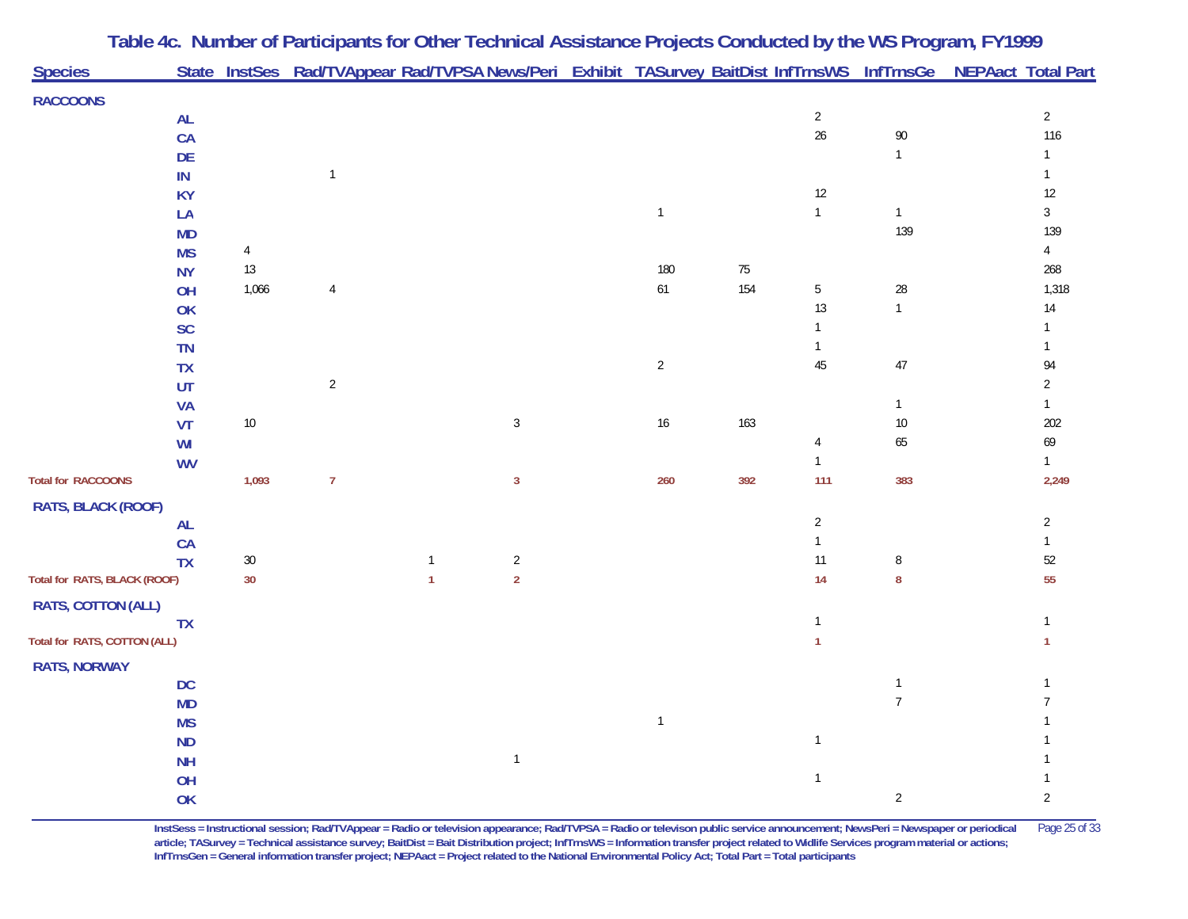| <b>Species</b>               |                        |                | State InstSes Rad/TVAppear Rad/TVPSA News/Peri Exhibit TASurvey BaitDist InfTrnsWS InfTrnsGe NEPAact Total Part |              |                                  |                |     |                                |                                |                              |
|------------------------------|------------------------|----------------|-----------------------------------------------------------------------------------------------------------------|--------------|----------------------------------|----------------|-----|--------------------------------|--------------------------------|------------------------------|
|                              |                        |                |                                                                                                                 |              |                                  |                |     |                                |                                |                              |
| <b>RACCOONS</b>              |                        |                |                                                                                                                 |              |                                  |                |     | $\overline{2}$                 |                                | $\overline{2}$               |
|                              | <b>AL</b><br>CA        |                |                                                                                                                 |              |                                  |                |     | $26\,$                         | 90                             | 116                          |
|                              | DE                     |                |                                                                                                                 |              |                                  |                |     |                                | $\mathbf{1}$                   | $\mathbf{1}$                 |
|                              | IN                     |                | $\mathbf{1}$                                                                                                    |              |                                  |                |     |                                |                                |                              |
|                              | <b>KY</b>              |                |                                                                                                                 |              |                                  |                |     | $12\,$                         |                                | $12\,$                       |
|                              | LA                     |                |                                                                                                                 |              |                                  | $\mathbf{1}$   |     | $\mathbf{1}$                   | $\mathbf{1}$                   | $\mathfrak{Z}$               |
|                              | <b>MD</b>              |                |                                                                                                                 |              |                                  |                |     |                                | 139                            | 139                          |
|                              | <b>MS</b>              | $\overline{4}$ |                                                                                                                 |              |                                  |                |     |                                |                                | $\overline{4}$               |
|                              | <b>NY</b>              | 13             |                                                                                                                 |              |                                  | 180            | 75  |                                |                                | 268                          |
|                              | OH                     | 1,066          | $\overline{4}$                                                                                                  |              |                                  | $61$           | 154 | $\mathbf 5$                    | 28                             | 1,318                        |
|                              | <b>OK</b>              |                |                                                                                                                 |              |                                  |                |     | $13$                           | $\mathbf{1}$                   | $14$                         |
|                              | SC                     |                |                                                                                                                 |              |                                  |                |     | $\mathbf{1}$                   |                                | 1                            |
|                              | TN                     |                |                                                                                                                 |              |                                  |                |     | $\mathbf{1}$                   |                                | $\mathbf{1}$                 |
|                              | <b>TX</b>              |                |                                                                                                                 |              |                                  | $\overline{2}$ |     | $45\,$                         | 47                             | 94                           |
|                              | UT                     |                | $\sqrt{2}$                                                                                                      |              |                                  |                |     |                                |                                | $\overline{2}$               |
|                              | <b>VA</b>              |                |                                                                                                                 |              |                                  |                |     |                                | $\mathbf{1}$                   | $\mathbf{1}$                 |
|                              | VT                     | $10\,$         |                                                                                                                 |              | $\sqrt{3}$                       | $16\,$         | 163 |                                | $10\,$                         | 202                          |
|                              | WI                     |                |                                                                                                                 |              |                                  |                |     | $\overline{4}$<br>$\mathbf{1}$ | 65                             | 69                           |
| <b>Total for RACCOONS</b>    | <b>WV</b>              | 1,093          | $\overline{7}$                                                                                                  |              | $\mathbf{3}$                     | 260            | 392 | 111                            | 383                            | $\mathbf{1}$<br>2,249        |
|                              |                        |                |                                                                                                                 |              |                                  |                |     |                                |                                |                              |
| RATS, BLACK (ROOF)           |                        |                |                                                                                                                 |              |                                  |                |     |                                |                                |                              |
|                              | <b>AL</b>              |                |                                                                                                                 |              |                                  |                |     | $\overline{2}$                 |                                | $\overline{2}$               |
|                              | CA<br><b>TX</b>        | $30\,$         |                                                                                                                 | $\mathbf{1}$ |                                  |                |     | $\mathbf{1}$<br>$11$           |                                | $\mathbf{1}$<br>$52\,$       |
| Total for RATS, BLACK (ROOF) |                        | 30             |                                                                                                                 | $\mathbf{1}$ | $\overline{2}$<br>$\overline{2}$ |                |     | 14                             | 8<br>8                         | 55                           |
|                              |                        |                |                                                                                                                 |              |                                  |                |     |                                |                                |                              |
| RATS, COTTON (ALL)           |                        |                |                                                                                                                 |              |                                  |                |     | $\mathbf{1}$                   |                                |                              |
| Total for RATS, COTTON (ALL) | <b>TX</b>              |                |                                                                                                                 |              |                                  |                |     | 1                              |                                | $\mathbf{1}$<br>$\mathbf{1}$ |
|                              |                        |                |                                                                                                                 |              |                                  |                |     |                                |                                |                              |
| <b>RATS, NORWAY</b>          |                        |                |                                                                                                                 |              |                                  |                |     |                                |                                |                              |
|                              | <b>DC</b>              |                |                                                                                                                 |              |                                  |                |     |                                | $\mathbf{1}$<br>$\overline{7}$ | 1                            |
|                              | <b>MD</b>              |                |                                                                                                                 |              |                                  | $\overline{1}$ |     |                                |                                |                              |
|                              | <b>MS</b><br><b>ND</b> |                |                                                                                                                 |              |                                  |                |     | $\mathbf{1}$                   |                                |                              |
|                              | <b>NH</b>              |                |                                                                                                                 |              | $\mathbf{1}$                     |                |     |                                |                                |                              |
|                              | OH                     |                |                                                                                                                 |              |                                  |                |     | $\mathbf{1}$                   |                                |                              |
|                              | OK                     |                |                                                                                                                 |              |                                  |                |     |                                | $\overline{c}$                 | $\overline{2}$               |

**InstSess = Instructional session; Rad/TVAppear = Radio or television appearance; Rad/TVPSA = Radio or televison public service announcement; NewsPeri = Newspaper or periodical** Page 25 of 33 **article; TASurvey = Technical assistance survey; BaitDist = Bait Distribution project; InfTrnsWS = Information transfer project related to Widlife Services program material or actions; InfTrnsGen = General information transfer project; NEPAact = Project related to the National Environmental Policy Act; Total Part = Total participants**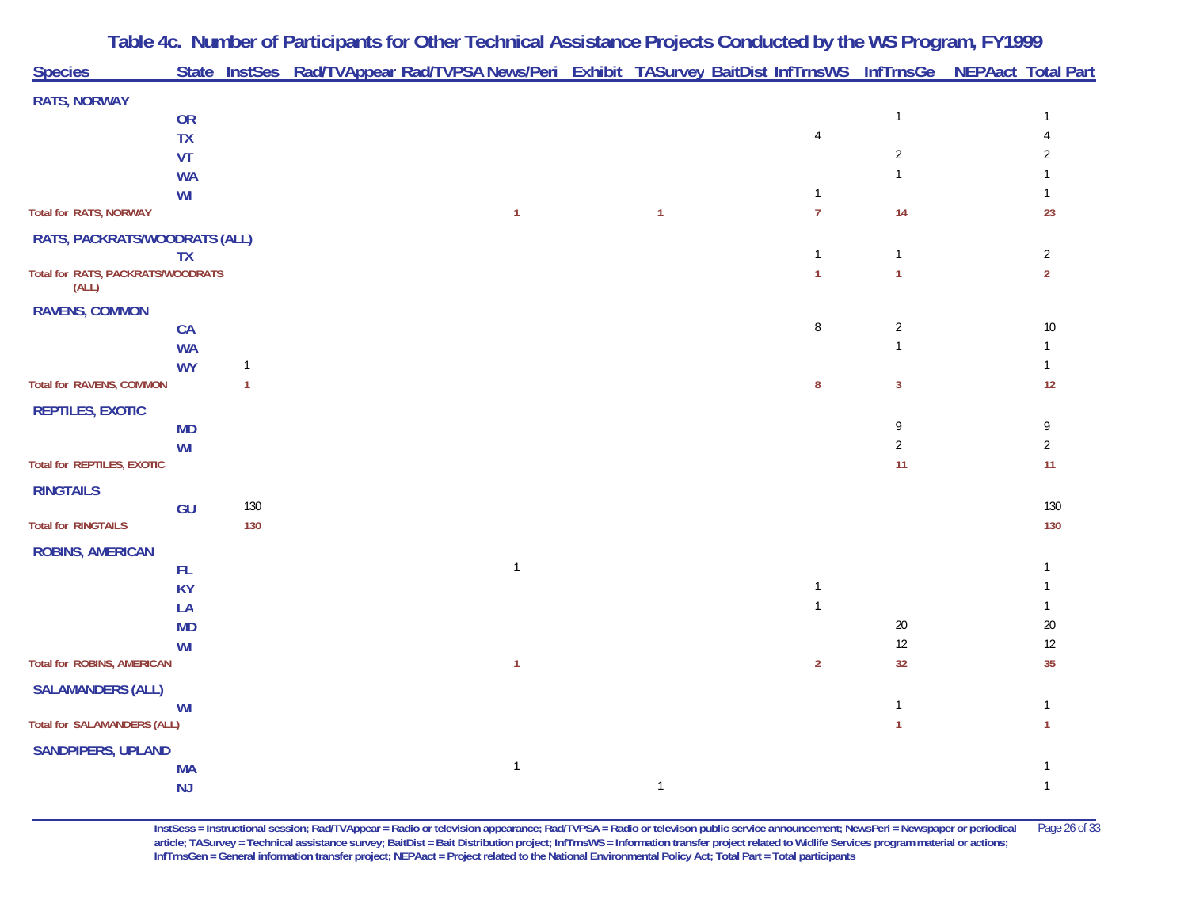| <b>RATS, NORWAY</b><br>OR<br>$\mathbf{1}$<br><b>TX</b><br>$\overline{4}$<br>$\overline{2}$<br>VT<br>2<br>$\mathbf{1}$<br><b>WA</b><br>WI<br>$\overline{7}$<br>23<br><b>Total for RATS, NORWAY</b><br>14<br>1<br>$\mathbf{1}$<br>RATS, PACKRATS/WOODRATS (ALL)<br>$\sqrt{2}$<br>$\mathbf{1}$<br>$\mathbf{1}$<br><b>TX</b><br>Total for RATS, PACKRATS/WOODRATS<br>$\mathbf{1}$<br>$\overline{2}$<br>$\mathbf{1}$<br>(ALL)<br><b>RAVENS, COMMON</b><br>$\, 8$<br>$\sqrt{2}$<br>$10\,$<br>CA<br>$\mathbf{1}$<br><b>WA</b><br><b>WY</b><br>$\mathbf{1}$<br>$\mathbf{1}$<br><b>Total for RAVENS, COMMON</b><br>12<br>$\mathbf{1}$<br>8<br>3<br><b>REPTILES, EXOTIC</b><br>9<br>9<br><b>MD</b><br>$\overline{2}$<br>$\overline{2}$<br>WI<br>11<br><b>Total for REPTILES, EXOTIC</b><br>11<br><b>RINGTAILS</b><br>130<br>130<br>GU<br>130<br>130<br><b>ROBINS, AMERICAN</b><br>$\overline{1}$<br>FL.<br><b>KY</b><br>$\mathbf{1}$<br>$\mathbf{1}$<br>LA<br>20<br>$20\,$<br><b>MD</b><br>12<br>12<br>WI<br>35<br><b>Total for ROBINS, AMERICAN</b><br>$\overline{2}$<br>32<br>1<br><b>SALAMANDERS (ALL)</b><br>$\mathbf{1}$<br>WI<br>$\mathbf{1}$<br><b>Total for SALAMANDERS (ALL)</b><br>1<br>1<br><b>SANDPIPERS, UPLAND</b><br>$\mathbf{1}$<br><b>MA</b><br>NJ<br>$\mathbf{1}$<br>$\mathbf{1}$ | <b>Species</b>             |  | State InstSes Rad/TVAppear Rad/TVPSA News/Peri Exhibit TASurvey BaitDist InfTrnsWS InfTrnsGe NEPAact Total Part |  |  |  |  |
|-------------------------------------------------------------------------------------------------------------------------------------------------------------------------------------------------------------------------------------------------------------------------------------------------------------------------------------------------------------------------------------------------------------------------------------------------------------------------------------------------------------------------------------------------------------------------------------------------------------------------------------------------------------------------------------------------------------------------------------------------------------------------------------------------------------------------------------------------------------------------------------------------------------------------------------------------------------------------------------------------------------------------------------------------------------------------------------------------------------------------------------------------------------------------------------------------------------------------------------------------------------------------------------------|----------------------------|--|-----------------------------------------------------------------------------------------------------------------|--|--|--|--|
|                                                                                                                                                                                                                                                                                                                                                                                                                                                                                                                                                                                                                                                                                                                                                                                                                                                                                                                                                                                                                                                                                                                                                                                                                                                                                           |                            |  |                                                                                                                 |  |  |  |  |
|                                                                                                                                                                                                                                                                                                                                                                                                                                                                                                                                                                                                                                                                                                                                                                                                                                                                                                                                                                                                                                                                                                                                                                                                                                                                                           |                            |  |                                                                                                                 |  |  |  |  |
|                                                                                                                                                                                                                                                                                                                                                                                                                                                                                                                                                                                                                                                                                                                                                                                                                                                                                                                                                                                                                                                                                                                                                                                                                                                                                           |                            |  |                                                                                                                 |  |  |  |  |
|                                                                                                                                                                                                                                                                                                                                                                                                                                                                                                                                                                                                                                                                                                                                                                                                                                                                                                                                                                                                                                                                                                                                                                                                                                                                                           |                            |  |                                                                                                                 |  |  |  |  |
|                                                                                                                                                                                                                                                                                                                                                                                                                                                                                                                                                                                                                                                                                                                                                                                                                                                                                                                                                                                                                                                                                                                                                                                                                                                                                           |                            |  |                                                                                                                 |  |  |  |  |
|                                                                                                                                                                                                                                                                                                                                                                                                                                                                                                                                                                                                                                                                                                                                                                                                                                                                                                                                                                                                                                                                                                                                                                                                                                                                                           |                            |  |                                                                                                                 |  |  |  |  |
|                                                                                                                                                                                                                                                                                                                                                                                                                                                                                                                                                                                                                                                                                                                                                                                                                                                                                                                                                                                                                                                                                                                                                                                                                                                                                           |                            |  |                                                                                                                 |  |  |  |  |
|                                                                                                                                                                                                                                                                                                                                                                                                                                                                                                                                                                                                                                                                                                                                                                                                                                                                                                                                                                                                                                                                                                                                                                                                                                                                                           |                            |  |                                                                                                                 |  |  |  |  |
|                                                                                                                                                                                                                                                                                                                                                                                                                                                                                                                                                                                                                                                                                                                                                                                                                                                                                                                                                                                                                                                                                                                                                                                                                                                                                           |                            |  |                                                                                                                 |  |  |  |  |
|                                                                                                                                                                                                                                                                                                                                                                                                                                                                                                                                                                                                                                                                                                                                                                                                                                                                                                                                                                                                                                                                                                                                                                                                                                                                                           |                            |  |                                                                                                                 |  |  |  |  |
|                                                                                                                                                                                                                                                                                                                                                                                                                                                                                                                                                                                                                                                                                                                                                                                                                                                                                                                                                                                                                                                                                                                                                                                                                                                                                           |                            |  |                                                                                                                 |  |  |  |  |
|                                                                                                                                                                                                                                                                                                                                                                                                                                                                                                                                                                                                                                                                                                                                                                                                                                                                                                                                                                                                                                                                                                                                                                                                                                                                                           |                            |  |                                                                                                                 |  |  |  |  |
|                                                                                                                                                                                                                                                                                                                                                                                                                                                                                                                                                                                                                                                                                                                                                                                                                                                                                                                                                                                                                                                                                                                                                                                                                                                                                           |                            |  |                                                                                                                 |  |  |  |  |
|                                                                                                                                                                                                                                                                                                                                                                                                                                                                                                                                                                                                                                                                                                                                                                                                                                                                                                                                                                                                                                                                                                                                                                                                                                                                                           |                            |  |                                                                                                                 |  |  |  |  |
|                                                                                                                                                                                                                                                                                                                                                                                                                                                                                                                                                                                                                                                                                                                                                                                                                                                                                                                                                                                                                                                                                                                                                                                                                                                                                           |                            |  |                                                                                                                 |  |  |  |  |
|                                                                                                                                                                                                                                                                                                                                                                                                                                                                                                                                                                                                                                                                                                                                                                                                                                                                                                                                                                                                                                                                                                                                                                                                                                                                                           |                            |  |                                                                                                                 |  |  |  |  |
|                                                                                                                                                                                                                                                                                                                                                                                                                                                                                                                                                                                                                                                                                                                                                                                                                                                                                                                                                                                                                                                                                                                                                                                                                                                                                           |                            |  |                                                                                                                 |  |  |  |  |
|                                                                                                                                                                                                                                                                                                                                                                                                                                                                                                                                                                                                                                                                                                                                                                                                                                                                                                                                                                                                                                                                                                                                                                                                                                                                                           |                            |  |                                                                                                                 |  |  |  |  |
|                                                                                                                                                                                                                                                                                                                                                                                                                                                                                                                                                                                                                                                                                                                                                                                                                                                                                                                                                                                                                                                                                                                                                                                                                                                                                           |                            |  |                                                                                                                 |  |  |  |  |
|                                                                                                                                                                                                                                                                                                                                                                                                                                                                                                                                                                                                                                                                                                                                                                                                                                                                                                                                                                                                                                                                                                                                                                                                                                                                                           |                            |  |                                                                                                                 |  |  |  |  |
|                                                                                                                                                                                                                                                                                                                                                                                                                                                                                                                                                                                                                                                                                                                                                                                                                                                                                                                                                                                                                                                                                                                                                                                                                                                                                           | <b>Total for RINGTAILS</b> |  |                                                                                                                 |  |  |  |  |
|                                                                                                                                                                                                                                                                                                                                                                                                                                                                                                                                                                                                                                                                                                                                                                                                                                                                                                                                                                                                                                                                                                                                                                                                                                                                                           |                            |  |                                                                                                                 |  |  |  |  |
|                                                                                                                                                                                                                                                                                                                                                                                                                                                                                                                                                                                                                                                                                                                                                                                                                                                                                                                                                                                                                                                                                                                                                                                                                                                                                           |                            |  |                                                                                                                 |  |  |  |  |
|                                                                                                                                                                                                                                                                                                                                                                                                                                                                                                                                                                                                                                                                                                                                                                                                                                                                                                                                                                                                                                                                                                                                                                                                                                                                                           |                            |  |                                                                                                                 |  |  |  |  |
|                                                                                                                                                                                                                                                                                                                                                                                                                                                                                                                                                                                                                                                                                                                                                                                                                                                                                                                                                                                                                                                                                                                                                                                                                                                                                           |                            |  |                                                                                                                 |  |  |  |  |
|                                                                                                                                                                                                                                                                                                                                                                                                                                                                                                                                                                                                                                                                                                                                                                                                                                                                                                                                                                                                                                                                                                                                                                                                                                                                                           |                            |  |                                                                                                                 |  |  |  |  |
|                                                                                                                                                                                                                                                                                                                                                                                                                                                                                                                                                                                                                                                                                                                                                                                                                                                                                                                                                                                                                                                                                                                                                                                                                                                                                           |                            |  |                                                                                                                 |  |  |  |  |
|                                                                                                                                                                                                                                                                                                                                                                                                                                                                                                                                                                                                                                                                                                                                                                                                                                                                                                                                                                                                                                                                                                                                                                                                                                                                                           |                            |  |                                                                                                                 |  |  |  |  |
|                                                                                                                                                                                                                                                                                                                                                                                                                                                                                                                                                                                                                                                                                                                                                                                                                                                                                                                                                                                                                                                                                                                                                                                                                                                                                           |                            |  |                                                                                                                 |  |  |  |  |
|                                                                                                                                                                                                                                                                                                                                                                                                                                                                                                                                                                                                                                                                                                                                                                                                                                                                                                                                                                                                                                                                                                                                                                                                                                                                                           |                            |  |                                                                                                                 |  |  |  |  |
|                                                                                                                                                                                                                                                                                                                                                                                                                                                                                                                                                                                                                                                                                                                                                                                                                                                                                                                                                                                                                                                                                                                                                                                                                                                                                           |                            |  |                                                                                                                 |  |  |  |  |
|                                                                                                                                                                                                                                                                                                                                                                                                                                                                                                                                                                                                                                                                                                                                                                                                                                                                                                                                                                                                                                                                                                                                                                                                                                                                                           |                            |  |                                                                                                                 |  |  |  |  |
|                                                                                                                                                                                                                                                                                                                                                                                                                                                                                                                                                                                                                                                                                                                                                                                                                                                                                                                                                                                                                                                                                                                                                                                                                                                                                           |                            |  |                                                                                                                 |  |  |  |  |

**InstSess = Instructional session; Rad/TVAppear = Radio or television appearance; Rad/TVPSA = Radio or televison public service announcement; NewsPeri = Newspaper or periodical** Page 26 of 33 **article; TASurvey = Technical assistance survey; BaitDist = Bait Distribution project; InfTrnsWS = Information transfer project related to Widlife Services program material or actions; InfTrnsGen = General information transfer project; NEPAact = Project related to the National Environmental Policy Act; Total Part = Total participants**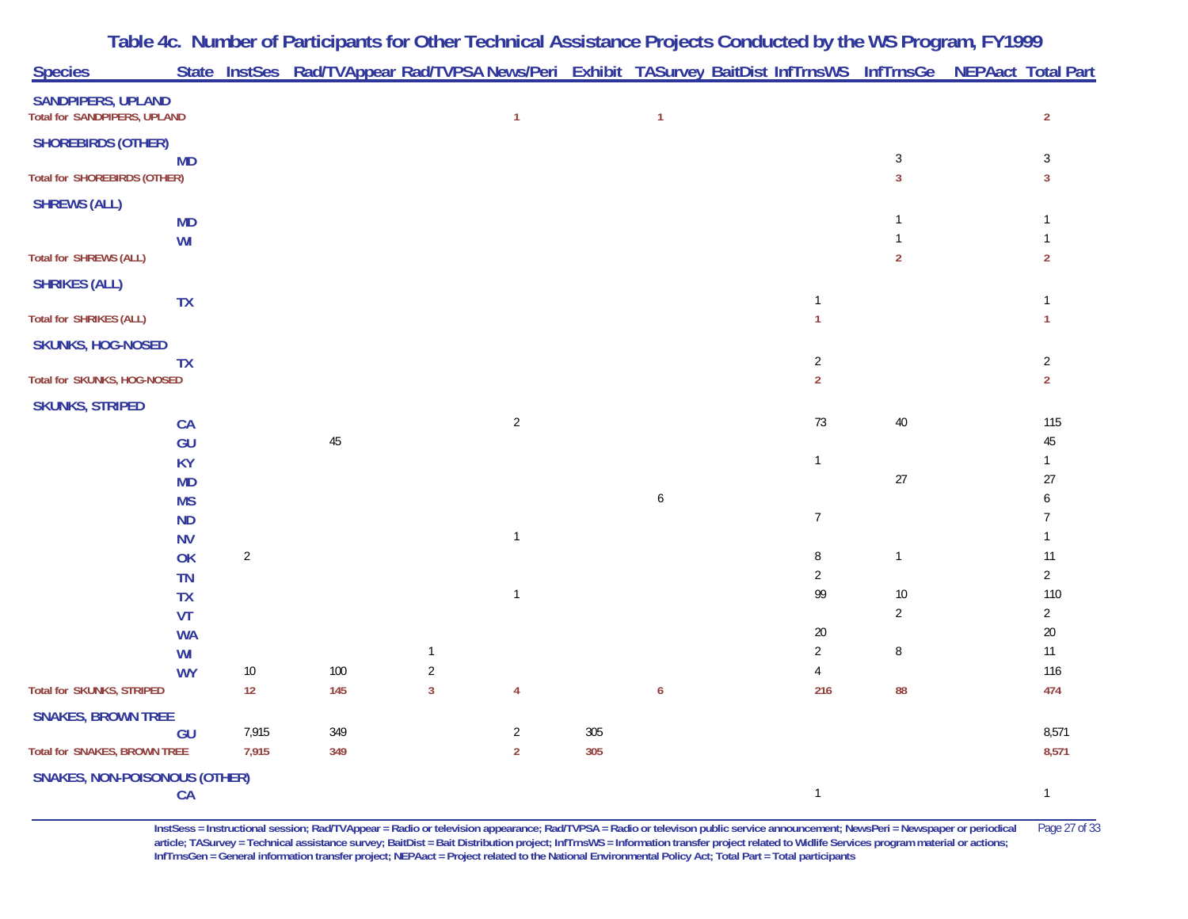|                                                           |            |  | Table 4c. Number of Participants for Other Technical Assistance Projects Conducted by the WS Program, FY1999 |  |  |                                                                                                                 |
|-----------------------------------------------------------|------------|--|--------------------------------------------------------------------------------------------------------------|--|--|-----------------------------------------------------------------------------------------------------------------|
| <b>Species</b>                                            |            |  |                                                                                                              |  |  | State InstSes Rad/TVAppear Rad/TVPSA News/Peri Exhibit TASurvey BaitDist InfTrnsWS InfTrnsGe NEPAact Total Part |
| <b>SANDPIPERS, UPLAND</b><br>Total for SANDPIPERS, UPLAND |            |  |                                                                                                              |  |  |                                                                                                                 |
| <b>SHOREBIRDS (OTHER)</b>                                 | <b>MD</b>  |  |                                                                                                              |  |  |                                                                                                                 |
| <b>Total for SHOREBIRDS (OTHER)</b>                       |            |  |                                                                                                              |  |  |                                                                                                                 |
| <b>SHREWS (ALL)</b>                                       | <b>BAD</b> |  |                                                                                                              |  |  |                                                                                                                 |

| SHUKEBIRDS (UTHER)                   | <b>MD</b>              |                |                |                              |                |     |   |                       | $\sqrt{3}$     | $\mathbf{3}$                   |
|--------------------------------------|------------------------|----------------|----------------|------------------------------|----------------|-----|---|-----------------------|----------------|--------------------------------|
| <b>Total for SHOREBIRDS (OTHER)</b>  |                        |                |                |                              |                |     |   |                       | $\mathbf{3}$   | $\mathbf{3}$                   |
| <b>SHREWS (ALL)</b>                  |                        |                |                |                              |                |     |   |                       |                |                                |
|                                      | <b>MD</b>              |                |                |                              |                |     |   |                       | $\mathbf{1}$   | $\mathbf{1}$                   |
| <b>Total for SHREWS (ALL)</b>        | WI                     |                |                |                              |                |     |   |                       | $\sqrt{2}$     | $\mathbf{1}$<br>$\overline{2}$ |
|                                      |                        |                |                |                              |                |     |   |                       |                |                                |
| <b>SHRIKES (ALL)</b>                 |                        |                |                |                              |                |     |   | $\overline{1}$        |                | $\overline{1}$                 |
| <b>Total for SHRIKES (ALL)</b>       | TX                     |                |                |                              |                |     |   | $\mathbf{1}$          |                | $\overline{1}$                 |
| <b>SKUNKS, HOG-NOSED</b>             |                        |                |                |                              |                |     |   |                       |                |                                |
|                                      | <b>TX</b>              |                |                |                              |                |     |   | $\sqrt{2}$            |                | $\overline{2}$                 |
| Total for SKUNKS, HOG-NOSED          |                        |                |                |                              |                |     |   | $\overline{2}$        |                | $\overline{2}$                 |
| <b>SKUNKS, STRIPED</b>               |                        |                |                |                              |                |     |   |                       |                |                                |
|                                      | CA                     |                |                |                              | $\overline{2}$ |     |   | 73                    | $40\,$         | 115                            |
|                                      | GU                     |                | $45\,$         |                              |                |     |   |                       |                | $45\,$                         |
|                                      | <b>KY</b>              |                |                |                              |                |     |   | $\mathbf{1}$          | $27\,$         | $\mathbf{1}$<br>$27$           |
|                                      | <b>MD</b><br><b>MS</b> |                |                |                              |                |     | 6 |                       |                | 6                              |
|                                      | <b>ND</b>              |                |                |                              |                |     |   | $\overline{7}$        |                | 7                              |
|                                      | <b>NV</b>              |                |                |                              | $\mathbf{1}$   |     |   |                       |                | $\mathbf{1}$                   |
|                                      | OK                     | $\overline{2}$ |                |                              |                |     |   | $\, 8$                | $\mathbf{1}$   | 11                             |
|                                      | <b>TN</b>              |                |                |                              |                |     |   | $\overline{2}$        |                | $\overline{2}$                 |
|                                      | <b>TX</b>              |                |                |                              | $\mathbf{1}$   |     |   | 99                    | $10\,$         | 110                            |
|                                      | <b>VT</b>              |                |                |                              |                |     |   |                       | $\overline{2}$ | $\overline{2}$                 |
|                                      | <b>WA</b>              |                |                |                              |                |     |   | $20\,$                |                | $20\,$                         |
|                                      | WI                     |                |                | $\overline{1}$               |                |     |   | $\overline{2}$        | $\, 8$         | $11$                           |
| <b>Total for SKUNKS, STRIPED</b>     | <b>WY</b>              | $10\,$<br>12   | $100\,$<br>145 | $\sqrt{2}$<br>$\overline{3}$ | $\overline{4}$ |     | 6 | $\overline{4}$<br>216 | 88             | 116<br>474                     |
|                                      |                        |                |                |                              |                |     |   |                       |                |                                |
| <b>SNAKES, BROWN TREE</b>            |                        | 7,915          | 349            |                              | $\overline{2}$ | 305 |   |                       |                | 8,571                          |
| <b>Total for SNAKES, BROWN TREE</b>  | GU                     | 7,915          | 349            |                              | $\overline{2}$ | 305 |   |                       |                | 8,571                          |
|                                      |                        |                |                |                              |                |     |   |                       |                |                                |
| <b>SNAKES, NON-POISONOUS (OTHER)</b> | CA                     |                |                |                              |                |     |   | $\mathbf{1}$          |                | $\mathbf{1}$                   |
|                                      |                        |                |                |                              |                |     |   |                       |                |                                |

**InstSess = Instructional session; Rad/TVAppear = Radio or television appearance; Rad/TVPSA = Radio or televison public service announcement; NewsPeri = Newspaper or periodical** Page 27 of 33 **article; TASurvey = Technical assistance survey; BaitDist = Bait Distribution project; InfTrnsWS = Information transfer project related to Widlife Services program material or actions; InfTrnsGen = General information transfer project; NEPAact = Project related to the National Environmental Policy Act; Total Part = Total participants**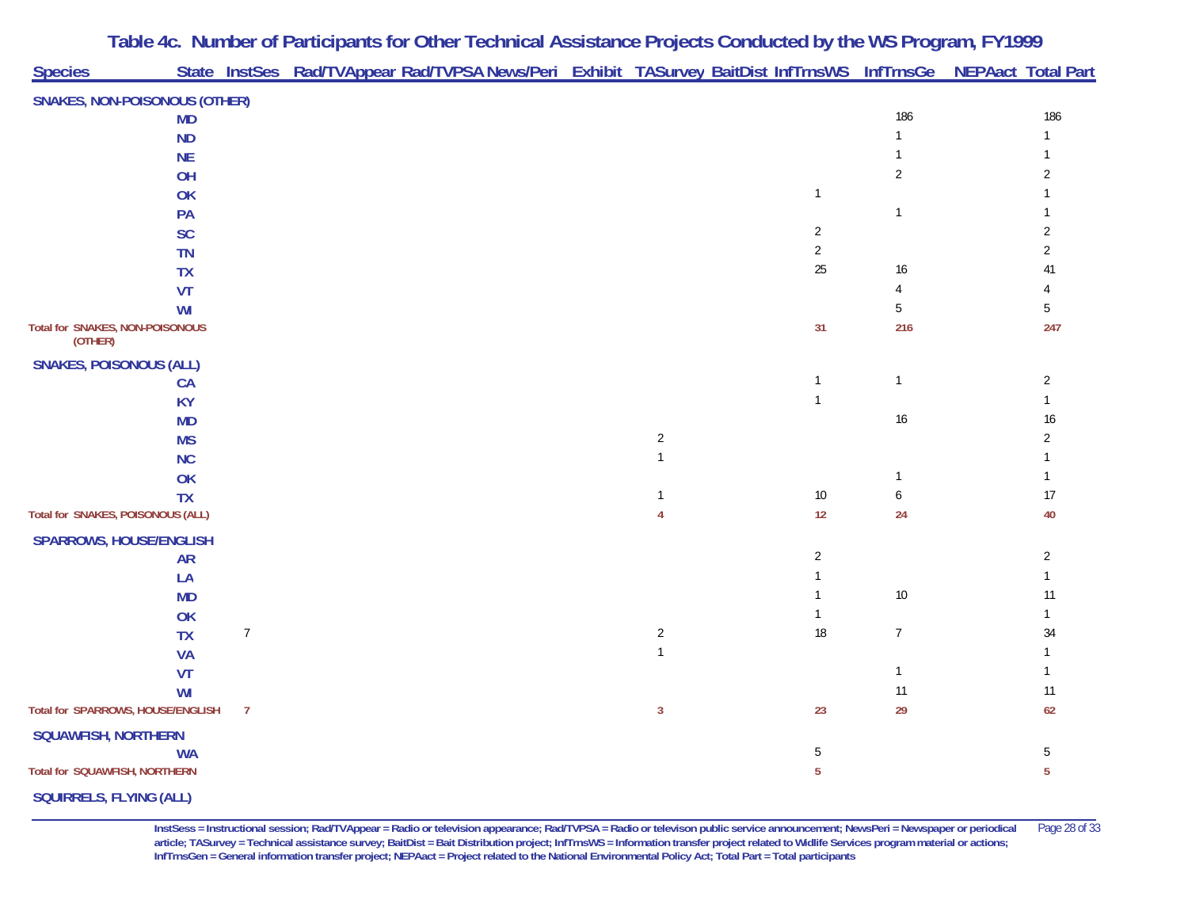| <b>Species</b>                             |           |                | State InstSes Rad/TVAppear Rad/TVPSA News/Peri Exhibit TASurvey BaitDist InfTrnsWS InfTrnsGe NEPAact Total Part |                |                |                  |                |
|--------------------------------------------|-----------|----------------|-----------------------------------------------------------------------------------------------------------------|----------------|----------------|------------------|----------------|
|                                            |           |                |                                                                                                                 |                |                |                  |                |
| <b>SNAKES, NON-POISONOUS (OTHER)</b>       | <b>MD</b> |                |                                                                                                                 |                |                | 186              | 186            |
|                                            | <b>ND</b> |                |                                                                                                                 |                |                | $\mathbf{1}$     | $\mathbf{1}$   |
|                                            | <b>NE</b> |                |                                                                                                                 |                |                |                  |                |
|                                            | OH        |                |                                                                                                                 |                |                | $\overline{2}$   | $\overline{2}$ |
|                                            | OK        |                |                                                                                                                 |                | $\mathbf{1}$   |                  |                |
|                                            | PA        |                |                                                                                                                 |                |                | $\mathbf{1}$     |                |
|                                            | SC        |                |                                                                                                                 |                | $\overline{2}$ |                  | $\overline{2}$ |
|                                            | <b>TN</b> |                |                                                                                                                 |                | $\overline{2}$ |                  | $\overline{2}$ |
|                                            | <b>TX</b> |                |                                                                                                                 |                | 25             | 16               | 41             |
|                                            | VT        |                |                                                                                                                 |                |                | 4                |                |
|                                            | WI        |                |                                                                                                                 |                |                | 5                | $5\,$          |
| Total for SNAKES, NON-POISONOUS<br>(OTHER) |           |                |                                                                                                                 |                | 31             | 216              | 247            |
| <b>SNAKES, POISONOUS (ALL)</b>             |           |                |                                                                                                                 |                |                |                  |                |
|                                            | <b>CA</b> |                |                                                                                                                 |                | $\mathbf{1}$   | $\mathbf{1}$     | $\overline{2}$ |
|                                            | <b>KY</b> |                |                                                                                                                 |                | $\mathbf{1}$   |                  | $\mathbf{1}$   |
|                                            | <b>MD</b> |                |                                                                                                                 |                |                | $16$             | $16\,$         |
|                                            | <b>MS</b> |                |                                                                                                                 | $\overline{2}$ |                |                  | $\sqrt{2}$     |
|                                            | <b>NC</b> |                |                                                                                                                 | $\mathbf{1}$   |                |                  | $\mathbf{1}$   |
|                                            | OK        |                |                                                                                                                 |                |                | $\mathbf{1}$     | $\mathbf{1}$   |
|                                            | <b>TX</b> |                |                                                                                                                 | $\mathbf{1}$   | $10\,$         | $\boldsymbol{6}$ | 17             |
| Total for SNAKES, POISONOUS (ALL)          |           |                |                                                                                                                 | $\overline{4}$ | 12             | 24               | 40             |
| <b>SPARROWS, HOUSE/ENGLISH</b>             |           |                |                                                                                                                 |                |                |                  |                |
|                                            | <b>AR</b> |                |                                                                                                                 |                | $\overline{2}$ |                  | $\overline{2}$ |
|                                            | LA        |                |                                                                                                                 |                | $\mathbf{1}$   |                  | $\mathbf{1}$   |
|                                            | <b>MD</b> |                |                                                                                                                 |                | $\mathbf{1}$   | $10\,$           | 11             |
|                                            | OK        |                |                                                                                                                 |                | $\mathbf{1}$   |                  | $\mathbf{1}$   |
|                                            | <b>TX</b> | $\overline{7}$ |                                                                                                                 | $\sqrt{2}$     | $18$           | $\boldsymbol{7}$ | 34             |
|                                            | <b>VA</b> |                |                                                                                                                 | $\mathbf{1}$   |                |                  | $\mathbf{1}$   |
|                                            | VT        |                |                                                                                                                 |                |                | $\mathbf{1}$     | $\mathbf{1}$   |
|                                            | WI        |                |                                                                                                                 |                |                | 11               | 11             |
| Total for SPARROWS, HOUSE/ENGLISH          |           | $\overline{7}$ |                                                                                                                 | $\mathbf{3}$   | 23             | 29               | 62             |
| SQUAWFISH, NORTHERN                        |           |                |                                                                                                                 |                |                |                  |                |
|                                            | <b>WA</b> |                |                                                                                                                 |                | $\sqrt{5}$     |                  | $\mathbf 5$    |
| Total for SQUAWFISH, NORTHERN              |           |                |                                                                                                                 |                | 5              |                  | $\overline{5}$ |
| <b>SQUIRRELS, FLYING (ALL)</b>             |           |                |                                                                                                                 |                |                |                  |                |

**InstSess = Instructional session; Rad/TVAppear = Radio or television appearance; Rad/TVPSA = Radio or televison public service announcement; NewsPeri = Newspaper or periodical** Page 28 of 33 **article; TASurvey = Technical assistance survey; BaitDist = Bait Distribution project; InfTrnsWS = Information transfer project related to Widlife Services program material or actions; InfTrnsGen = General information transfer project; NEPAact = Project related to the National Environmental Policy Act; Total Part = Total participants**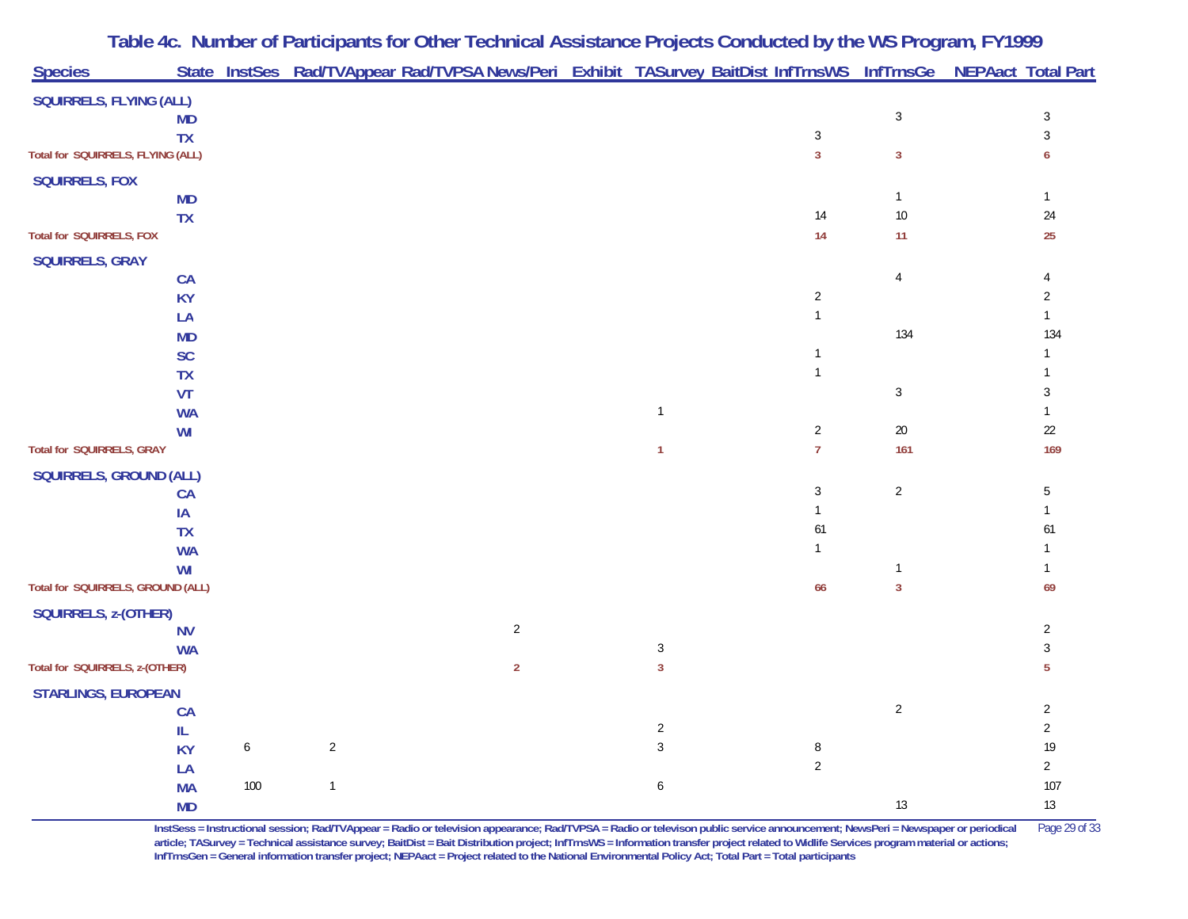|                                   |                 |     |                | Table 4c. Number of Participants for Other Technical Assistance Projects Conducted by the WS Program, FY1999    |                |                              |                |                        |                    |
|-----------------------------------|-----------------|-----|----------------|-----------------------------------------------------------------------------------------------------------------|----------------|------------------------------|----------------|------------------------|--------------------|
| <b>Species</b>                    |                 |     |                | State InstSes Rad/TVAppear Rad/TVPSA News/Peri Exhibit TASurvey BaitDist InfTrnsWS InfTrnsGe NEPAact Total Part |                |                              |                |                        |                    |
| <b>SQUIRRELS, FLYING (ALL)</b>    |                 |     |                |                                                                                                                 |                |                              |                |                        |                    |
|                                   | <b>MD</b>       |     |                |                                                                                                                 |                |                              |                | $\mathfrak{Z}$         | $\sqrt{3}$         |
|                                   | <b>TX</b>       |     |                |                                                                                                                 |                |                              | $\sqrt{3}$     |                        | $\mathfrak{Z}$     |
| Total for SQUIRRELS, FLYING (ALL) |                 |     |                |                                                                                                                 |                |                              | $\overline{3}$ | $\overline{3}$         | 6                  |
| <b>SQUIRRELS, FOX</b>             |                 |     |                |                                                                                                                 |                |                              |                |                        |                    |
|                                   | <b>MD</b>       |     |                |                                                                                                                 |                |                              | 14             | $\mathbf{1}$<br>$10\,$ | $\mathbf{1}$<br>24 |
| Total for SQUIRRELS, FOX          | <b>TX</b>       |     |                |                                                                                                                 |                |                              | 14             | 11                     | 25                 |
| <b>SQUIRRELS, GRAY</b>            |                 |     |                |                                                                                                                 |                |                              |                |                        |                    |
|                                   | CA              |     |                |                                                                                                                 |                |                              |                | 4                      | $\overline{4}$     |
|                                   | <b>KY</b>       |     |                |                                                                                                                 |                |                              | $\sqrt{2}$     |                        | $\overline{2}$     |
|                                   | LA              |     |                |                                                                                                                 |                |                              | $\mathbf{1}$   |                        | $\mathbf{1}$       |
|                                   | <b>MD</b>       |     |                |                                                                                                                 |                |                              |                | 134                    | 134                |
|                                   | SC              |     |                |                                                                                                                 |                |                              | $\mathbf{1}$   |                        |                    |
|                                   | <b>TX</b>       |     |                |                                                                                                                 |                |                              | $\mathbf{1}$   |                        |                    |
|                                   | VT              |     |                |                                                                                                                 |                |                              |                | $\mathbf{3}$           | 3                  |
|                                   | <b>WA</b>       |     |                |                                                                                                                 |                | $\overline{1}$               |                |                        | $\mathbf{1}$       |
|                                   | WI              |     |                |                                                                                                                 |                |                              | $\sqrt{2}$     | $20\,$                 | $22\,$             |
| Total for SQUIRRELS, GRAY         |                 |     |                |                                                                                                                 |                | $\mathbf{1}$                 | $\overline{7}$ | 161                    | 169                |
| <b>SQUIRRELS, GROUND (ALL)</b>    |                 |     |                |                                                                                                                 |                |                              |                |                        |                    |
|                                   | CA              |     |                |                                                                                                                 |                |                              | $\sqrt{3}$     | $\overline{c}$         | 5                  |
|                                   | IA              |     |                |                                                                                                                 |                |                              | $\mathbf{1}$   |                        | $\mathbf{1}$       |
|                                   | <b>TX</b>       |     |                |                                                                                                                 |                |                              | 61             |                        | 61                 |
|                                   | <b>WA</b>       |     |                |                                                                                                                 |                |                              | $\mathbf{1}$   |                        |                    |
|                                   | WI              |     |                |                                                                                                                 |                |                              |                | $\mathbf{1}$           |                    |
| Total for SQUIRRELS, GROUND (ALL) |                 |     |                |                                                                                                                 |                |                              | 66             | $\overline{3}$         | 69                 |
| SQUIRRELS, z-(OTHER)              |                 |     |                |                                                                                                                 |                |                              |                |                        |                    |
|                                   | <b>NV</b>       |     |                |                                                                                                                 | $\overline{2}$ |                              |                |                        | $\overline{2}$     |
| Total for SQUIRRELS, z-(OTHER)    | <b>WA</b>       |     |                |                                                                                                                 | $\overline{2}$ | $\sqrt{3}$<br>$\overline{3}$ |                |                        | $\sqrt{3}$<br>5    |
|                                   |                 |     |                |                                                                                                                 |                |                              |                |                        |                    |
| <b>STARLINGS, EUROPEAN</b>        |                 |     |                |                                                                                                                 |                |                              |                | $\overline{c}$         | $\sqrt{2}$         |
|                                   | CA              |     |                |                                                                                                                 |                | $\overline{2}$               |                |                        | $\overline{2}$     |
|                                   | IL<br><b>KY</b> | 6   | $\overline{2}$ |                                                                                                                 |                | $\mathfrak{Z}$               | $\, 8$         |                        | 19                 |
|                                   | LA              |     |                |                                                                                                                 |                |                              | $\sqrt{2}$     |                        | $\overline{2}$     |
|                                   | <b>MA</b>       | 100 | $\mathbf{1}$   |                                                                                                                 |                | 6                            |                |                        | 107                |
|                                   | <b>MD</b>       |     |                |                                                                                                                 |                |                              |                | 13                     | $13$               |

**InstSess = Instructional session; Rad/TVAppear = Radio or television appearance; Rad/TVPSA = Radio or televison public service announcement; NewsPeri = Newspaper or periodical** Page 29 of 33 **article; TASurvey = Technical assistance survey; BaitDist = Bait Distribution project; InfTrnsWS = Information transfer project related to Widlife Services program material or actions; InfTrnsGen = General information transfer project; NEPAact = Project related to the National Environmental Policy Act; Total Part = Total participants**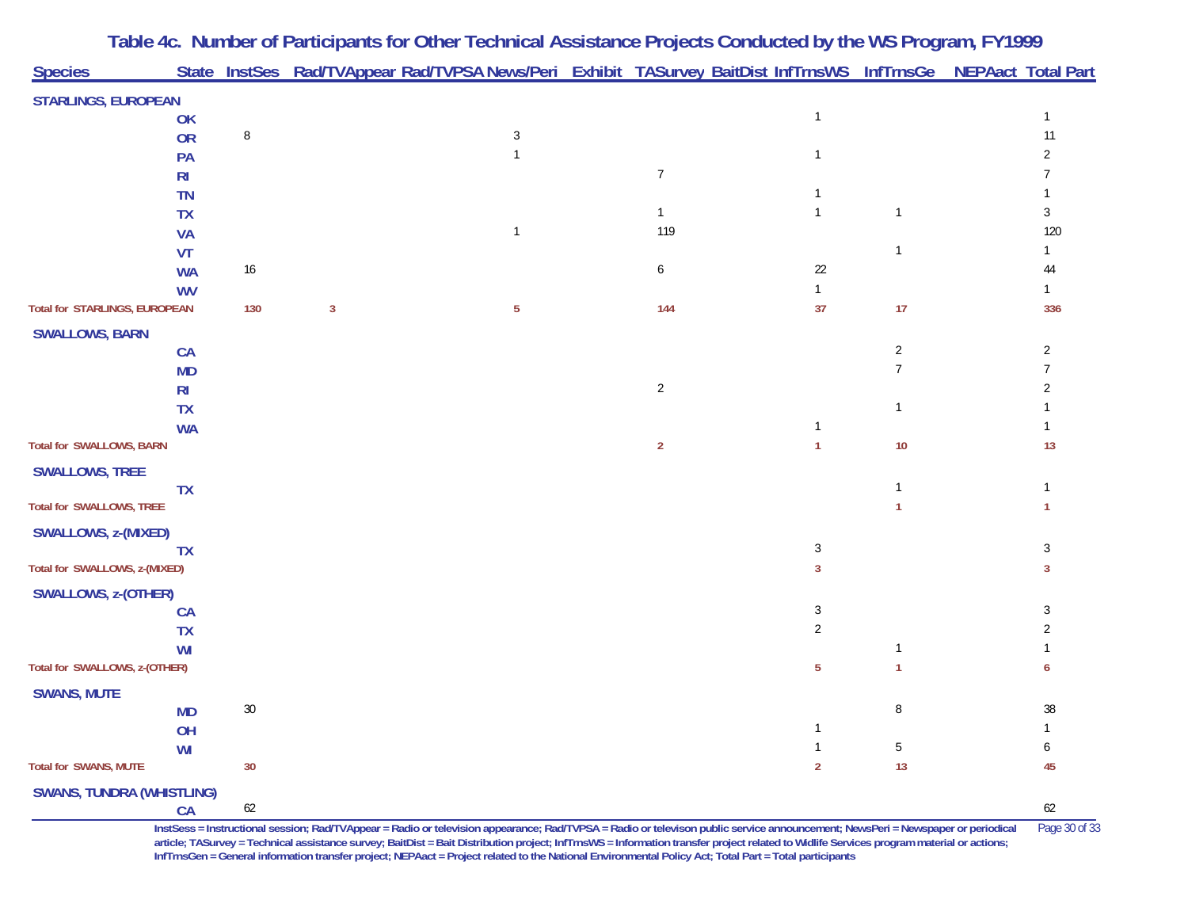| <b>Species</b>                   |                |        |              | Table 4c. Number of Participants for Other Technical Assistance Projects Conducted by the WS Program, FY1999<br>State InstSes Rad/TVAppear Rad/TVPSA News/Peri Exhibit TASurvey BaitDist InfTrnsWS InfTrnsGe NEPAact Total Part |                |                |                |     |
|----------------------------------|----------------|--------|--------------|---------------------------------------------------------------------------------------------------------------------------------------------------------------------------------------------------------------------------------|----------------|----------------|----------------|-----|
|                                  |                |        |              |                                                                                                                                                                                                                                 |                |                |                |     |
| <b>STARLINGS, EUROPEAN</b>       | OK             |        |              |                                                                                                                                                                                                                                 |                | $\mathbf{1}$   |                |     |
|                                  | <b>OR</b>      | 8      |              | 3                                                                                                                                                                                                                               |                |                |                | 11  |
|                                  | PA             |        |              |                                                                                                                                                                                                                                 |                | $\mathbf{1}$   |                |     |
|                                  | R <sub>l</sub> |        |              |                                                                                                                                                                                                                                 | $\overline{7}$ |                |                |     |
|                                  | <b>TN</b>      |        |              |                                                                                                                                                                                                                                 |                | -1             |                |     |
|                                  | <b>TX</b>      |        |              |                                                                                                                                                                                                                                 | $\mathbf{1}$   | $\mathbf{1}$   | $\mathbf{1}$   | 3   |
|                                  | <b>VA</b>      |        |              |                                                                                                                                                                                                                                 | 119            |                |                | 120 |
|                                  | <b>VT</b>      |        |              |                                                                                                                                                                                                                                 |                |                |                |     |
|                                  | <b>WA</b>      | 16     |              |                                                                                                                                                                                                                                 | 6              | 22             |                | 44  |
|                                  | <b>WV</b>      |        |              |                                                                                                                                                                                                                                 |                | $\mathbf{1}$   |                |     |
| Total for STARLINGS, EUROPEAN    |                | 130    | $\mathbf{3}$ | $\overline{5}$                                                                                                                                                                                                                  | 144            | 37             | 17             | 336 |
| <b>SWALLOWS, BARN</b>            |                |        |              |                                                                                                                                                                                                                                 |                |                |                |     |
|                                  | CA             |        |              |                                                                                                                                                                                                                                 |                |                | $\overline{c}$ | 2   |
|                                  | <b>MD</b>      |        |              |                                                                                                                                                                                                                                 |                |                | $\overline{7}$ |     |
|                                  | R <sub>l</sub> |        |              |                                                                                                                                                                                                                                 | $\overline{a}$ |                |                |     |
|                                  | <b>TX</b>      |        |              |                                                                                                                                                                                                                                 |                | 1              |                |     |
| <b>Total for SWALLOWS, BARN</b>  | <b>WA</b>      |        |              |                                                                                                                                                                                                                                 | $\overline{2}$ | 1              | 10             | 13  |
|                                  |                |        |              |                                                                                                                                                                                                                                 |                |                |                |     |
| <b>SWALLOWS, TREE</b>            | <b>TX</b>      |        |              |                                                                                                                                                                                                                                 |                |                |                |     |
| <b>Total for SWALLOWS, TREE</b>  |                |        |              |                                                                                                                                                                                                                                 |                |                |                |     |
|                                  |                |        |              |                                                                                                                                                                                                                                 |                |                |                |     |
| SWALLOWS, z-(MIXED)              | <b>TX</b>      |        |              |                                                                                                                                                                                                                                 |                | 3              |                | 3   |
| Total for SWALLOWS, z-(MIXED)    |                |        |              |                                                                                                                                                                                                                                 |                | 3              |                | 3   |
|                                  |                |        |              |                                                                                                                                                                                                                                 |                |                |                |     |
| <b>SWALLOWS, z-(OTHER)</b>       | <b>CA</b>      |        |              |                                                                                                                                                                                                                                 |                | 3              |                |     |
|                                  | <b>TX</b>      |        |              |                                                                                                                                                                                                                                 |                | 2              |                |     |
|                                  | WI             |        |              |                                                                                                                                                                                                                                 |                |                |                |     |
| Total for SWALLOWS, z-(OTHER)    |                |        |              |                                                                                                                                                                                                                                 |                | 5              |                | 6   |
| <b>SWANS, MUTE</b>               |                |        |              |                                                                                                                                                                                                                                 |                |                |                |     |
|                                  | <b>MD</b>      | $30\,$ |              |                                                                                                                                                                                                                                 |                |                | 8              | 38  |
|                                  | OH             |        |              |                                                                                                                                                                                                                                 |                |                |                |     |
|                                  | WI             |        |              |                                                                                                                                                                                                                                 |                |                | 5              |     |
| Total for SWANS, MUTE            |                | 30     |              |                                                                                                                                                                                                                                 |                | $\overline{2}$ | 13             | 45  |
| <b>SWANS, TUNDRA (WHISTLING)</b> |                |        |              |                                                                                                                                                                                                                                 |                |                |                |     |
|                                  | CA             | $62\,$ |              |                                                                                                                                                                                                                                 |                |                |                | 62  |

**InstSess = Instructional session; Rad/TVAppear = Radio or television appearance; Rad/TVPSA = Radio or televison public service announcement; NewsPeri = Newspaper or periodical** Page 30 of 33 article; TASurvey = Technical assistance survey; BaitDist = Bait Distribution project; InfTrnsWS = Information transfer project related to Widlife Services program material or actions; **InfTrnsGen = General information transfer project; NEPAact = Project related to the National Environmental Policy Act; Total Part = Total participants**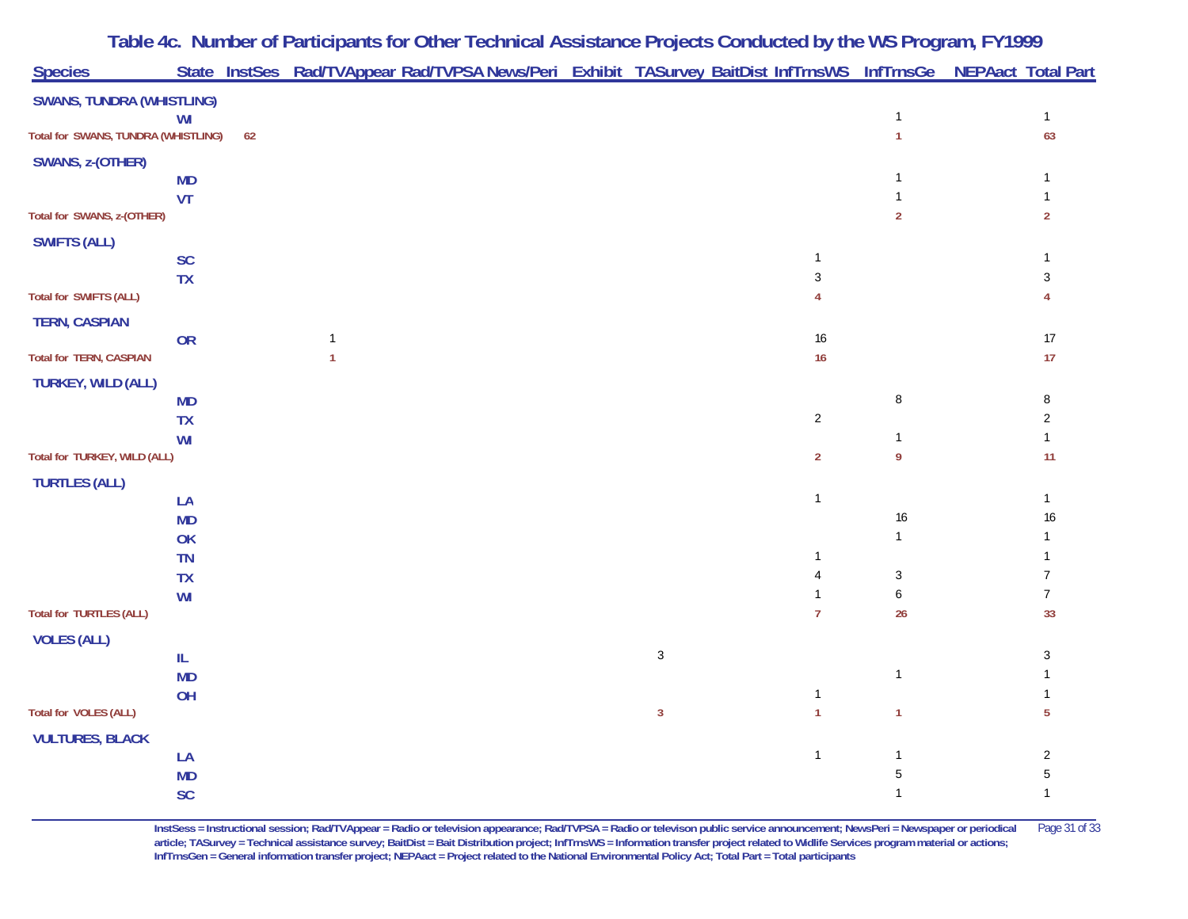| <b>Species</b>                      |                        |    | Table 4c. Number of Participants for Other Technical Assistance Projects Conducted by the WS Program, FY1999<br>State InstSes Rad/TVAppear Rad/TVPSA News/Peri Exhibit TASurvey BaitDist InfTrnsWS InfTrnsGe NEPAact Total Part |              |                                |                |                     |
|-------------------------------------|------------------------|----|---------------------------------------------------------------------------------------------------------------------------------------------------------------------------------------------------------------------------------|--------------|--------------------------------|----------------|---------------------|
|                                     |                        |    |                                                                                                                                                                                                                                 |              |                                |                |                     |
| <b>SWANS, TUNDRA (WHISTLING)</b>    | WI                     |    |                                                                                                                                                                                                                                 |              |                                | $\mathbf{1}$   | $\mathbf{1}$        |
| Total for SWANS, TUNDRA (WHISTLING) |                        | 62 |                                                                                                                                                                                                                                 |              |                                | $\mathbf{1}$   | 63                  |
| SWANS, z-(OTHER)                    |                        |    |                                                                                                                                                                                                                                 |              |                                |                |                     |
|                                     | <b>MD</b>              |    |                                                                                                                                                                                                                                 |              |                                | 1              |                     |
|                                     | VT                     |    |                                                                                                                                                                                                                                 |              |                                |                |                     |
| Total for SWANS, z-(OTHER)          |                        |    |                                                                                                                                                                                                                                 |              |                                | $\overline{2}$ | $\overline{2}$      |
| <b>SWIFTS (ALL)</b>                 |                        |    |                                                                                                                                                                                                                                 |              |                                |                |                     |
|                                     | SC<br><b>TX</b>        |    |                                                                                                                                                                                                                                 |              | 1<br>$\sqrt{3}$                |                | $\sqrt{3}$          |
| <b>Total for SWIFTS (ALL)</b>       |                        |    |                                                                                                                                                                                                                                 |              | 4                              |                | 4                   |
| <b>TERN, CASPIAN</b>                |                        |    |                                                                                                                                                                                                                                 |              |                                |                |                     |
|                                     | OR                     |    | $\mathbf{1}$                                                                                                                                                                                                                    |              | $16$                           |                | 17                  |
| <b>Total for TERN, CASPIAN</b>      |                        |    | $\overline{1}$                                                                                                                                                                                                                  |              | 16                             |                | 17                  |
| <b>TURKEY, WILD (ALL)</b>           |                        |    |                                                                                                                                                                                                                                 |              |                                |                |                     |
|                                     | <b>MD</b>              |    |                                                                                                                                                                                                                                 |              |                                | 8              | 8<br>$\overline{2}$ |
|                                     | <b>TX</b><br>WI        |    |                                                                                                                                                                                                                                 |              | $\overline{2}$                 | 1              | $\mathbf{1}$        |
| Total for TURKEY, WILD (ALL)        |                        |    |                                                                                                                                                                                                                                 |              | $\overline{2}$                 | 9              | 11                  |
| <b>TURTLES (ALL)</b>                |                        |    |                                                                                                                                                                                                                                 |              |                                |                |                     |
|                                     | LA                     |    |                                                                                                                                                                                                                                 |              | $\mathbf{1}$                   |                | $\mathbf{1}$        |
|                                     | <b>MD</b>              |    |                                                                                                                                                                                                                                 |              |                                | 16             | 16                  |
|                                     | OK                     |    |                                                                                                                                                                                                                                 |              |                                | $\mathbf{1}$   |                     |
|                                     | <b>TN</b><br><b>TX</b> |    |                                                                                                                                                                                                                                 |              | $\mathbf{1}$<br>$\overline{4}$ | $\mathfrak{Z}$ | $\overline{7}$      |
|                                     | WI                     |    |                                                                                                                                                                                                                                 |              | $\mathbf{1}$                   | 6              | $\overline{7}$      |
| <b>Total for TURTLES (ALL)</b>      |                        |    |                                                                                                                                                                                                                                 |              | $\overline{7}$                 | 26             | 33                  |
| <b>VOLES (ALL)</b>                  |                        |    |                                                                                                                                                                                                                                 |              |                                |                |                     |
|                                     | IL.                    |    |                                                                                                                                                                                                                                 | $\sqrt{3}$   |                                |                | 3                   |
|                                     | <b>MD</b>              |    |                                                                                                                                                                                                                                 |              |                                | $\mathbf{1}$   |                     |
| <b>Total for VOLES (ALL)</b>        | OH                     |    |                                                                                                                                                                                                                                 | $\mathbf{3}$ | $\mathbf{1}$<br>$\mathbf{1}$   | $\overline{1}$ | $\overline{5}$      |
|                                     |                        |    |                                                                                                                                                                                                                                 |              |                                |                |                     |
| <b>VULTURES, BLACK</b>              | LA                     |    |                                                                                                                                                                                                                                 |              | $\mathbf{1}$                   | 1              | $\sqrt{2}$          |
|                                     | <b>MD</b>              |    |                                                                                                                                                                                                                                 |              |                                | 5              | $\mathbf 5$         |
|                                     | SC                     |    |                                                                                                                                                                                                                                 |              |                                | $\mathbf{1}$   | $\mathbf{1}$        |

**InstSess = Instructional session; Rad/TVAppear = Radio or television appearance; Rad/TVPSA = Radio or televison public service announcement; NewsPeri = Newspaper or periodical** Page 31 of 33 article; TASurvey = Technical assistance survey; BaitDist = Bait Distribution project; InfTrnsWS = Information transfer project related to Widlife Services program material or actions; **InfTrnsGen = General information transfer project; NEPAact = Project related to the National Environmental Policy Act; Total Part = Total participants**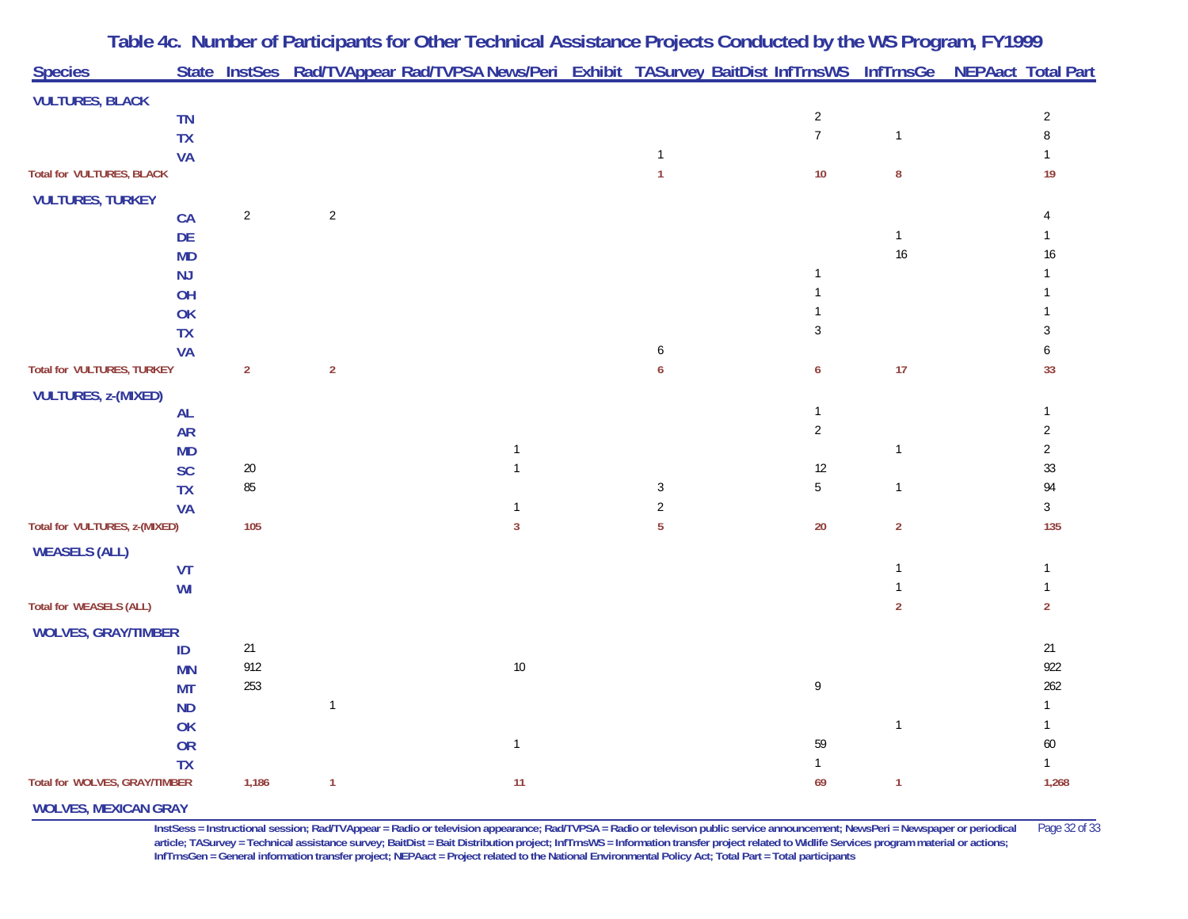| <b>Species</b>                    |           |                |                | State InstSes Rad/TVAppear Rad/TVPSA News/Peri Exhibit TASurvey BaitDist InfTrnsWS InfTrnsGe NEPAact Total Part |                |                  |                |                |
|-----------------------------------|-----------|----------------|----------------|-----------------------------------------------------------------------------------------------------------------|----------------|------------------|----------------|----------------|
| <b>VULTURES, BLACK</b>            |           |                |                |                                                                                                                 |                |                  |                |                |
|                                   | <b>TN</b> |                |                |                                                                                                                 |                | $\overline{c}$   |                | $\sqrt{2}$     |
|                                   | <b>TX</b> |                |                |                                                                                                                 |                | $\overline{7}$   | $\mathbf{1}$   | 8              |
|                                   | <b>VA</b> |                |                |                                                                                                                 | $\mathbf{1}$   |                  |                |                |
| <b>Total for VULTURES, BLACK</b>  |           |                |                |                                                                                                                 | $\mathbf{1}$   | $10$             | 8              | 19             |
| <b>VULTURES, TURKEY</b>           |           |                |                |                                                                                                                 |                |                  |                |                |
|                                   | CA        | $\overline{2}$ | $\overline{2}$ |                                                                                                                 |                |                  |                |                |
|                                   | DE        |                |                |                                                                                                                 |                |                  | $\mathbf{1}$   |                |
|                                   | <b>MD</b> |                |                |                                                                                                                 |                |                  | 16             | 16             |
|                                   | NJ        |                |                |                                                                                                                 |                | $\mathbf{1}$     |                |                |
|                                   | OH        |                |                |                                                                                                                 |                |                  |                |                |
|                                   | OK        |                |                |                                                                                                                 |                |                  |                |                |
|                                   | <b>TX</b> |                |                |                                                                                                                 |                | $\sqrt{3}$       |                | 3              |
|                                   | <b>VA</b> |                |                |                                                                                                                 | 6              |                  |                | 6              |
| <b>Total for VULTURES, TURKEY</b> |           | $\overline{2}$ | $\overline{2}$ |                                                                                                                 | 6              | $\boldsymbol{6}$ | 17             | 33             |
| <b>VULTURES, z-(MIXED)</b>        |           |                |                |                                                                                                                 |                |                  |                |                |
|                                   | <b>AL</b> |                |                |                                                                                                                 |                | $\mathbf{1}$     |                |                |
|                                   | <b>AR</b> |                |                |                                                                                                                 |                | $\overline{2}$   |                | $\overline{2}$ |
|                                   | <b>MD</b> |                |                | $\mathbf{1}$                                                                                                    |                |                  | $\mathbf{1}$   | $\overline{2}$ |
|                                   | SC        | $20\,$         |                | $\mathbf{1}$                                                                                                    |                | $12$             |                | 33             |
|                                   | <b>TX</b> | $85\,$         |                |                                                                                                                 | 3              | $\overline{5}$   | $\mathbf{1}$   | 94             |
|                                   | <b>VA</b> |                |                |                                                                                                                 | $\overline{2}$ |                  |                | $\mathfrak{Z}$ |
| Total for VULTURES, z-(MIXED)     |           | 105            |                | $\mathbf{3}$                                                                                                    | 5              | $20\,$           | $\overline{2}$ | 135            |
| <b>WEASELS (ALL)</b>              |           |                |                |                                                                                                                 |                |                  |                |                |
|                                   | <b>VT</b> |                |                |                                                                                                                 |                |                  | 1              | $\mathbf{1}$   |
|                                   | WI        |                |                |                                                                                                                 |                |                  |                |                |
| <b>Total for WEASELS (ALL)</b>    |           |                |                |                                                                                                                 |                |                  | $\overline{2}$ | $\overline{2}$ |
| <b>WOLVES, GRAY/TIMBER</b>        |           |                |                |                                                                                                                 |                |                  |                |                |
|                                   | ID        | 21             |                |                                                                                                                 |                |                  |                | 21             |
|                                   | <b>MN</b> | 912            |                | $10$                                                                                                            |                |                  |                | 922            |
|                                   | <b>MT</b> | 253            |                |                                                                                                                 |                | 9                |                | 262            |
|                                   | <b>ND</b> |                | $\mathbf{1}$   |                                                                                                                 |                |                  |                | 1              |
|                                   | OK        |                |                |                                                                                                                 |                |                  | $\mathbf{1}$   | $\mathbf{1}$   |
|                                   | <b>OR</b> |                |                | $\mathbf{1}$                                                                                                    |                | 59               |                | 60             |
|                                   | <b>TX</b> |                |                |                                                                                                                 |                | $\mathbf{1}$     |                | $\mathbf{1}$   |
| Total for WOLVES, GRAY/TIMBER     |           | 1,186          | $\mathbf{1}$   | 11                                                                                                              |                | 69               | $\mathbf{1}$   | 1,268          |
| <b>WOLVES, MEXICAN GRAY</b>       |           |                |                |                                                                                                                 |                |                  |                |                |

**InstSess = Instructional session; Rad/TVAppear = Radio or television appearance; Rad/TVPSA = Radio or televison public service announcement; NewsPeri = Newspaper or periodical** Page 32 of 33 article; TASurvey = Technical assistance survey; BaitDist = Bait Distribution project; InfTrnsWS = Information transfer project related to Widlife Services program material or actions; **InfTrnsGen = General information transfer project; NEPAact = Project related to the National Environmental Policy Act; Total Part = Total participants**